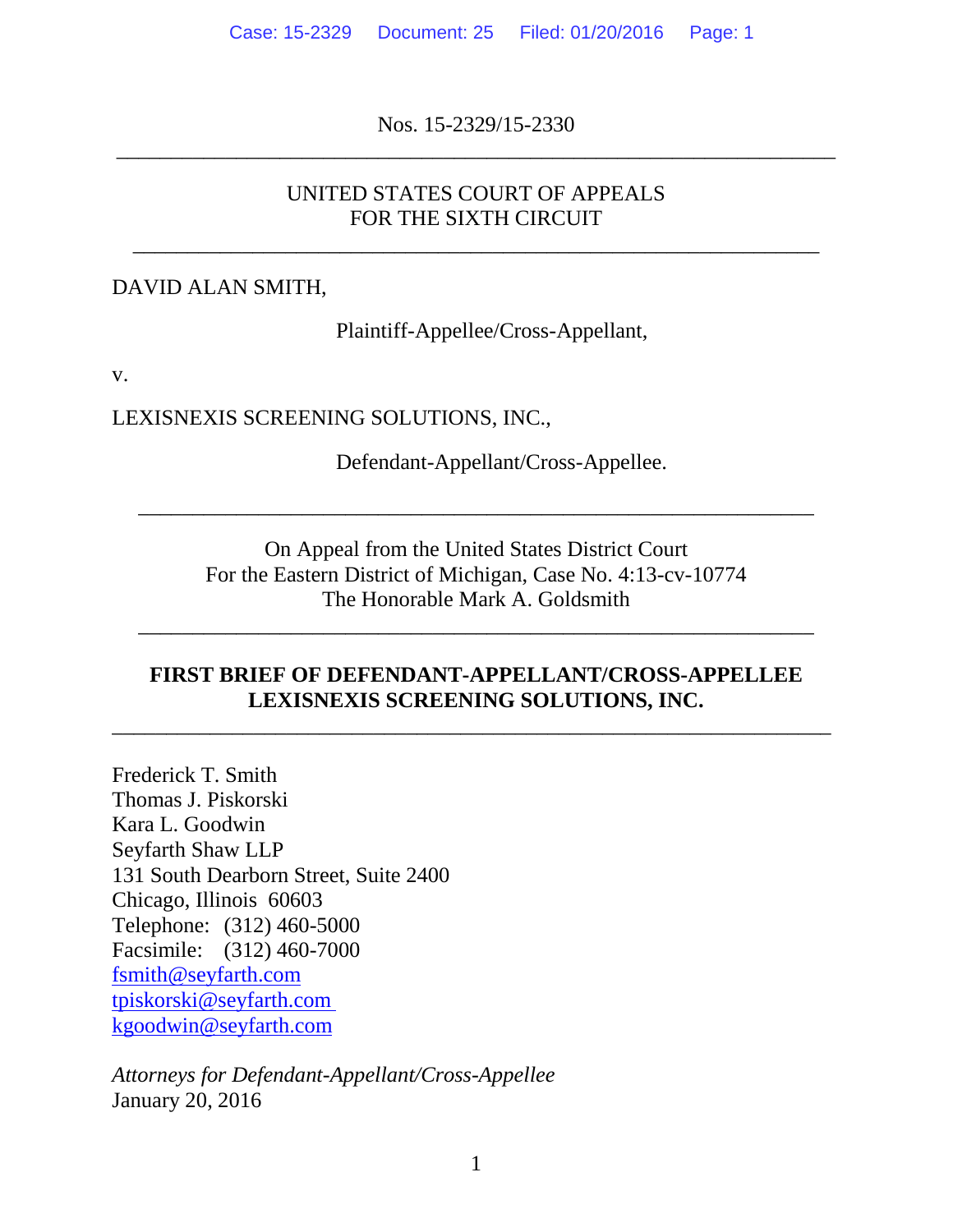Nos. 15-2329/15-2330 \_\_\_\_\_\_\_\_\_\_\_\_\_\_\_\_\_\_\_\_\_\_\_\_\_\_\_\_\_\_\_\_\_\_\_\_\_\_\_\_\_\_\_\_\_\_\_\_\_\_\_\_\_\_\_\_\_\_\_\_\_\_\_\_\_\_

## UNITED STATES COURT OF APPEALS FOR THE SIXTH CIRCUIT

\_\_\_\_\_\_\_\_\_\_\_\_\_\_\_\_\_\_\_\_\_\_\_\_\_\_\_\_\_\_\_\_\_\_\_\_\_\_\_\_\_\_\_\_\_\_\_\_\_\_\_\_\_\_\_\_\_\_\_\_\_\_\_

#### DAVID ALAN SMITH,

Plaintiff-Appellee/Cross-Appellant,

v.

LEXISNEXIS SCREENING SOLUTIONS, INC.,

Defendant-Appellant/Cross-Appellee.

On Appeal from the United States District Court For the Eastern District of Michigan, Case No. 4:13-cv-10774 The Honorable Mark A. Goldsmith

\_\_\_\_\_\_\_\_\_\_\_\_\_\_\_\_\_\_\_\_\_\_\_\_\_\_\_\_\_\_\_\_\_\_\_\_\_\_\_\_\_\_\_\_\_\_\_\_\_\_\_\_\_\_\_\_\_\_\_\_\_\_

\_\_\_\_\_\_\_\_\_\_\_\_\_\_\_\_\_\_\_\_\_\_\_\_\_\_\_\_\_\_\_\_\_\_\_\_\_\_\_\_\_\_\_\_\_\_\_\_\_\_\_\_\_\_\_\_\_\_\_\_\_\_

#### **FIRST BRIEF OF DEFENDANT-APPELLANT/CROSS-APPELLEE LEXISNEXIS SCREENING SOLUTIONS, INC.**

 $\overline{\phantom{a}}$  , and the contribution of the contribution of the contribution of the contribution of the contribution of the contribution of the contribution of the contribution of the contribution of the contribution of the

Frederick T. Smith Thomas J. Piskorski Kara L. Goodwin Seyfarth Shaw LLP 131 South Dearborn Street, Suite 2400 Chicago, Illinois 60603 Telephone: (312) 460-5000 Facsimile: (312) 460-7000 fsmith@seyfarth.com tpiskorski@seyfarth.com kgoodwin@seyfarth.com

*Attorneys for Defendant-Appellant/Cross-Appellee* January 20, 2016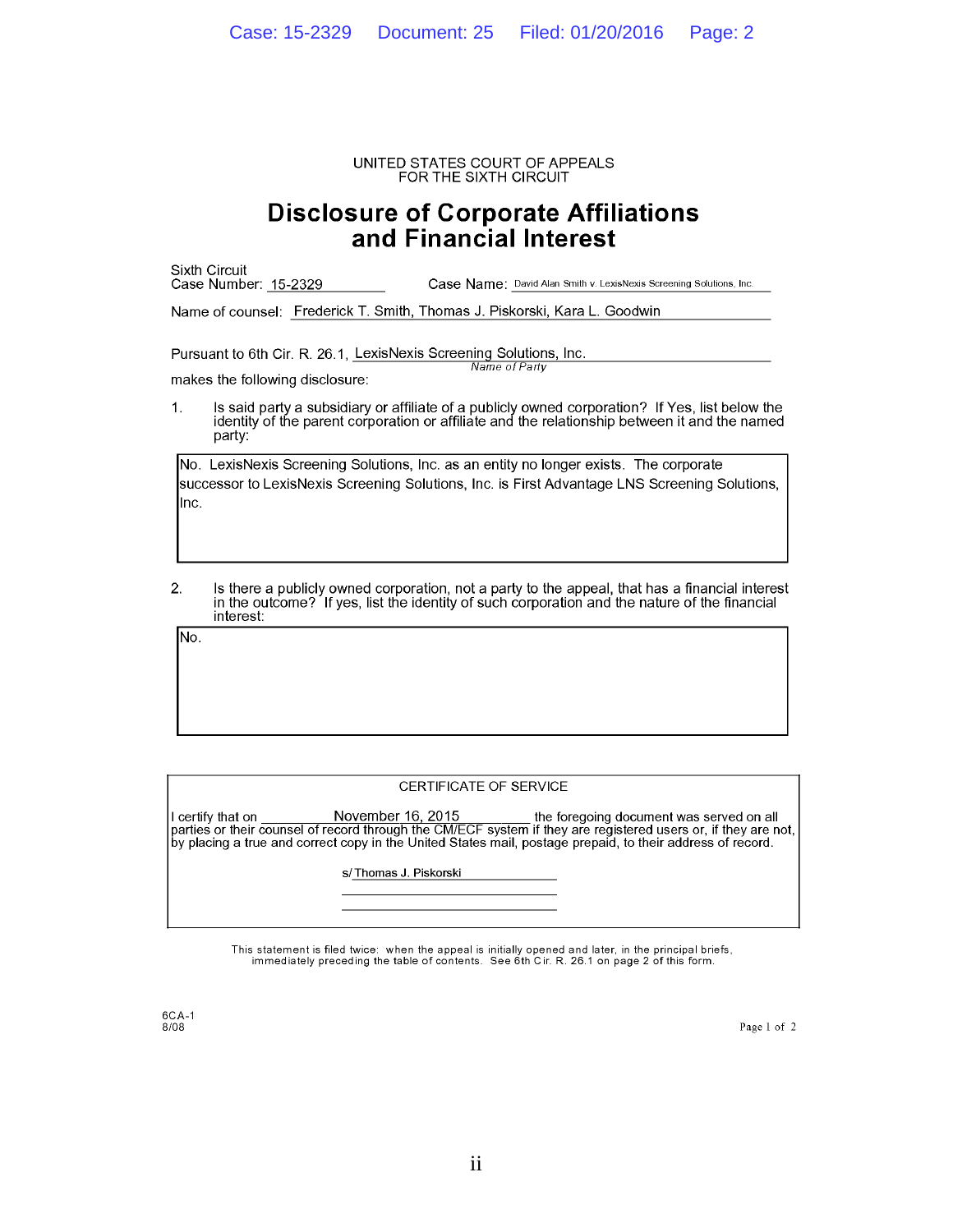UNITED STATES COURT OF APPEALS FOR THE SIXTH CIRCUIT

# **Disclosure of Corporate Affiliations**<br>and Financial Interest

|                                                                                                                        | Sixth Circuit<br>Case Number: 15-2329<br>Case Name: David Alan Smith v. LexisNexis Screening Solutions, Inc.                                                                                                  |  |  |  |
|------------------------------------------------------------------------------------------------------------------------|---------------------------------------------------------------------------------------------------------------------------------------------------------------------------------------------------------------|--|--|--|
|                                                                                                                        | Name of counsel: Frederick T. Smith, Thomas J. Piskorski, Kara L. Goodwin                                                                                                                                     |  |  |  |
| Pursuant to 6th Cir. R. 26.1, LexisNexis Screening Solutions, Inc.<br>Name of Party<br>makes the following disclosure: |                                                                                                                                                                                                               |  |  |  |
| $\mathbf{1}$ .                                                                                                         | Is said party a subsidiary or affiliate of a publicly owned corporation? If Yes, list below the<br>identity of the parent corporation or affiliate and the relationship between it and the named<br>party:    |  |  |  |
| llnc.                                                                                                                  | INo. LexisNexis Screening Solutions, Inc. as an entity no longer exists. The corporate<br>successor to LexisNexis Screening Solutions, Inc. is First Advantage LNS Screening Solutions,                       |  |  |  |
| 2.                                                                                                                     | Is there a publicly owned corporation, not a party to the appeal, that has a financial interest<br>in the outcome? If yes, list the identity of such corporation and the nature of the financial<br>interest: |  |  |  |
| No.                                                                                                                    |                                                                                                                                                                                                               |  |  |  |

#### CERTIFICATE OF SERVICE

November 16, 2015 I certify that on the foregoing document was served on all parties or their counsel of record through the CM/ECF system if they are registered users or, if they are not,<br>by placing a true and correct copy in the United States mail, postage prepaid, to their address of record.

s/Thomas J. Piskorski

This statement is filed twice: when the appeal is initially opened and later, in the principal briefs, immediately preceding the table of contents. See 6th Cir. R. 26.1 on page 2 of this form.

6CA-1<br>8/08

Page 1 of 2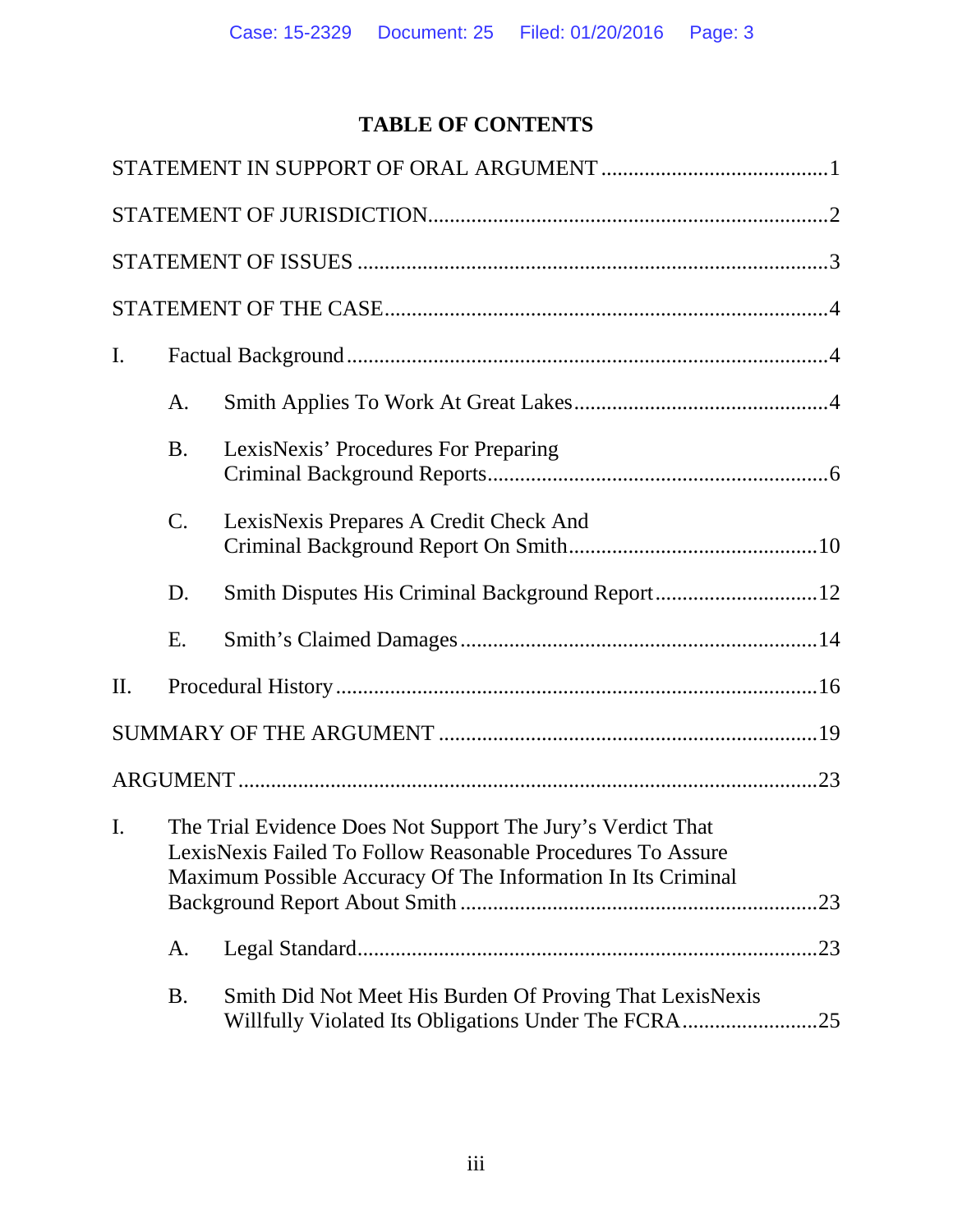# **TABLE OF CONTENTS**

| $\mathbf{I}$ .                                                                                                                                                                                               |                 |                                                                                                                      |  |
|--------------------------------------------------------------------------------------------------------------------------------------------------------------------------------------------------------------|-----------------|----------------------------------------------------------------------------------------------------------------------|--|
|                                                                                                                                                                                                              | A.              |                                                                                                                      |  |
|                                                                                                                                                                                                              | <b>B.</b>       | LexisNexis' Procedures For Preparing                                                                                 |  |
|                                                                                                                                                                                                              | $\mathcal{C}$ . | LexisNexis Prepares A Credit Check And                                                                               |  |
|                                                                                                                                                                                                              | D.              |                                                                                                                      |  |
|                                                                                                                                                                                                              | Ε.              |                                                                                                                      |  |
| II.                                                                                                                                                                                                          |                 |                                                                                                                      |  |
|                                                                                                                                                                                                              |                 |                                                                                                                      |  |
|                                                                                                                                                                                                              |                 |                                                                                                                      |  |
| The Trial Evidence Does Not Support The Jury's Verdict That<br>$\mathbf{I}$ .<br>LexisNexis Failed To Follow Reasonable Procedures To Assure<br>Maximum Possible Accuracy Of The Information In Its Criminal |                 |                                                                                                                      |  |
|                                                                                                                                                                                                              | A.              | .23                                                                                                                  |  |
|                                                                                                                                                                                                              | <b>B.</b>       | Smith Did Not Meet His Burden Of Proving That LexisNexis<br>Willfully Violated Its Obligations Under The FCRA<br>.25 |  |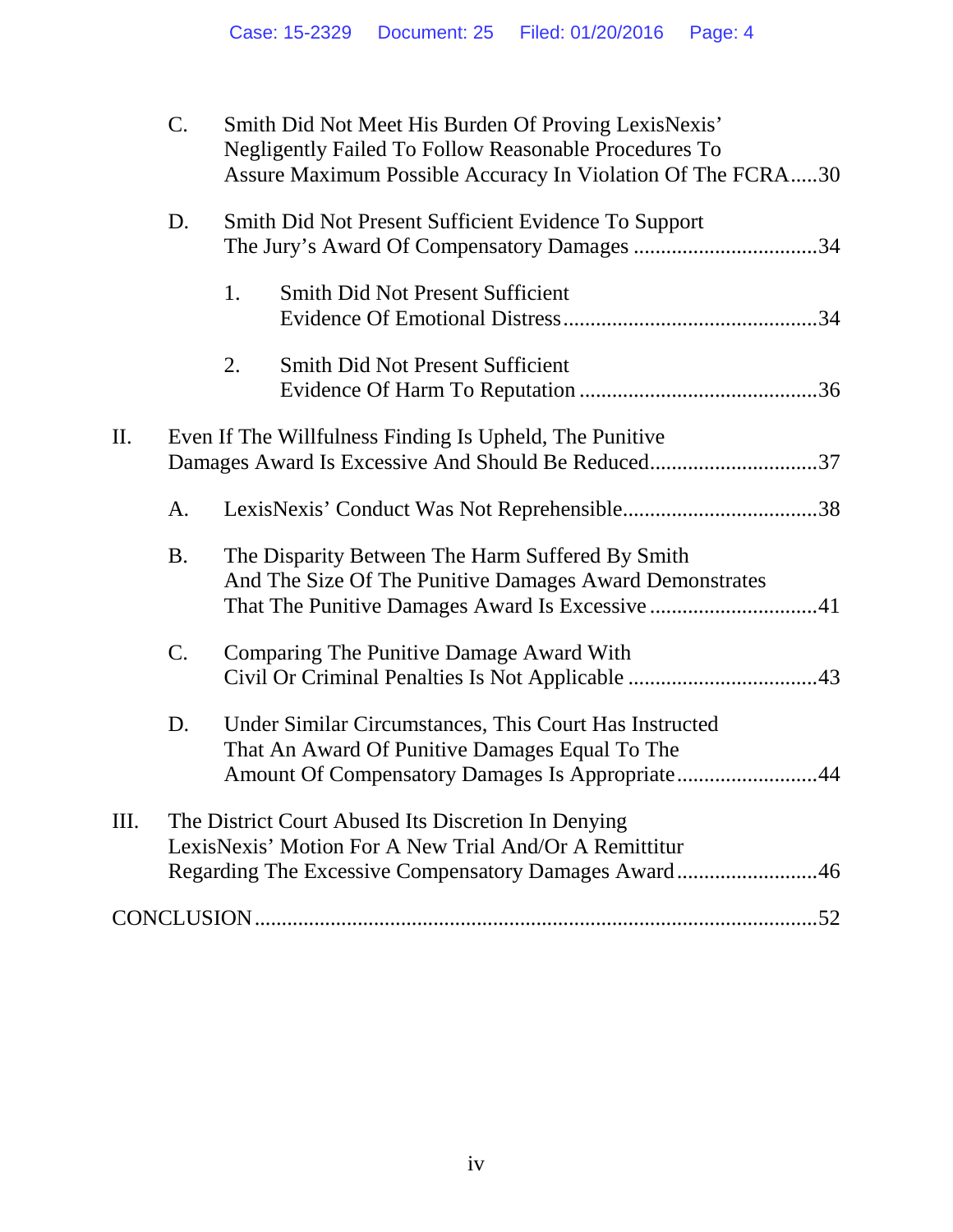|                                                                     | $\mathcal{C}$ . | Smith Did Not Meet His Burden Of Proving LexisNexis'<br><b>Negligently Failed To Follow Reasonable Procedures To</b><br>Assure Maximum Possible Accuracy In Violation Of The FCRA30 |  |
|---------------------------------------------------------------------|-----------------|-------------------------------------------------------------------------------------------------------------------------------------------------------------------------------------|--|
|                                                                     | D.              | Smith Did Not Present Sufficient Evidence To Support                                                                                                                                |  |
|                                                                     |                 | 1.<br><b>Smith Did Not Present Sufficient</b>                                                                                                                                       |  |
|                                                                     |                 | <b>Smith Did Not Present Sufficient</b><br>2.                                                                                                                                       |  |
| П.<br>Even If The Willfulness Finding Is Upheld, The Punitive<br>A. |                 | Damages Award Is Excessive And Should Be Reduced37                                                                                                                                  |  |
|                                                                     |                 |                                                                                                                                                                                     |  |
|                                                                     | <b>B.</b>       | The Disparity Between The Harm Suffered By Smith<br>And The Size Of The Punitive Damages Award Demonstrates<br>That The Punitive Damages Award Is Excessive 41                      |  |
|                                                                     | C.              | Comparing The Punitive Damage Award With                                                                                                                                            |  |
|                                                                     | D.              | Under Similar Circumstances, This Court Has Instructed<br>That An Award Of Punitive Damages Equal To The<br>Amount Of Compensatory Damages Is Appropriate44                         |  |
| III.                                                                |                 | The District Court Abused Its Discretion In Denying<br>LexisNexis' Motion For A New Trial And/Or A Remittitur<br>Regarding The Excessive Compensatory Damages Award46               |  |
|                                                                     |                 |                                                                                                                                                                                     |  |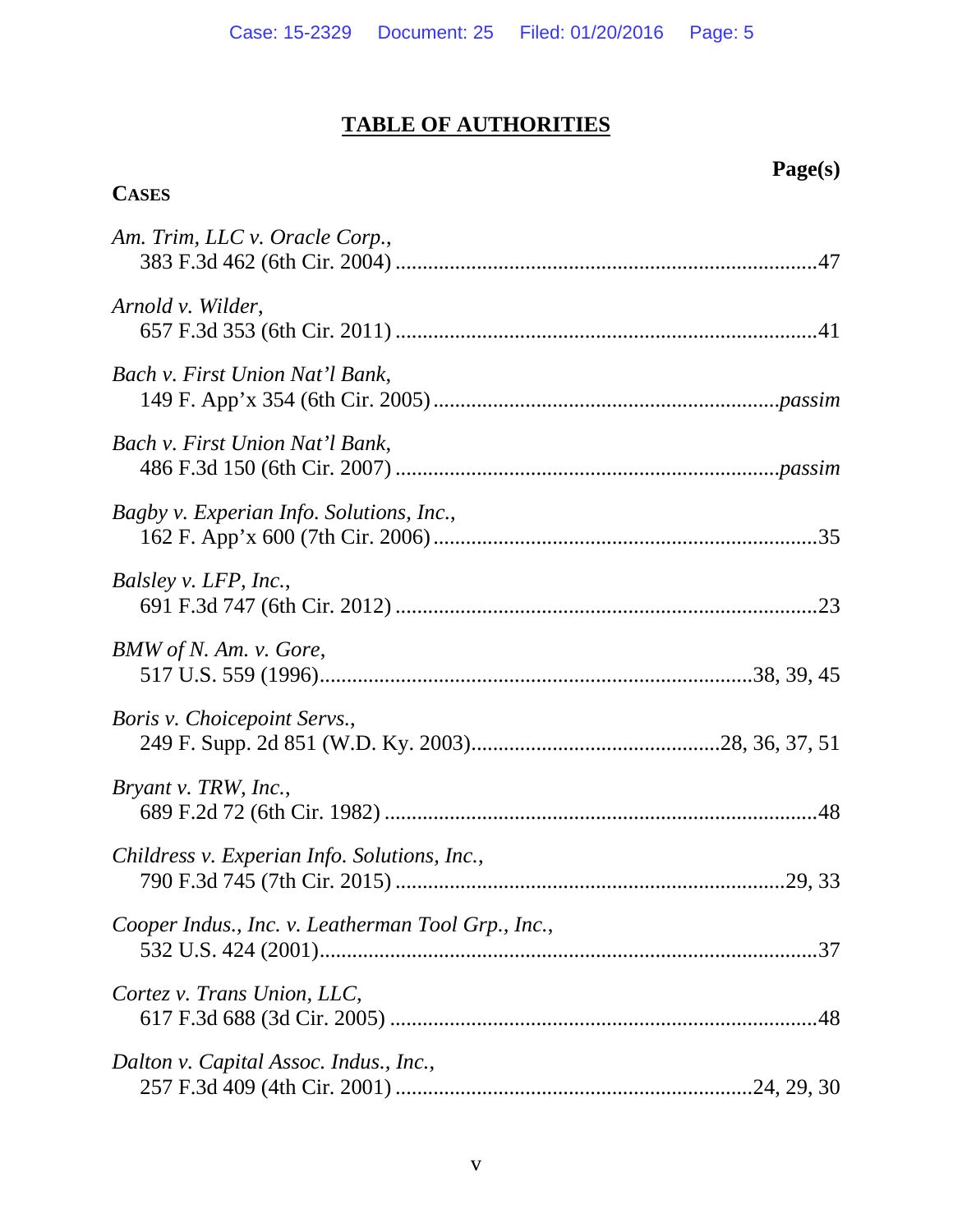# **TABLE OF AUTHORITIES**

**CASES**

# **Page(s)**

| Am. Trim, LLC v. Oracle Corp.,                     |
|----------------------------------------------------|
| Arnold v. Wilder,                                  |
| Bach v. First Union Nat'l Bank,                    |
| Bach v. First Union Nat'l Bank,                    |
| Bagby v. Experian Info. Solutions, Inc.,           |
| Balsley v. LFP, Inc.,                              |
| BMW of N. Am. v. Gore,                             |
| <i>Boris v. Choicepoint Servs.,</i>                |
| Bryant v. TRW, Inc.,                               |
| Childress v. Experian Info. Solutions, Inc.,       |
| Cooper Indus., Inc. v. Leatherman Tool Grp., Inc., |
| Cortez v. Trans Union, LLC,                        |
| Dalton v. Capital Assoc. Indus., Inc.,             |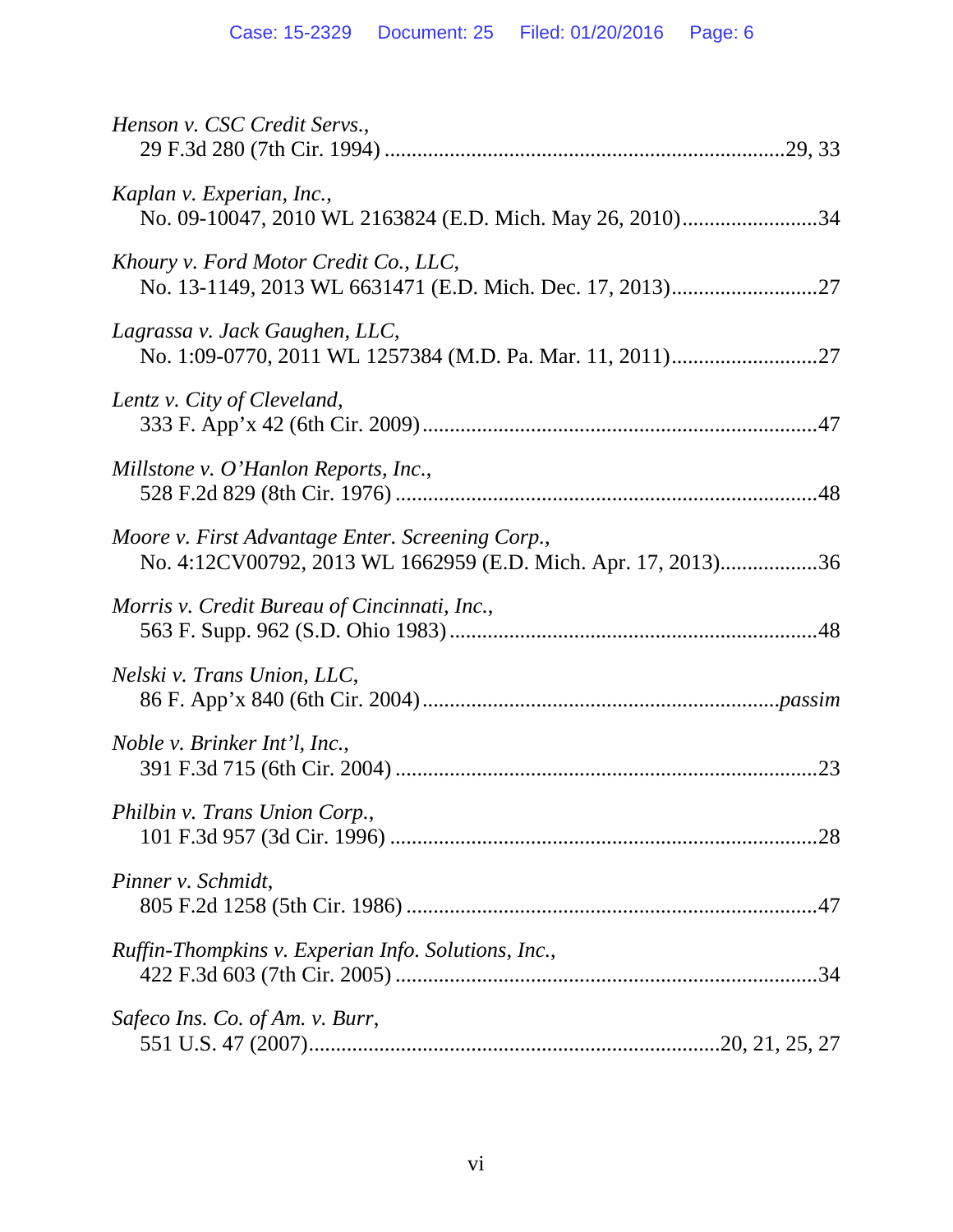| Henson v. CSC Credit Servs.,                                                                                      |
|-------------------------------------------------------------------------------------------------------------------|
| Kaplan v. Experian, Inc.,<br>No. 09-10047, 2010 WL 2163824 (E.D. Mich. May 26, 2010)34                            |
| Khoury v. Ford Motor Credit Co., LLC,                                                                             |
| Lagrassa v. Jack Gaughen, LLC,                                                                                    |
| Lentz v. City of Cleveland,                                                                                       |
| Millstone v. O'Hanlon Reports, Inc.,                                                                              |
| Moore v. First Advantage Enter. Screening Corp.,<br>No. 4:12CV00792, 2013 WL 1662959 (E.D. Mich. Apr. 17, 2013)36 |
| Morris v. Credit Bureau of Cincinnati, Inc.,                                                                      |
| Nelski v. Trans Union, LLC,                                                                                       |
| <i>Noble v. Brinker Int'l, Inc.,</i>                                                                              |
| Philbin v. Trans Union Corp.,                                                                                     |
| Pinner v. Schmidt,                                                                                                |
| Ruffin-Thompkins v. Experian Info. Solutions, Inc.,                                                               |
| Safeco Ins. Co. of Am. v. Burr,                                                                                   |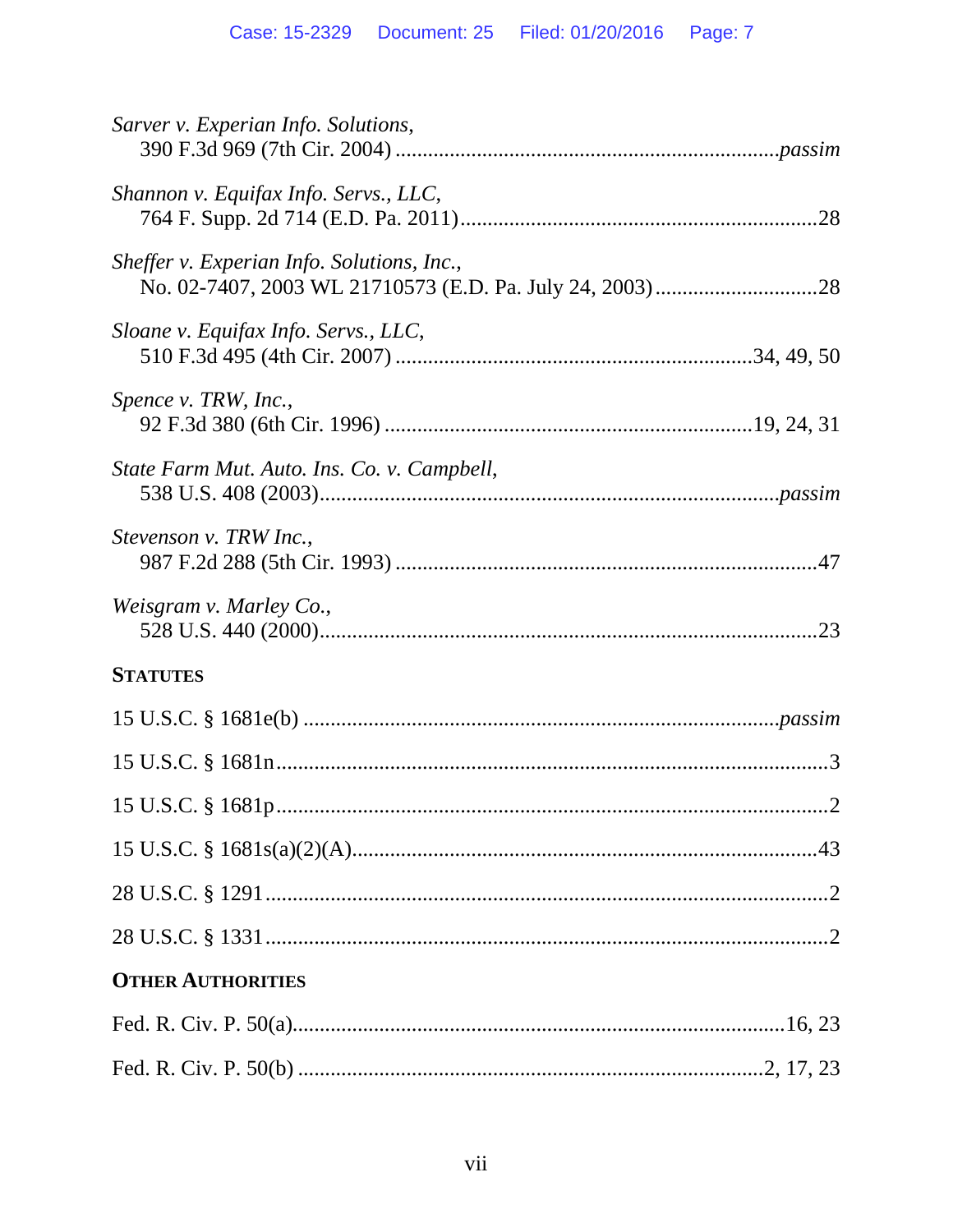| Sarver v. Experian Info. Solutions,         |
|---------------------------------------------|
| Shannon v. Equifax Info. Servs., LLC,       |
| Sheffer v. Experian Info. Solutions, Inc.,  |
| Sloane v. Equifax Info. Servs., LLC,        |
| Spence v. TRW, Inc.,                        |
| State Farm Mut. Auto. Ins. Co. v. Campbell, |
| Stevenson v. TRW Inc.,                      |
| Weisgram v. Marley Co.,                     |
| <b>STATUTES</b>                             |
|                                             |
|                                             |
| . 2                                         |
|                                             |
|                                             |
|                                             |
| <b>OTHER AUTHORITIES</b>                    |
|                                             |
|                                             |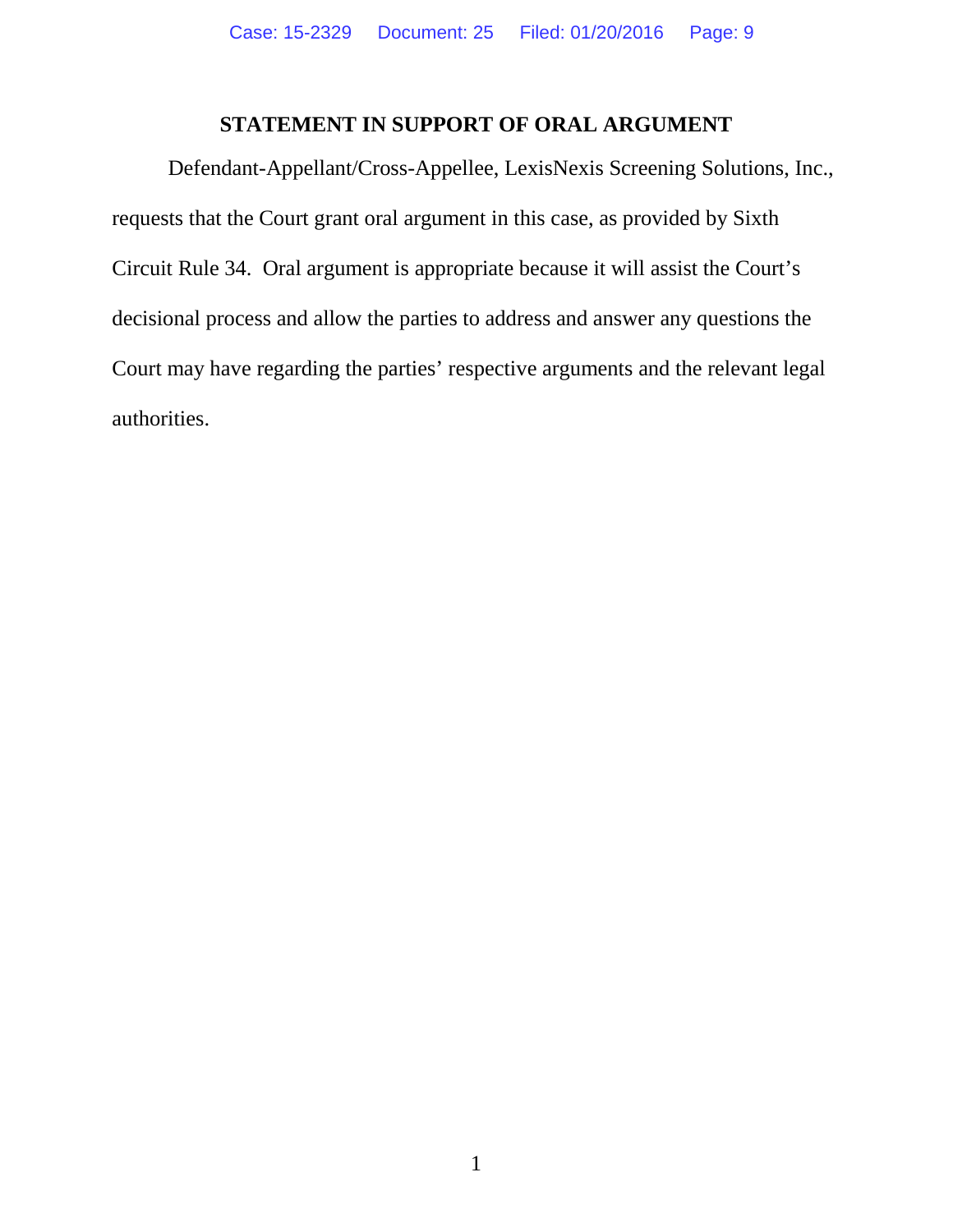## **STATEMENT IN SUPPORT OF ORAL ARGUMENT**

Defendant-Appellant/Cross-Appellee, LexisNexis Screening Solutions, Inc., requests that the Court grant oral argument in this case, as provided by Sixth Circuit Rule 34. Oral argument is appropriate because it will assist the Court's decisional process and allow the parties to address and answer any questions the Court may have regarding the parties' respective arguments and the relevant legal authorities.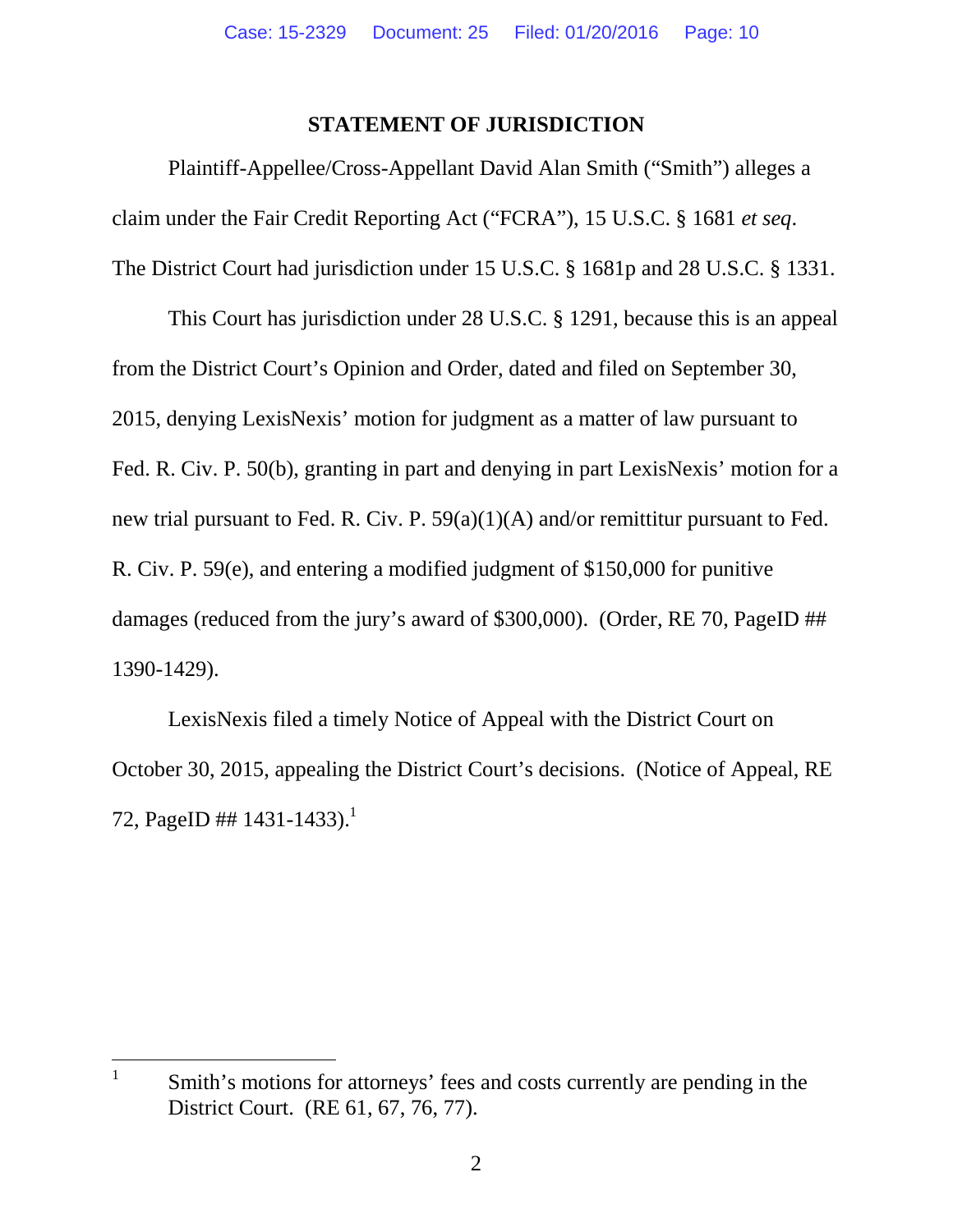#### **STATEMENT OF JURISDICTION**

Plaintiff-Appellee/Cross-Appellant David Alan Smith ("Smith") alleges a claim under the Fair Credit Reporting Act ("FCRA"), 15 U.S.C. § 1681 *et seq*. The District Court had jurisdiction under 15 U.S.C. § 1681p and 28 U.S.C. § 1331.

This Court has jurisdiction under 28 U.S.C. § 1291, because this is an appeal from the District Court's Opinion and Order, dated and filed on September 30, 2015, denying LexisNexis' motion for judgment as a matter of law pursuant to Fed. R. Civ. P. 50(b), granting in part and denying in part LexisNexis' motion for a new trial pursuant to Fed. R. Civ. P. 59(a)(1)(A) and/or remittitur pursuant to Fed. R. Civ. P. 59(e), and entering a modified judgment of \$150,000 for punitive damages (reduced from the jury's award of \$300,000). (Order, RE 70, PageID ## 1390-1429).

LexisNexis filed a timely Notice of Appeal with the District Court on October 30, 2015, appealing the District Court's decisions. (Notice of Appeal, RE 72, PageID ## 1431-1433).<sup>1</sup>

<sup>1</sup> Smith's motions for attorneys' fees and costs currently are pending in the District Court. (RE 61, 67, 76, 77).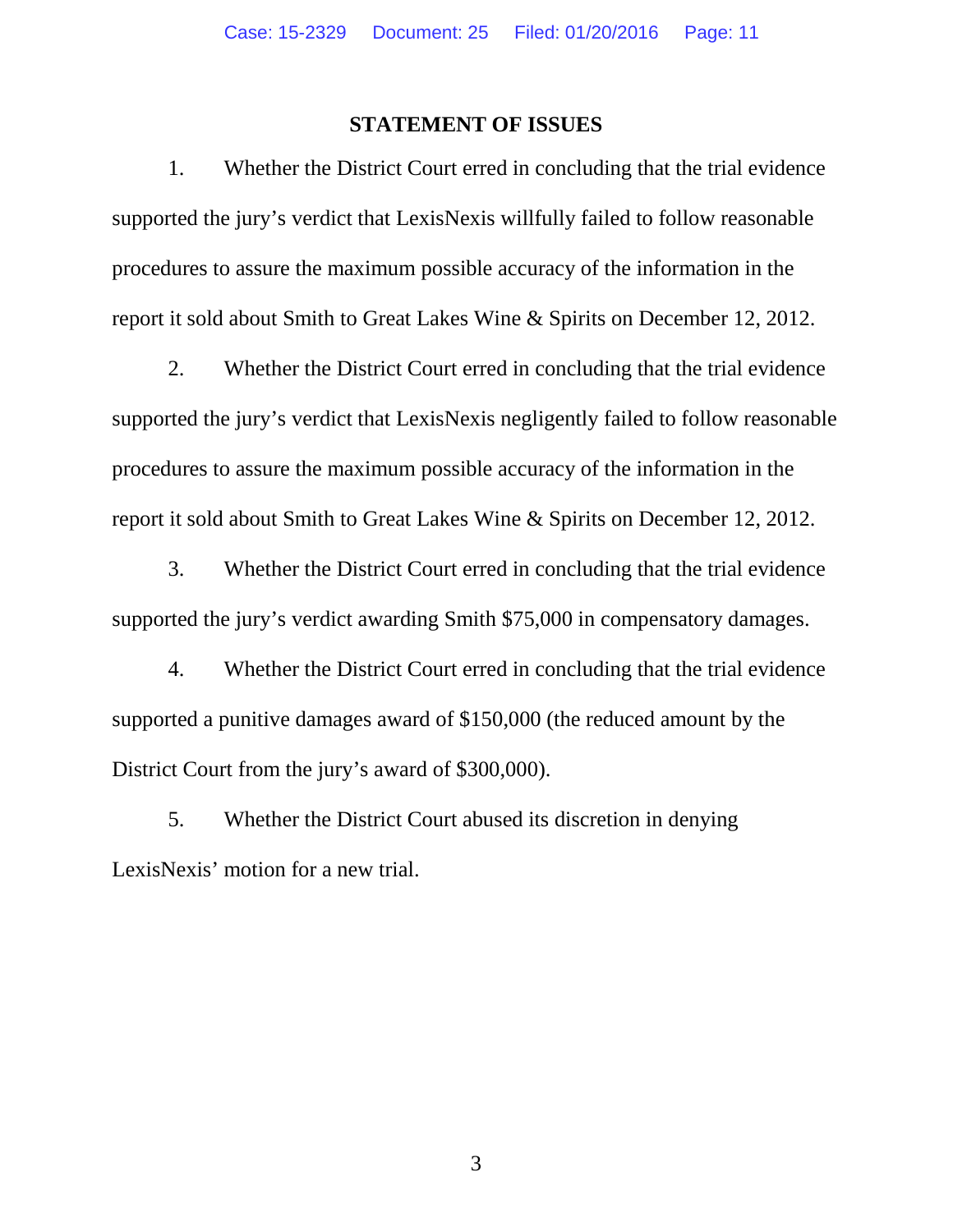#### **STATEMENT OF ISSUES**

1. Whether the District Court erred in concluding that the trial evidence supported the jury's verdict that LexisNexis willfully failed to follow reasonable procedures to assure the maximum possible accuracy of the information in the report it sold about Smith to Great Lakes Wine & Spirits on December 12, 2012.

2. Whether the District Court erred in concluding that the trial evidence supported the jury's verdict that LexisNexis negligently failed to follow reasonable procedures to assure the maximum possible accuracy of the information in the report it sold about Smith to Great Lakes Wine & Spirits on December 12, 2012.

3. Whether the District Court erred in concluding that the trial evidence supported the jury's verdict awarding Smith \$75,000 in compensatory damages.

4. Whether the District Court erred in concluding that the trial evidence supported a punitive damages award of \$150,000 (the reduced amount by the District Court from the jury's award of \$300,000).

5. Whether the District Court abused its discretion in denying LexisNexis' motion for a new trial.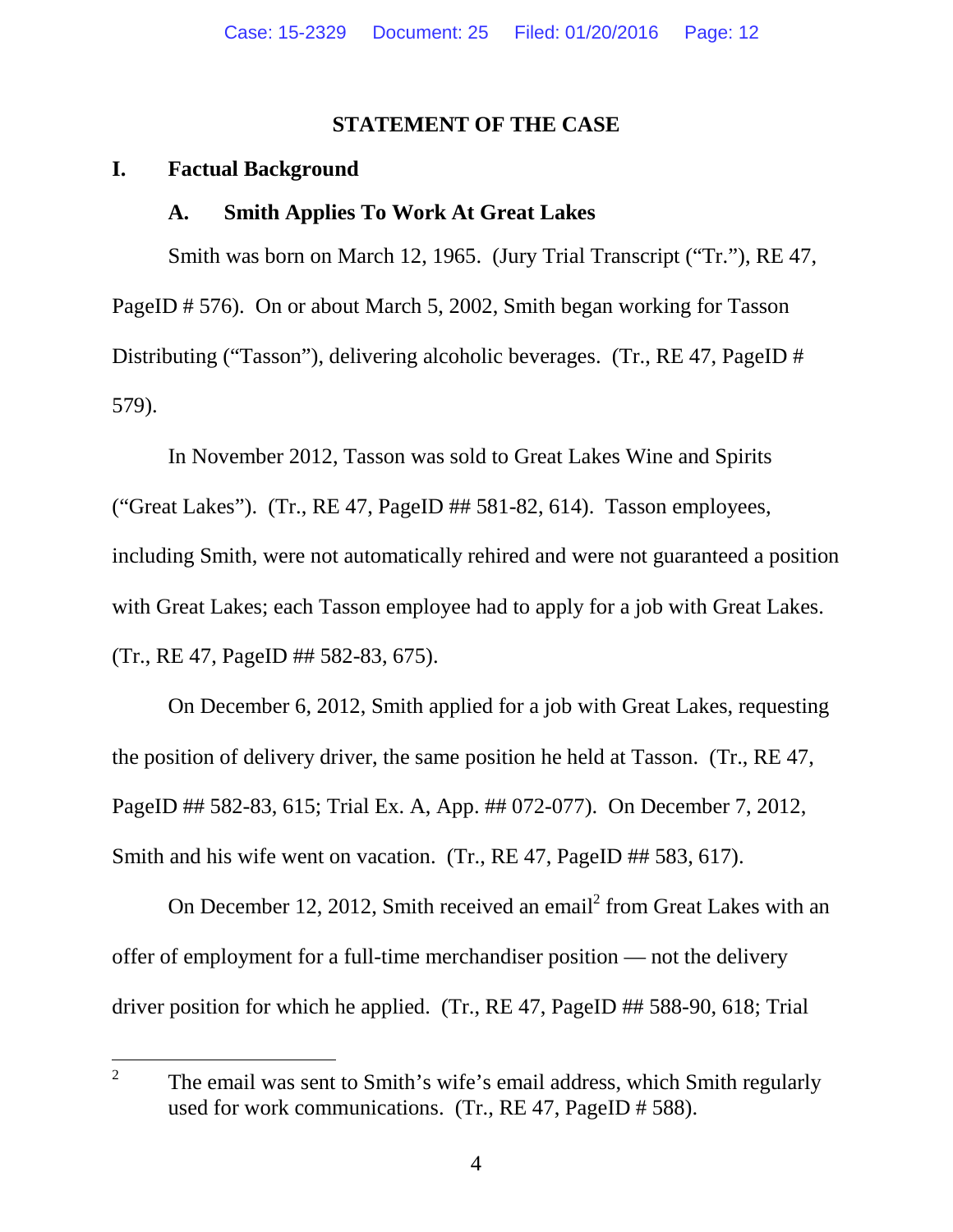#### **STATEMENT OF THE CASE**

#### **I. Factual Background**

#### **A. Smith Applies To Work At Great Lakes**

Smith was born on March 12, 1965. (Jury Trial Transcript ("Tr."), RE 47, PageID # 576). On or about March 5, 2002, Smith began working for Tasson Distributing ("Tasson"), delivering alcoholic beverages. (Tr., RE 47, PageID # 579).

In November 2012, Tasson was sold to Great Lakes Wine and Spirits ("Great Lakes"). (Tr., RE 47, PageID ## 581-82, 614). Tasson employees, including Smith, were not automatically rehired and were not guaranteed a position with Great Lakes; each Tasson employee had to apply for a job with Great Lakes. (Tr., RE 47, PageID ## 582-83, 675).

On December 6, 2012, Smith applied for a job with Great Lakes, requesting the position of delivery driver, the same position he held at Tasson. (Tr., RE 47, PageID ## 582-83, 615; Trial Ex. A, App. ## 072-077). On December 7, 2012, Smith and his wife went on vacation. (Tr., RE 47, PageID ## 583, 617).

On December 12, 2012, Smith received an email<sup>2</sup> from Great Lakes with an offer of employment for a full-time merchandiser position — not the delivery driver position for which he applied. (Tr., RE 47, PageID ## 588-90, 618; Trial

<sup>2</sup> The email was sent to Smith's wife's email address, which Smith regularly used for work communications. (Tr., RE 47, PageID # 588).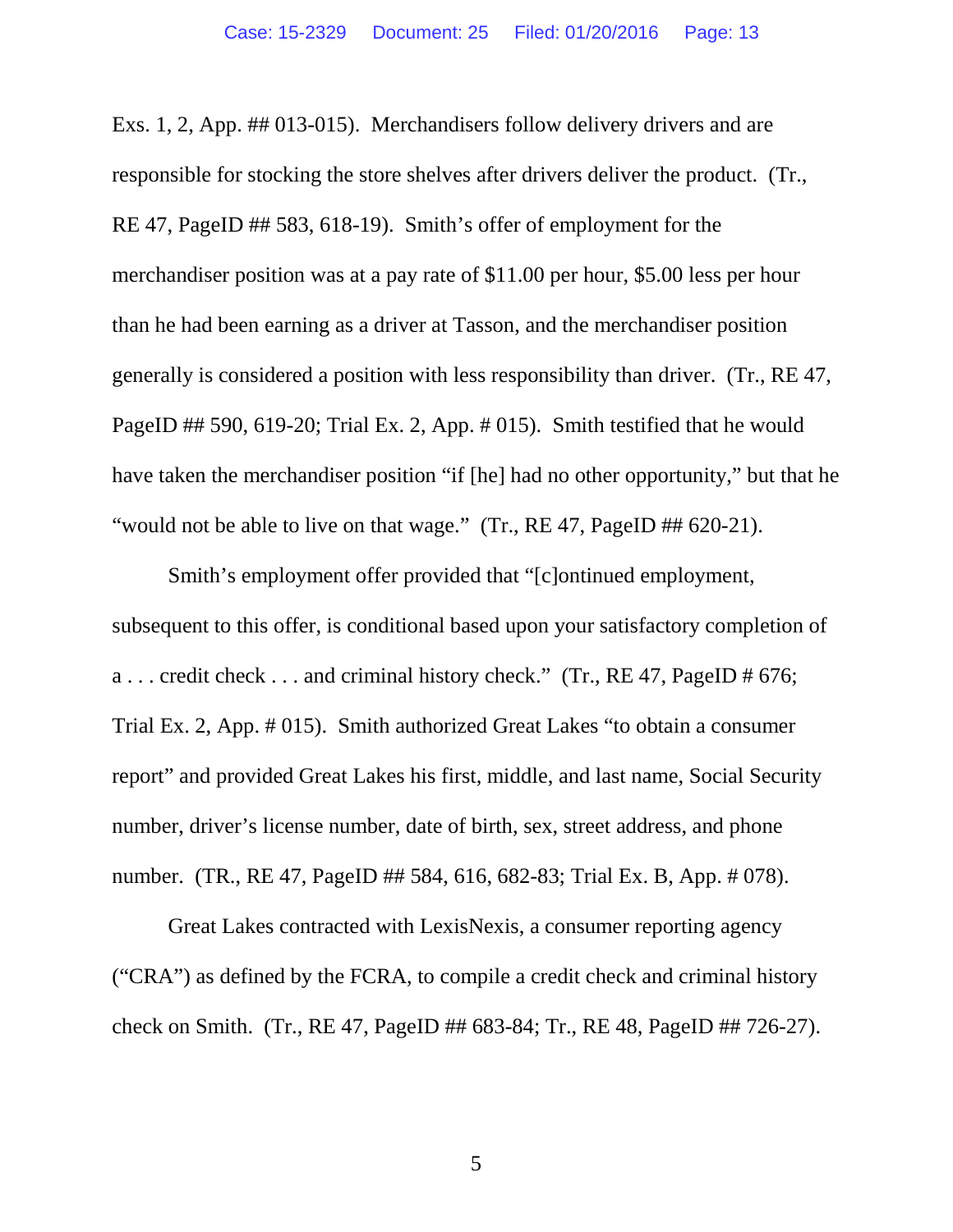Exs. 1, 2, App. ## 013-015). Merchandisers follow delivery drivers and are responsible for stocking the store shelves after drivers deliver the product. (Tr., RE 47, PageID ## 583, 618-19). Smith's offer of employment for the merchandiser position was at a pay rate of \$11.00 per hour, \$5.00 less per hour than he had been earning as a driver at Tasson, and the merchandiser position generally is considered a position with less responsibility than driver. (Tr., RE 47, PageID ## 590, 619-20; Trial Ex. 2, App. # 015). Smith testified that he would have taken the merchandiser position "if [he] had no other opportunity," but that he "would not be able to live on that wage." (Tr., RE 47, PageID ## 620-21).

Smith's employment offer provided that "[c]ontinued employment, subsequent to this offer, is conditional based upon your satisfactory completion of a ... credit check ... and criminal history check." (Tr., RE 47, PageID  $\#$  676; Trial Ex. 2, App. # 015). Smith authorized Great Lakes "to obtain a consumer report" and provided Great Lakes his first, middle, and last name, Social Security number, driver's license number, date of birth, sex, street address, and phone number. (TR., RE 47, PageID ## 584, 616, 682-83; Trial Ex. B, App. # 078).

Great Lakes contracted with LexisNexis, a consumer reporting agency ("CRA") as defined by the FCRA, to compile a credit check and criminal history check on Smith. (Tr., RE 47, PageID ## 683-84; Tr., RE 48, PageID ## 726-27).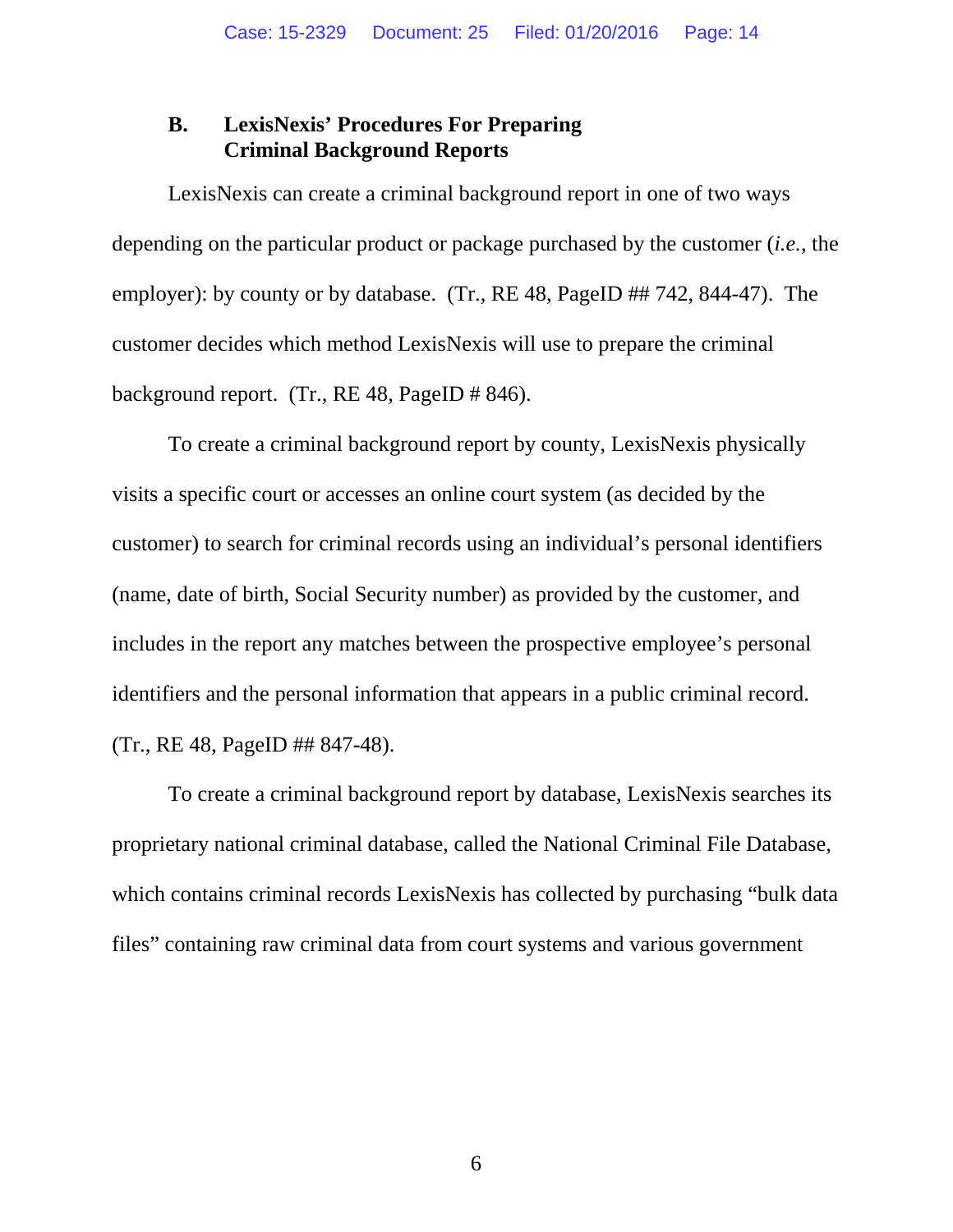#### **B. LexisNexis' Procedures For Preparing Criminal Background Reports**

LexisNexis can create a criminal background report in one of two ways depending on the particular product or package purchased by the customer (*i.e.*, the employer): by county or by database. (Tr., RE 48, PageID ## 742, 844-47). The customer decides which method LexisNexis will use to prepare the criminal background report. (Tr., RE 48, PageID # 846).

To create a criminal background report by county, LexisNexis physically visits a specific court or accesses an online court system (as decided by the customer) to search for criminal records using an individual's personal identifiers (name, date of birth, Social Security number) as provided by the customer, and includes in the report any matches between the prospective employee's personal identifiers and the personal information that appears in a public criminal record. (Tr., RE 48, PageID ## 847-48).

To create a criminal background report by database, LexisNexis searches its proprietary national criminal database, called the National Criminal File Database, which contains criminal records LexisNexis has collected by purchasing "bulk data" files" containing raw criminal data from court systems and various government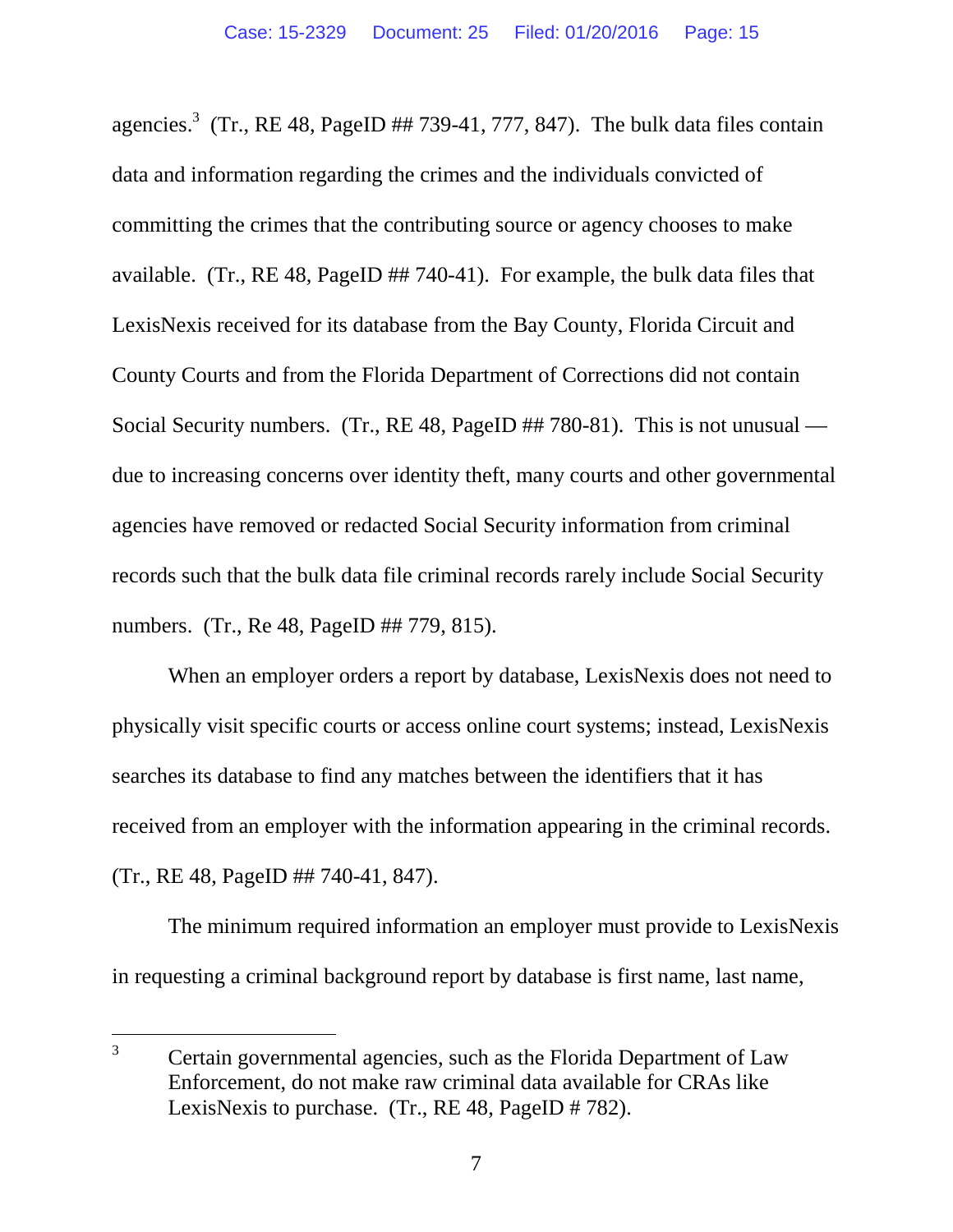agencies.<sup>3</sup> (Tr., RE 48, PageID ## 739-41, 777, 847). The bulk data files contain data and information regarding the crimes and the individuals convicted of committing the crimes that the contributing source or agency chooses to make available. (Tr., RE 48, PageID ## 740-41). For example, the bulk data files that LexisNexis received for its database from the Bay County, Florida Circuit and County Courts and from the Florida Department of Corrections did not contain Social Security numbers. (Tr., RE 48, PageID ## 780-81). This is not unusual due to increasing concerns over identity theft, many courts and other governmental agencies have removed or redacted Social Security information from criminal records such that the bulk data file criminal records rarely include Social Security numbers. (Tr., Re 48, PageID ## 779, 815).

When an employer orders a report by database, LexisNexis does not need to physically visit specific courts or access online court systems; instead, LexisNexis searches its database to find any matches between the identifiers that it has received from an employer with the information appearing in the criminal records. (Tr., RE 48, PageID ## 740-41, 847).

The minimum required information an employer must provide to LexisNexis in requesting a criminal background report by database is first name, last name,

<sup>&</sup>lt;sup>3</sup> Certain governmental agencies, such as the Florida Department of Law Enforcement, do not make raw criminal data available for CRAs like LexisNexis to purchase. (Tr., RE 48, PageID # 782).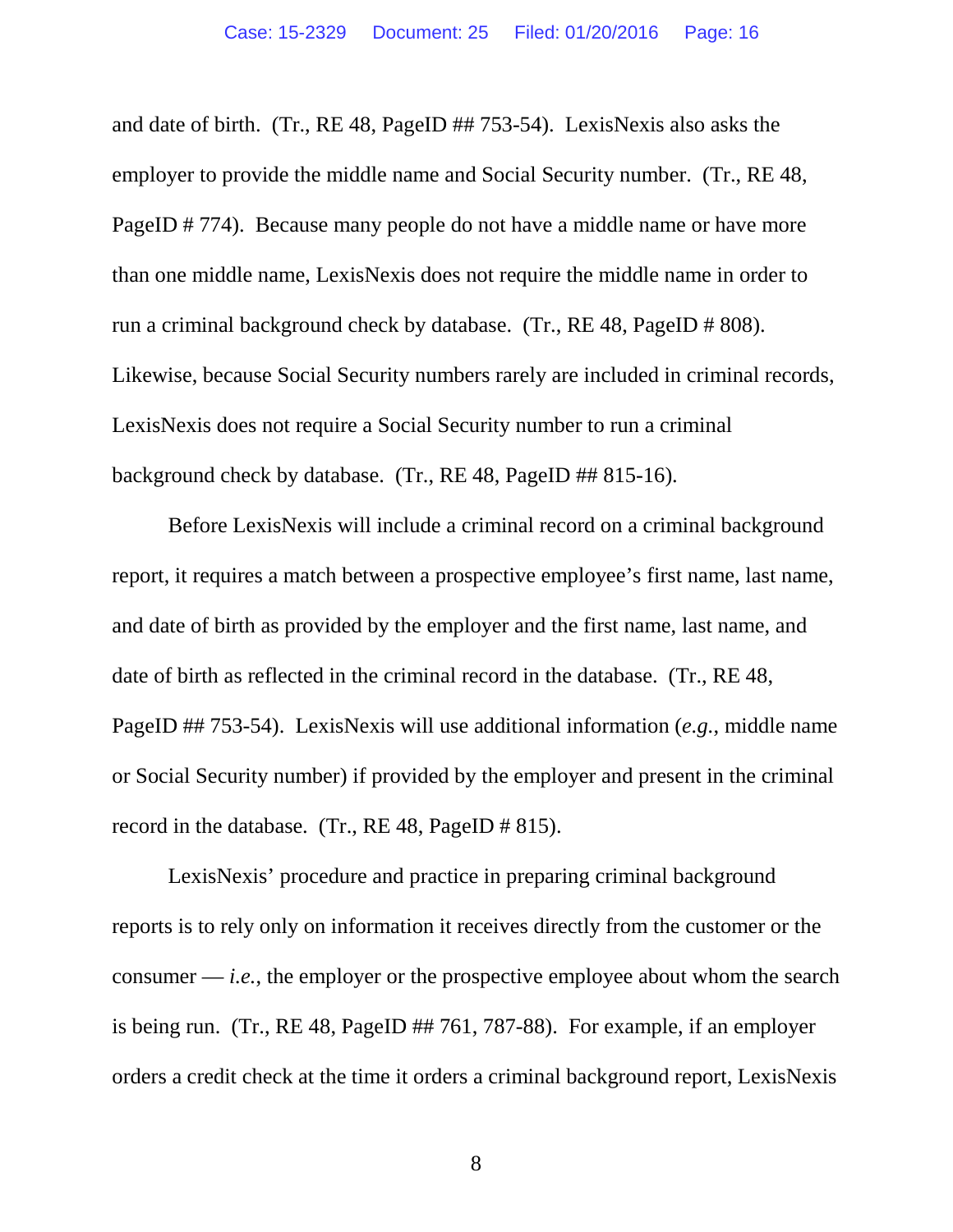and date of birth. (Tr., RE 48, PageID ## 753-54). LexisNexis also asks the employer to provide the middle name and Social Security number. (Tr., RE 48, PageID # 774). Because many people do not have a middle name or have more than one middle name, LexisNexis does not require the middle name in order to run a criminal background check by database. (Tr., RE 48, PageID # 808). Likewise, because Social Security numbers rarely are included in criminal records, LexisNexis does not require a Social Security number to run a criminal background check by database. (Tr., RE 48, PageID ## 815-16).

Before LexisNexis will include a criminal record on a criminal background report, it requires a match between a prospective employee's first name, last name, and date of birth as provided by the employer and the first name, last name, and date of birth as reflected in the criminal record in the database. (Tr., RE 48, PageID ## 753-54). LexisNexis will use additional information (*e.g.*, middle name or Social Security number) if provided by the employer and present in the criminal record in the database. (Tr., RE 48, PageID # 815).

LexisNexis' procedure and practice in preparing criminal background reports is to rely only on information it receives directly from the customer or the consumer — *i.e.*, the employer or the prospective employee about whom the search is being run. (Tr., RE 48, PageID ## 761, 787-88). For example, if an employer orders a credit check at the time it orders a criminal background report, LexisNexis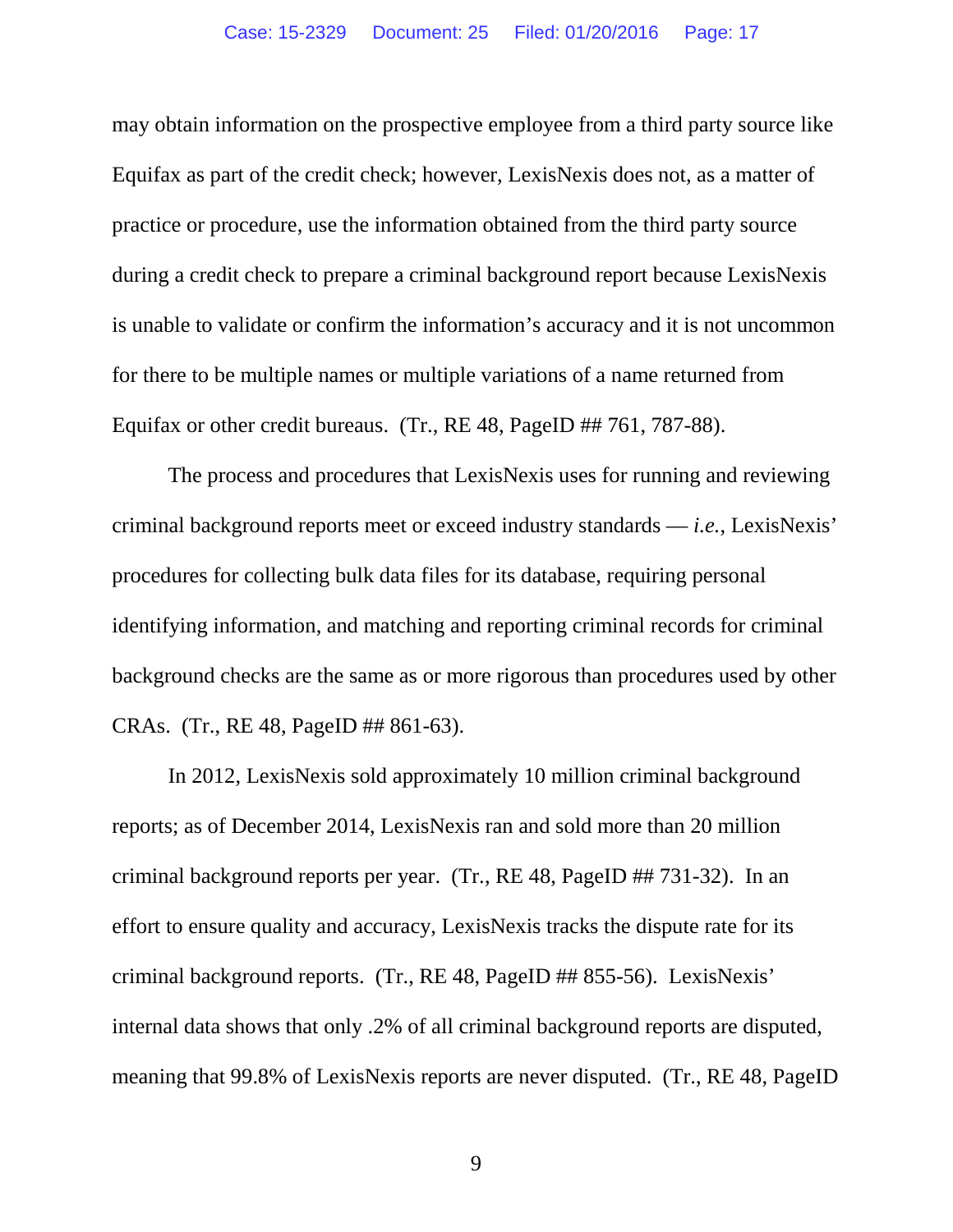may obtain information on the prospective employee from a third party source like Equifax as part of the credit check; however, LexisNexis does not, as a matter of practice or procedure, use the information obtained from the third party source during a credit check to prepare a criminal background report because LexisNexis is unable to validate or confirm the information's accuracy and it is not uncommon for there to be multiple names or multiple variations of a name returned from Equifax or other credit bureaus. (Tr., RE 48, PageID ## 761, 787-88).

The process and procedures that LexisNexis uses for running and reviewing criminal background reports meet or exceed industry standards — *i.e.*, LexisNexis' procedures for collecting bulk data files for its database, requiring personal identifying information, and matching and reporting criminal records for criminal background checks are the same as or more rigorous than procedures used by other CRAs. (Tr., RE 48, PageID ## 861-63).

In 2012, LexisNexis sold approximately 10 million criminal background reports; as of December 2014, LexisNexis ran and sold more than 20 million criminal background reports per year. (Tr., RE 48, PageID ## 731-32). In an effort to ensure quality and accuracy, LexisNexis tracks the dispute rate for its criminal background reports. (Tr., RE 48, PageID ## 855-56). LexisNexis' internal data shows that only .2% of all criminal background reports are disputed, meaning that 99.8% of LexisNexis reports are never disputed. (Tr., RE 48, PageID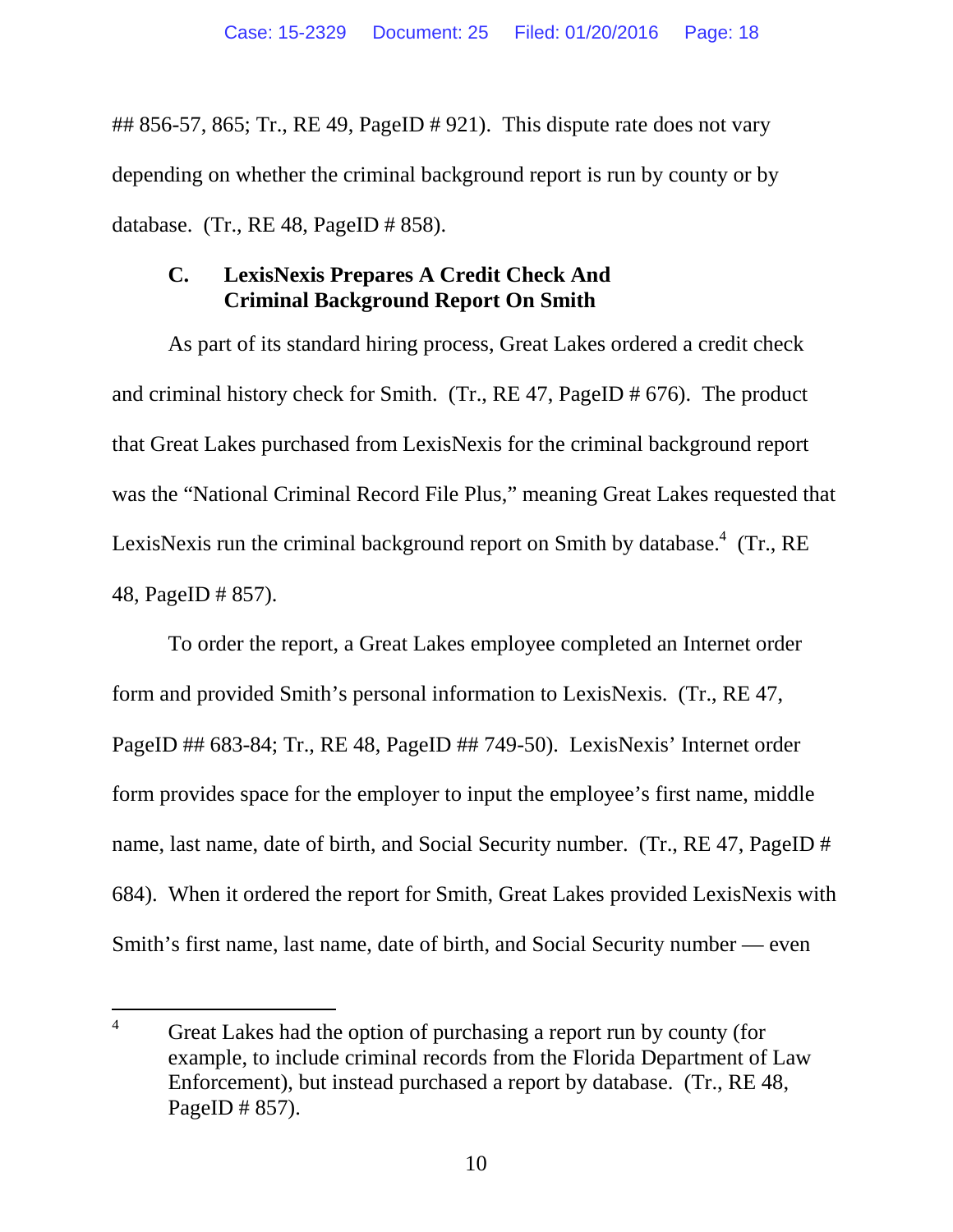## 856-57, 865; Tr., RE 49, PageID  $\#$  921). This dispute rate does not vary depending on whether the criminal background report is run by county or by database. (Tr., RE 48, PageID # 858).

# **C. LexisNexis Prepares A Credit Check And Criminal Background Report On Smith**

As part of its standard hiring process, Great Lakes ordered a credit check and criminal history check for Smith. (Tr., RE 47, PageID # 676). The product that Great Lakes purchased from LexisNexis for the criminal background report was the "National Criminal Record File Plus," meaning Great Lakes requested that LexisNexis run the criminal background report on Smith by database.<sup>4</sup> (Tr., RE 48, PageID # 857).

To order the report, a Great Lakes employee completed an Internet order form and provided Smith's personal information to LexisNexis. (Tr., RE 47, PageID ## 683-84; Tr., RE 48, PageID ## 749-50). LexisNexis' Internet order form provides space for the employer to input the employee's first name, middle name, last name, date of birth, and Social Security number. (Tr., RE 47, PageID # 684). When it ordered the report for Smith, Great Lakes provided LexisNexis with Smith's first name, last name, date of birth, and Social Security number — even

<sup>&</sup>lt;sup>4</sup> Great Lakes had the option of purchasing a report run by county (for example, to include criminal records from the Florida Department of Law Enforcement), but instead purchased a report by database. (Tr., RE 48, PageID # 857).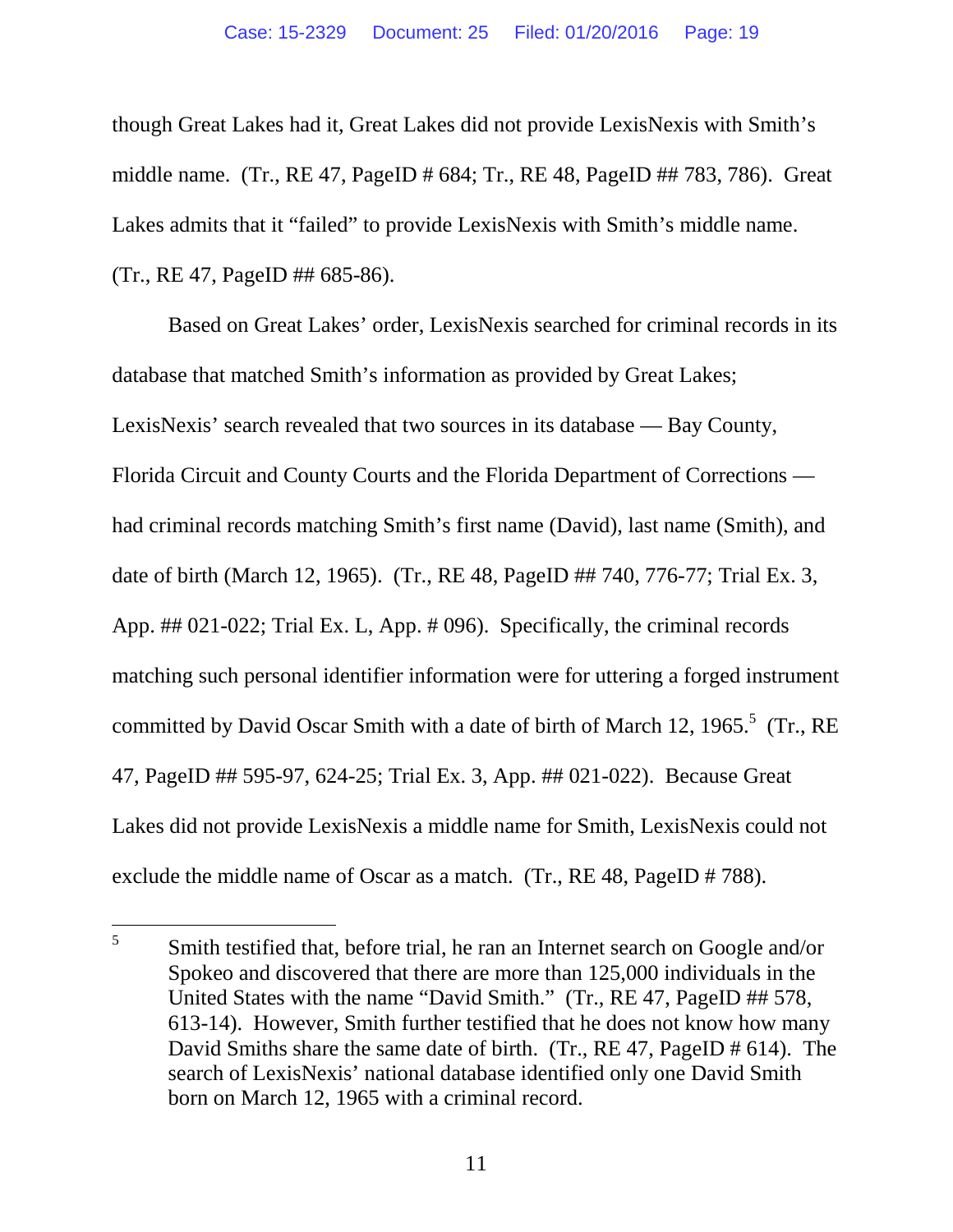though Great Lakes had it, Great Lakes did not provide LexisNexis with Smith's middle name. (Tr., RE 47, PageID # 684; Tr., RE 48, PageID ## 783, 786). Great Lakes admits that it "failed" to provide LexisNexis with Smith's middle name. (Tr., RE 47, PageID ## 685-86).

Based on Great Lakes' order, LexisNexis searched for criminal records in its database that matched Smith's information as provided by Great Lakes; LexisNexis' search revealed that two sources in its database — Bay County, Florida Circuit and County Courts and the Florida Department of Corrections had criminal records matching Smith's first name (David), last name (Smith), and date of birth (March 12, 1965). (Tr., RE 48, PageID ## 740, 776-77; Trial Ex. 3, App. ## 021-022; Trial Ex. L, App. # 096). Specifically, the criminal records matching such personal identifier information were for uttering a forged instrument committed by David Oscar Smith with a date of birth of March 12, 1965. $5$  (Tr., RE 47, PageID ## 595-97, 624-25; Trial Ex. 3, App. ## 021-022). Because Great Lakes did not provide LexisNexis a middle name for Smith, LexisNexis could not exclude the middle name of Oscar as a match. (Tr., RE 48, PageID # 788).

<sup>5</sup> Smith testified that, before trial, he ran an Internet search on Google and/or Spokeo and discovered that there are more than 125,000 individuals in the United States with the name "David Smith." (Tr., RE 47, PageID ## 578, 613-14). However, Smith further testified that he does not know how many David Smiths share the same date of birth. (Tr., RE 47, PageID # 614). The search of LexisNexis' national database identified only one David Smith born on March 12, 1965 with a criminal record.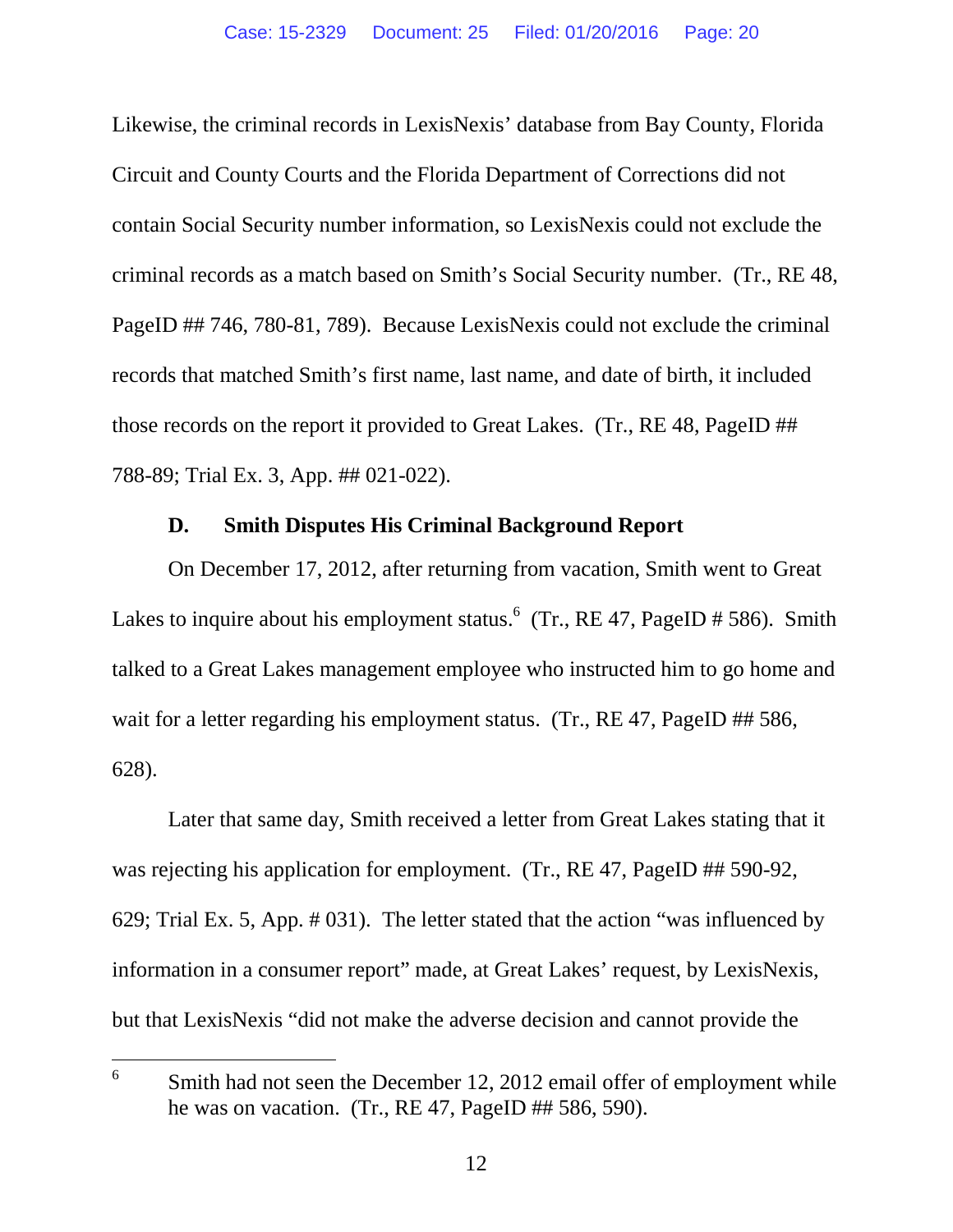Likewise, the criminal records in LexisNexis' database from Bay County, Florida Circuit and County Courts and the Florida Department of Corrections did not contain Social Security number information, so LexisNexis could not exclude the criminal records as a match based on Smith's Social Security number. (Tr., RE 48, PageID ## 746, 780-81, 789). Because LexisNexis could not exclude the criminal records that matched Smith's first name, last name, and date of birth, it included those records on the report it provided to Great Lakes. (Tr., RE 48, PageID ## 788-89; Trial Ex. 3, App. ## 021-022).

#### **D. Smith Disputes His Criminal Background Report**

On December 17, 2012, after returning from vacation, Smith went to Great Lakes to inquire about his employment status.  $6 \text{ (Tr., RE } 47, \text{PageID } \# 586)$ . Smith talked to a Great Lakes management employee who instructed him to go home and wait for a letter regarding his employment status. (Tr., RE 47, PageID ## 586, 628).

Later that same day, Smith received a letter from Great Lakes stating that it was rejecting his application for employment. (Tr., RE 47, PageID ## 590-92, 629; Trial Ex. 5, App. # 031). The letter stated that the action "was influenced by information in a consumer report" made, at Great Lakes' request, by LexisNexis, but that LexisNexis "did not make the adverse decision and cannot provide the

<sup>6</sup> Smith had not seen the December 12, 2012 email offer of employment while he was on vacation. (Tr.,  $RE\,47$ ,  $PageID\,\#H\,586, 590$ ).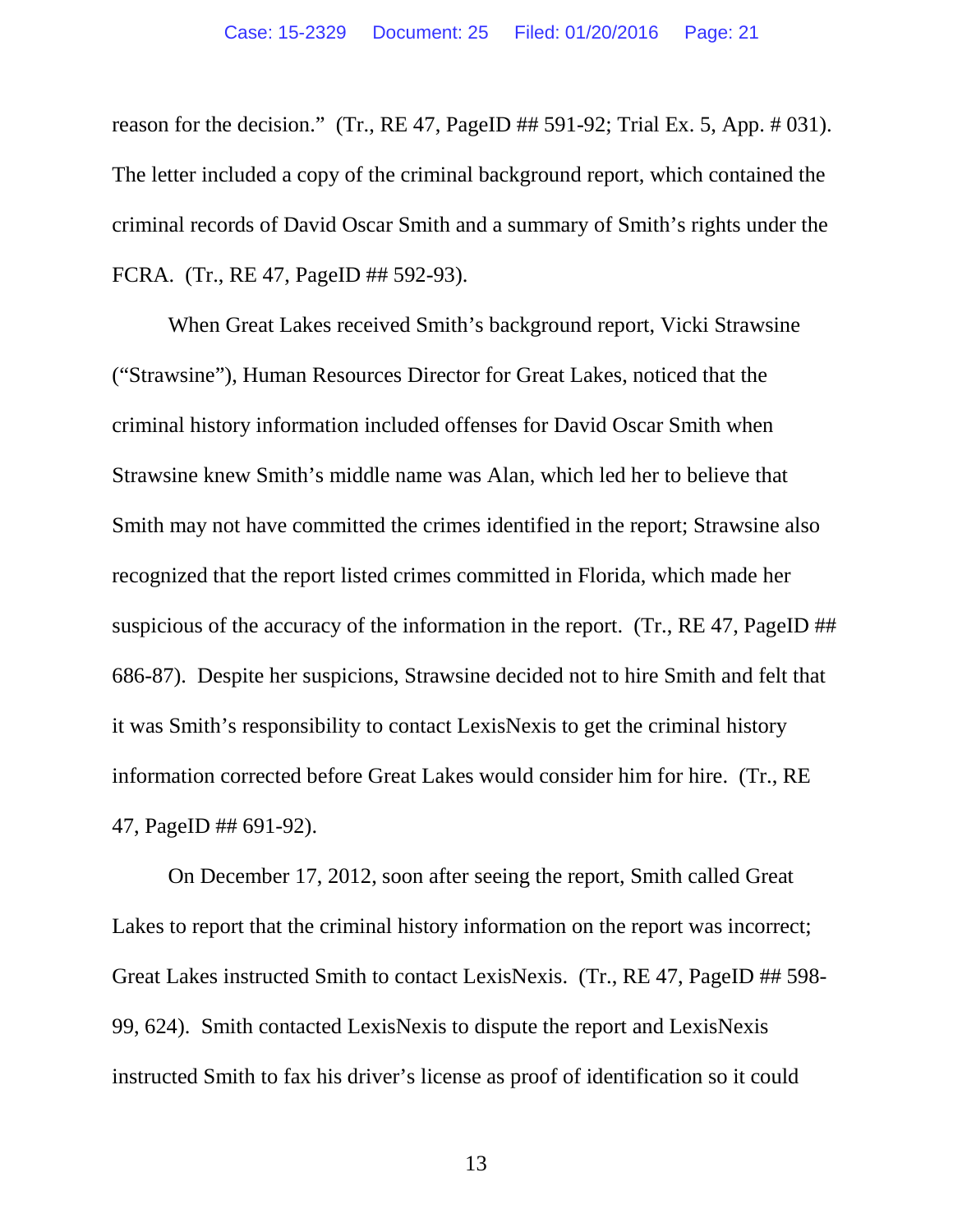reason for the decision." (Tr., RE 47, PageID ## 591-92; Trial Ex. 5, App. # 031). The letter included a copy of the criminal background report, which contained the criminal records of David Oscar Smith and a summary of Smith's rights under the FCRA. (Tr., RE 47, PageID ## 592-93).

When Great Lakes received Smith's background report, Vicki Strawsine ("Strawsine"), Human Resources Director for Great Lakes, noticed that the criminal history information included offenses for David Oscar Smith when Strawsine knew Smith's middle name was Alan, which led her to believe that Smith may not have committed the crimes identified in the report; Strawsine also recognized that the report listed crimes committed in Florida, which made her suspicious of the accuracy of the information in the report. (Tr., RE 47, PageID ## 686-87). Despite her suspicions, Strawsine decided not to hire Smith and felt that it was Smith's responsibility to contact LexisNexis to get the criminal history information corrected before Great Lakes would consider him for hire. (Tr., RE 47, PageID ## 691-92).

On December 17, 2012, soon after seeing the report, Smith called Great Lakes to report that the criminal history information on the report was incorrect; Great Lakes instructed Smith to contact LexisNexis. (Tr., RE 47, PageID ## 598- 99, 624). Smith contacted LexisNexis to dispute the report and LexisNexis instructed Smith to fax his driver's license as proof of identification so it could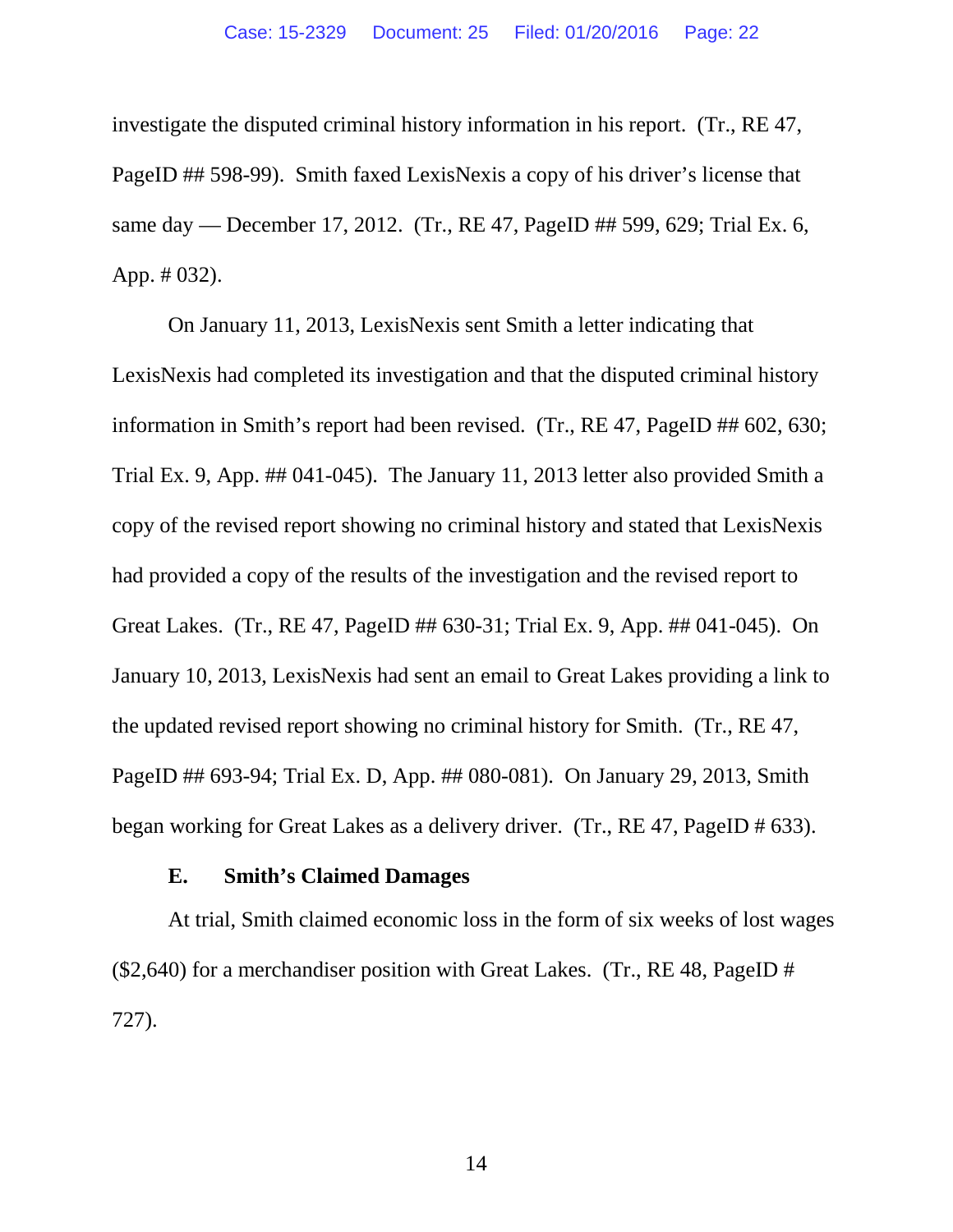investigate the disputed criminal history information in his report. (Tr., RE 47, PageID ## 598-99). Smith faxed LexisNexis a copy of his driver's license that same day — December 17, 2012. (Tr., RE 47, PageID ## 599, 629; Trial Ex. 6, App. # 032).

On January 11, 2013, LexisNexis sent Smith a letter indicating that LexisNexis had completed its investigation and that the disputed criminal history information in Smith's report had been revised. (Tr., RE 47, PageID ## 602, 630; Trial Ex. 9, App. ## 041-045). The January 11, 2013 letter also provided Smith a copy of the revised report showing no criminal history and stated that LexisNexis had provided a copy of the results of the investigation and the revised report to Great Lakes. (Tr., RE 47, PageID ## 630-31; Trial Ex. 9, App. ## 041-045). On January 10, 2013, LexisNexis had sent an email to Great Lakes providing a link to the updated revised report showing no criminal history for Smith. (Tr., RE 47, PageID ## 693-94; Trial Ex. D, App. ## 080-081). On January 29, 2013, Smith began working for Great Lakes as a delivery driver. (Tr., RE 47, PageID # 633).

#### **E. Smith's Claimed Damages**

At trial, Smith claimed economic loss in the form of six weeks of lost wages (\$2,640) for a merchandiser position with Great Lakes. (Tr., RE 48, PageID # 727).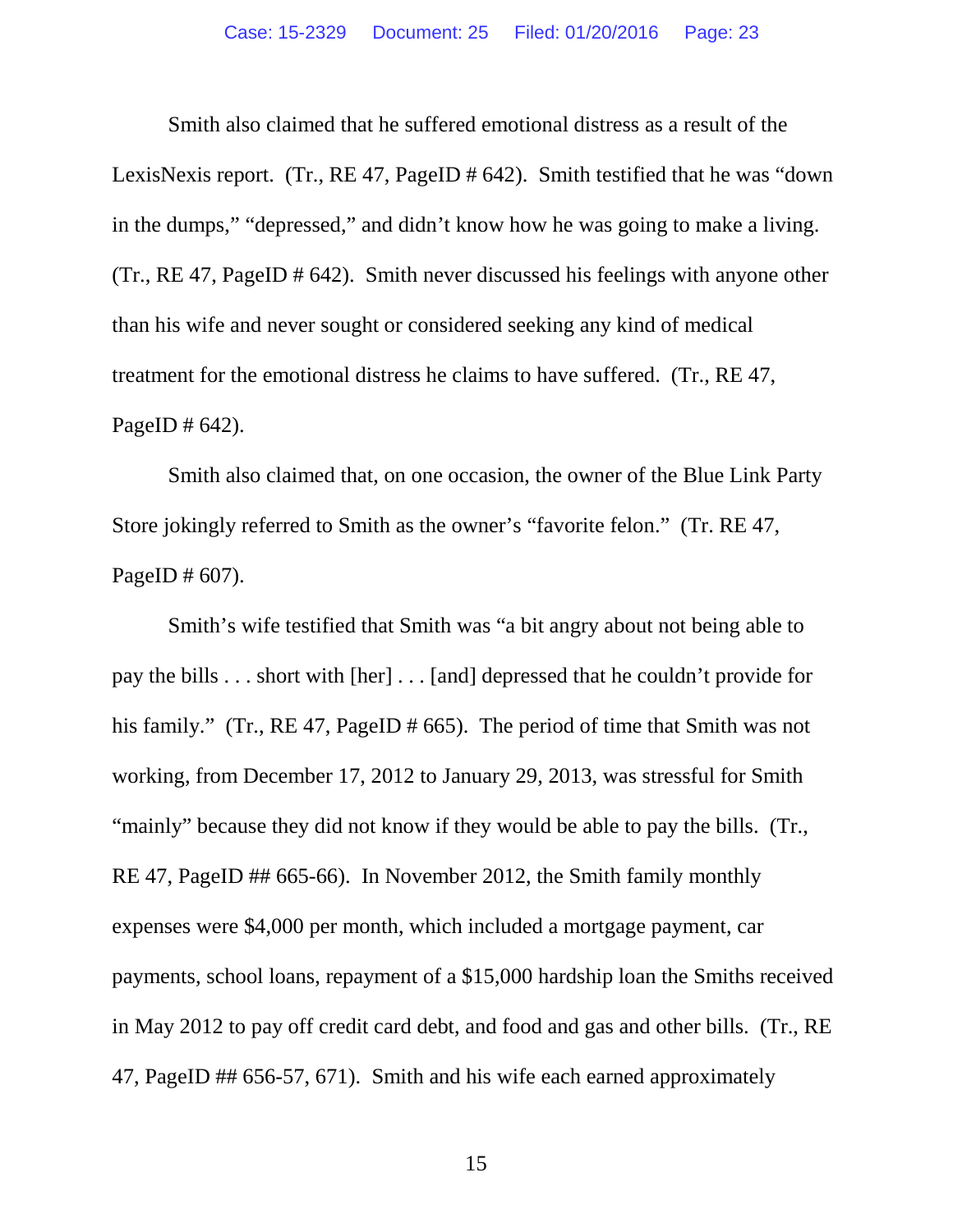Smith also claimed that he suffered emotional distress as a result of the LexisNexis report. (Tr., RE 47, PageID # 642). Smith testified that he was "down in the dumps," "depressed," and didn't know how he was going to make a living. (Tr., RE 47, PageID # 642). Smith never discussed his feelings with anyone other than his wife and never sought or considered seeking any kind of medical treatment for the emotional distress he claims to have suffered. (Tr., RE 47, PageID  $\#$  642).

Smith also claimed that, on one occasion, the owner of the Blue Link Party Store jokingly referred to Smith as the owner's "favorite felon." (Tr. RE 47, PageID # 607).

Smith's wife testified that Smith was "a bit angry about not being able to pay the bills . . . short with [her] . . . [and] depressed that he couldn't provide for his family." (Tr., RE 47, PageID # 665). The period of time that Smith was not working, from December 17, 2012 to January 29, 2013, was stressful for Smith "mainly" because they did not know if they would be able to pay the bills. (Tr., RE 47, PageID ## 665-66). In November 2012, the Smith family monthly expenses were \$4,000 per month, which included a mortgage payment, car payments, school loans, repayment of a \$15,000 hardship loan the Smiths received in May 2012 to pay off credit card debt, and food and gas and other bills. (Tr., RE 47, PageID ## 656-57, 671). Smith and his wife each earned approximately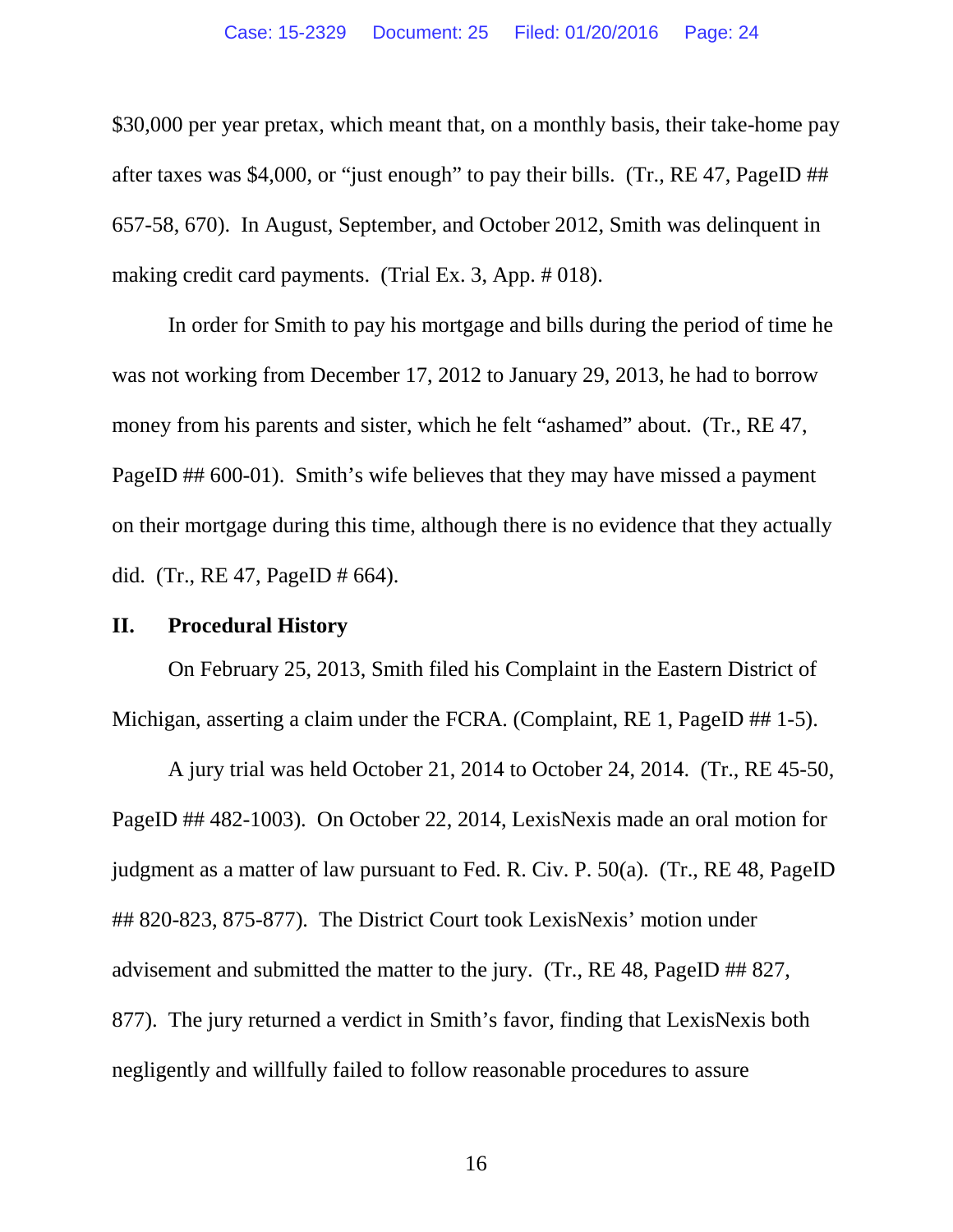\$30,000 per year pretax, which meant that, on a monthly basis, their take-home pay after taxes was \$4,000, or "just enough" to pay their bills. (Tr., RE 47, PageID ## 657-58, 670). In August, September, and October 2012, Smith was delinquent in making credit card payments. (Trial Ex. 3, App. # 018).

In order for Smith to pay his mortgage and bills during the period of time he was not working from December 17, 2012 to January 29, 2013, he had to borrow money from his parents and sister, which he felt "ashamed" about. (Tr., RE 47, PageID ## 600-01). Smith's wife believes that they may have missed a payment on their mortgage during this time, although there is no evidence that they actually did. (Tr., RE 47, PageID # 664).

#### **II. Procedural History**

On February 25, 2013, Smith filed his Complaint in the Eastern District of Michigan, asserting a claim under the FCRA. (Complaint, RE 1, PageID ## 1-5).

A jury trial was held October 21, 2014 to October 24, 2014. (Tr., RE 45-50, PageID ## 482-1003). On October 22, 2014, LexisNexis made an oral motion for judgment as a matter of law pursuant to Fed. R. Civ. P. 50(a). (Tr., RE 48, PageID ## 820-823, 875-877). The District Court took LexisNexis' motion under advisement and submitted the matter to the jury. (Tr., RE 48, PageID ## 827, 877). The jury returned a verdict in Smith's favor, finding that LexisNexis both negligently and willfully failed to follow reasonable procedures to assure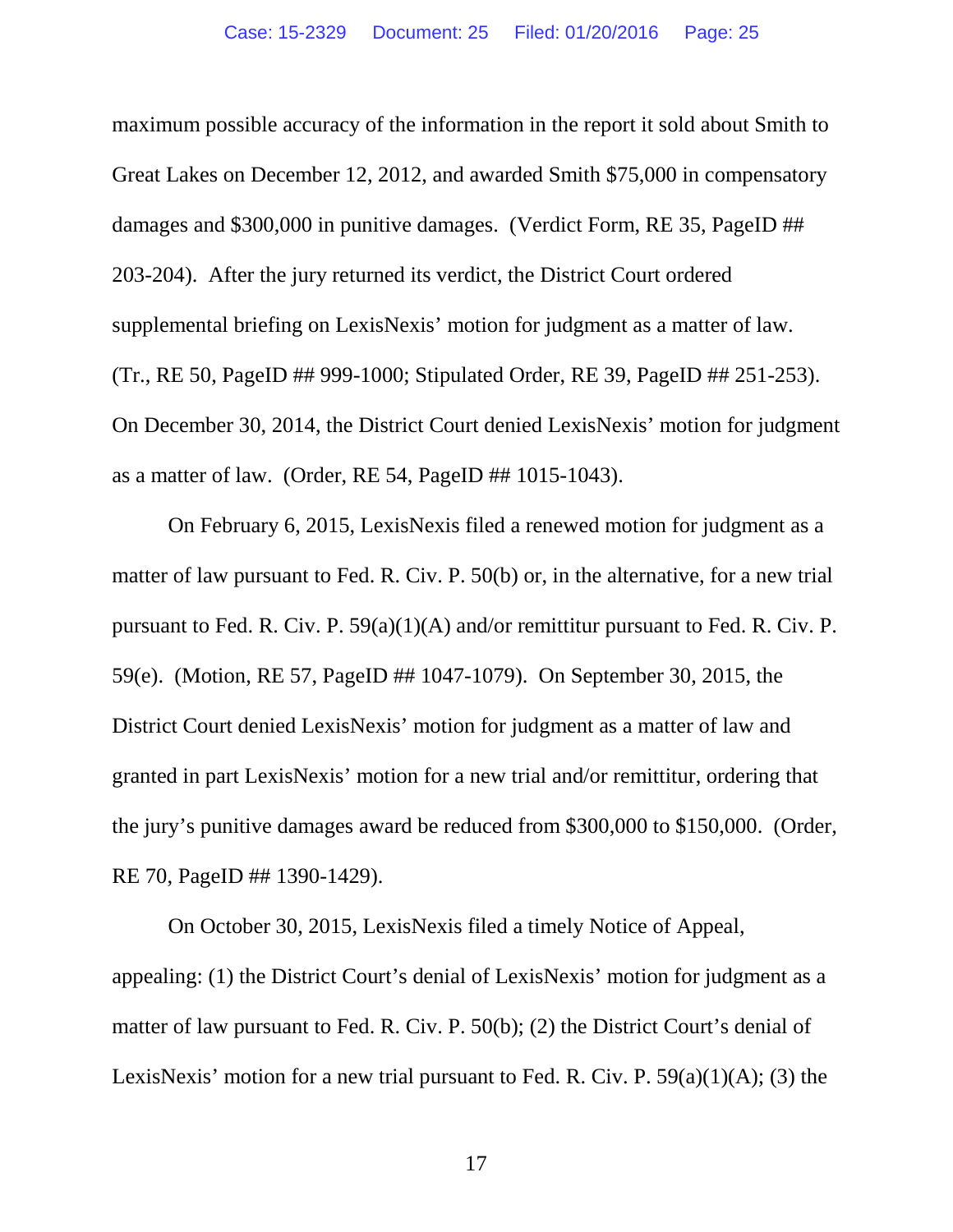maximum possible accuracy of the information in the report it sold about Smith to Great Lakes on December 12, 2012, and awarded Smith \$75,000 in compensatory damages and \$300,000 in punitive damages. (Verdict Form, RE 35, PageID ## 203-204). After the jury returned its verdict, the District Court ordered supplemental briefing on LexisNexis' motion for judgment as a matter of law. (Tr., RE 50, PageID ## 999-1000; Stipulated Order, RE 39, PageID ## 251-253). On December 30, 2014, the District Court denied LexisNexis' motion for judgment as a matter of law. (Order, RE 54, PageID ## 1015-1043).

On February 6, 2015, LexisNexis filed a renewed motion for judgment as a matter of law pursuant to Fed. R. Civ. P. 50(b) or, in the alternative, for a new trial pursuant to Fed. R. Civ. P. 59(a)(1)(A) and/or remittitur pursuant to Fed. R. Civ. P. 59(e). (Motion, RE 57, PageID ## 1047-1079). On September 30, 2015, the District Court denied LexisNexis' motion for judgment as a matter of law and granted in part LexisNexis' motion for a new trial and/or remittitur, ordering that the jury's punitive damages award be reduced from \$300,000 to \$150,000. (Order, RE 70, PageID ## 1390-1429).

On October 30, 2015, LexisNexis filed a timely Notice of Appeal, appealing: (1) the District Court's denial of LexisNexis' motion for judgment as a matter of law pursuant to Fed. R. Civ. P. 50(b); (2) the District Court's denial of LexisNexis' motion for a new trial pursuant to Fed. R. Civ. P.  $59(a)(1)(A)$ ; (3) the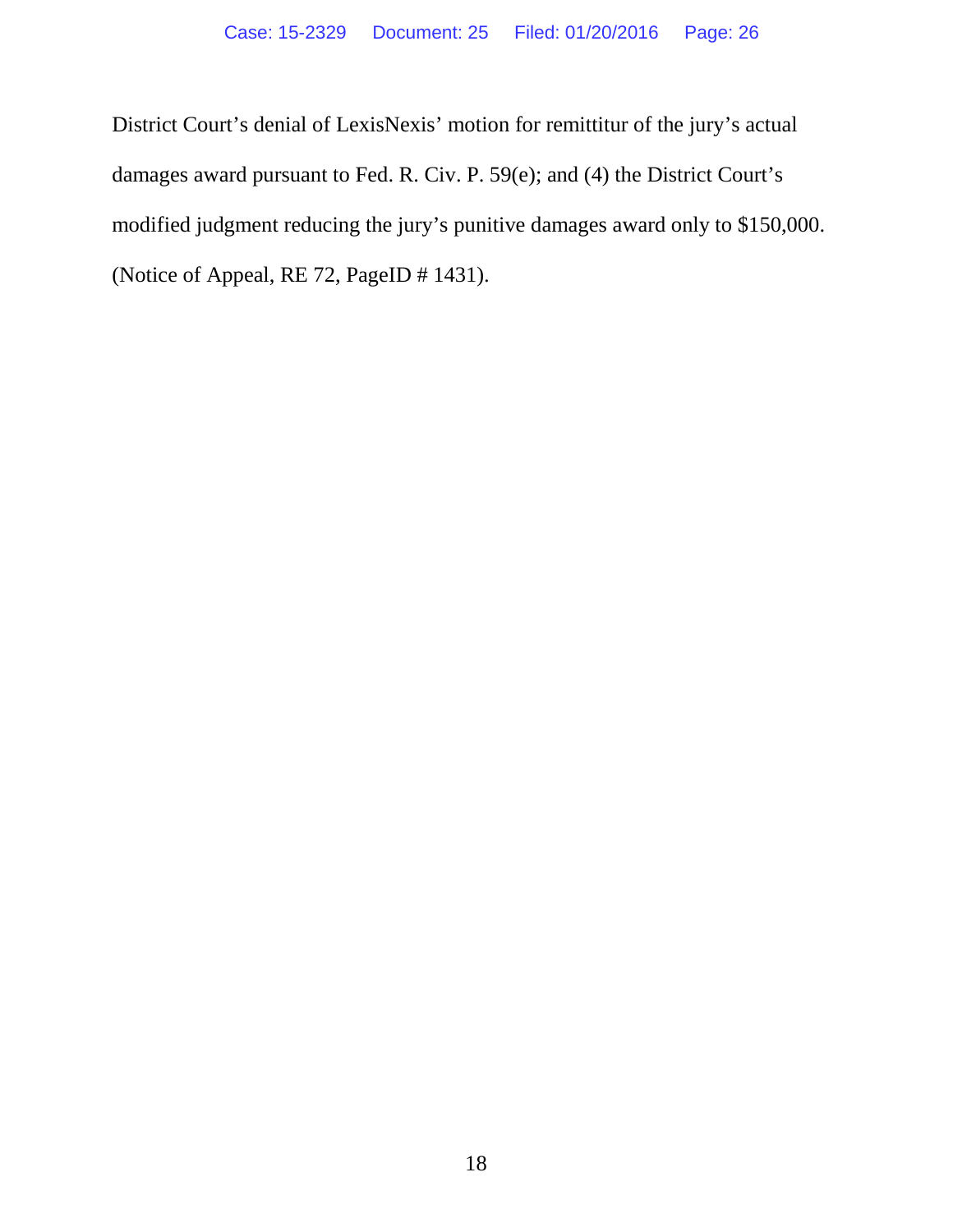District Court's denial of LexisNexis' motion for remittitur of the jury's actual damages award pursuant to Fed. R. Civ. P. 59(e); and (4) the District Court's modified judgment reducing the jury's punitive damages award only to \$150,000. (Notice of Appeal, RE 72, PageID # 1431).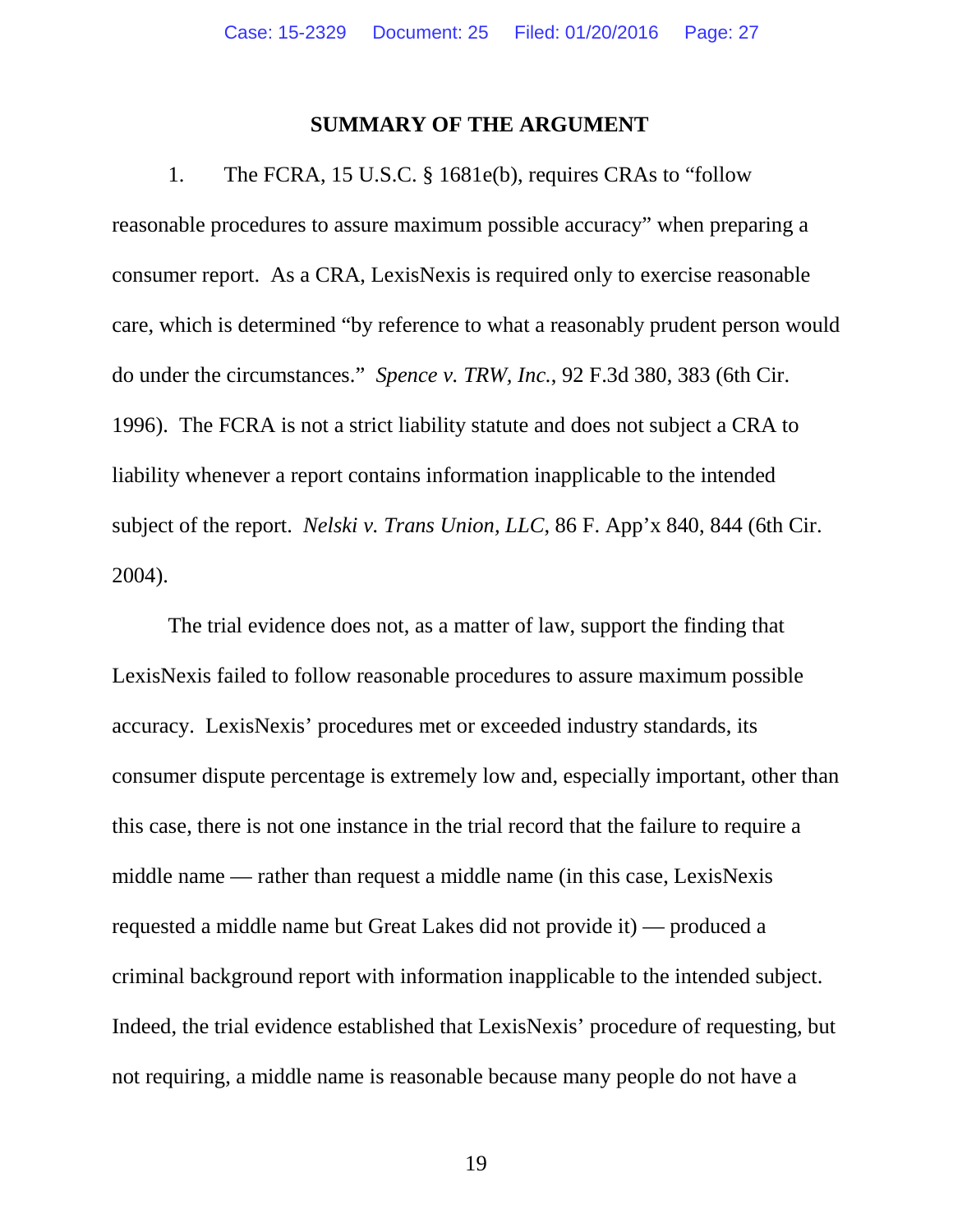#### **SUMMARY OF THE ARGUMENT**

1. The FCRA, 15 U.S.C. § 1681e(b), requires CRAs to "follow reasonable procedures to assure maximum possible accuracy" when preparing a consumer report. As a CRA, LexisNexis is required only to exercise reasonable care, which is determined "by reference to what a reasonably prudent person would do under the circumstances." *Spence v. TRW, Inc.*, 92 F.3d 380, 383 (6th Cir. 1996). The FCRA is not a strict liability statute and does not subject a CRA to liability whenever a report contains information inapplicable to the intended subject of the report. *Nelski v. Trans Union, LLC*, 86 F. App'x 840, 844 (6th Cir. 2004).

The trial evidence does not, as a matter of law, support the finding that LexisNexis failed to follow reasonable procedures to assure maximum possible accuracy. LexisNexis' procedures met or exceeded industry standards, its consumer dispute percentage is extremely low and, especially important, other than this case, there is not one instance in the trial record that the failure to require a middle name — rather than request a middle name (in this case, LexisNexis requested a middle name but Great Lakes did not provide it) — produced a criminal background report with information inapplicable to the intended subject. Indeed, the trial evidence established that LexisNexis' procedure of requesting, but not requiring, a middle name is reasonable because many people do not have a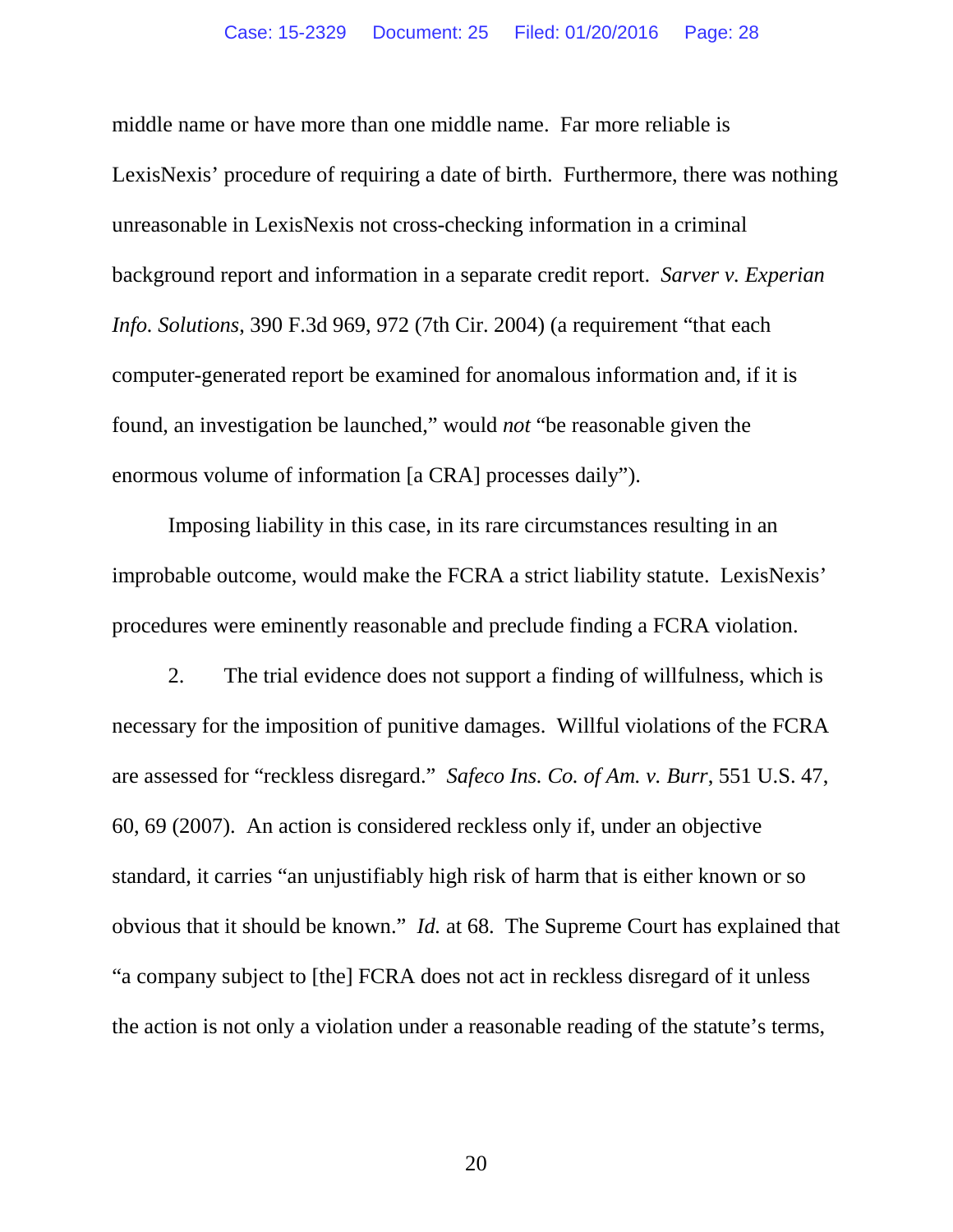middle name or have more than one middle name. Far more reliable is LexisNexis' procedure of requiring a date of birth. Furthermore, there was nothing unreasonable in LexisNexis not cross-checking information in a criminal background report and information in a separate credit report. *Sarver v. Experian Info. Solutions*, 390 F.3d 969, 972 (7th Cir. 2004) (a requirement "that each computer-generated report be examined for anomalous information and, if it is found, an investigation be launched," would *not* "be reasonable given the enormous volume of information [a CRA] processes daily").

Imposing liability in this case, in its rare circumstances resulting in an improbable outcome, would make the FCRA a strict liability statute. LexisNexis' procedures were eminently reasonable and preclude finding a FCRA violation.

2. The trial evidence does not support a finding of willfulness, which is necessary for the imposition of punitive damages. Willful violations of the FCRA are assessed for "reckless disregard." *Safeco Ins. Co. of Am. v. Burr*, 551 U.S. 47, 60, 69 (2007). An action is considered reckless only if, under an objective standard, it carries "an unjustifiably high risk of harm that is either known or so obvious that it should be known." *Id.* at 68. The Supreme Court has explained that "a company subject to [the] FCRA does not act in reckless disregard of it unless the action is not only a violation under a reasonable reading of the statute's terms,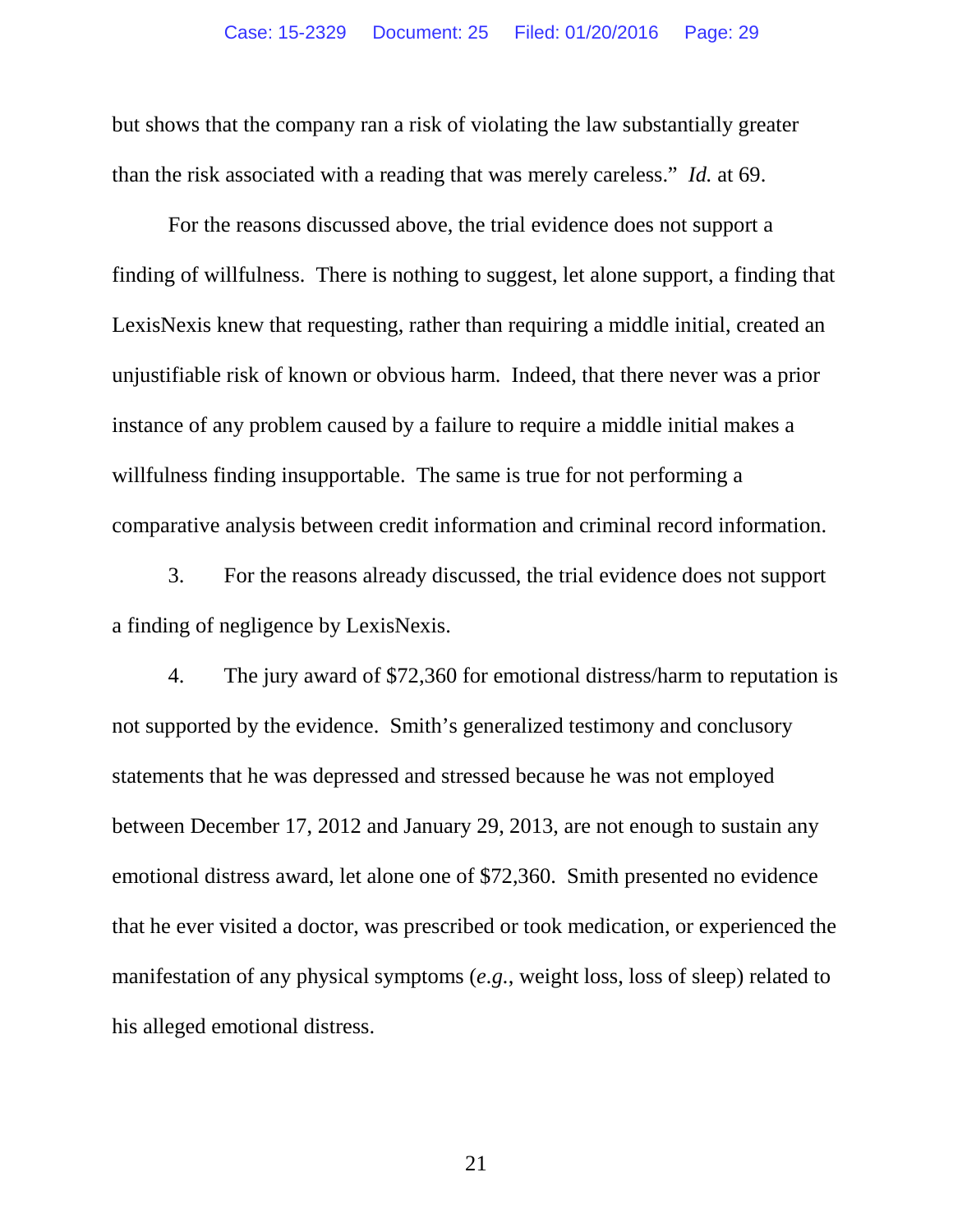but shows that the company ran a risk of violating the law substantially greater than the risk associated with a reading that was merely careless." *Id.* at 69.

For the reasons discussed above, the trial evidence does not support a finding of willfulness. There is nothing to suggest, let alone support, a finding that LexisNexis knew that requesting, rather than requiring a middle initial, created an unjustifiable risk of known or obvious harm. Indeed, that there never was a prior instance of any problem caused by a failure to require a middle initial makes a willfulness finding insupportable. The same is true for not performing a comparative analysis between credit information and criminal record information.

3. For the reasons already discussed, the trial evidence does not support a finding of negligence by LexisNexis.

4. The jury award of \$72,360 for emotional distress/harm to reputation is not supported by the evidence. Smith's generalized testimony and conclusory statements that he was depressed and stressed because he was not employed between December 17, 2012 and January 29, 2013, are not enough to sustain any emotional distress award, let alone one of \$72,360. Smith presented no evidence that he ever visited a doctor, was prescribed or took medication, or experienced the manifestation of any physical symptoms (*e.g.*, weight loss, loss of sleep) related to his alleged emotional distress.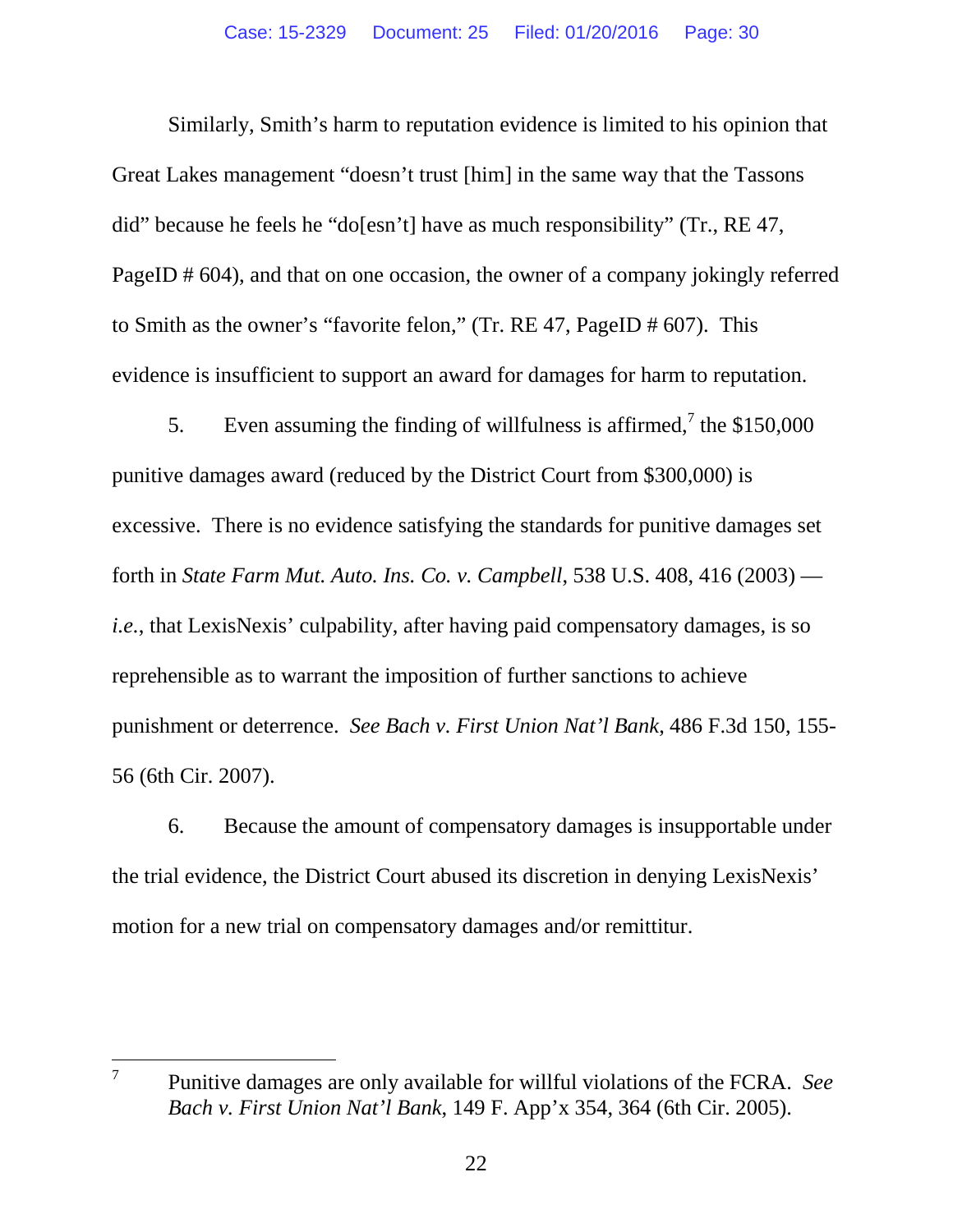Similarly, Smith's harm to reputation evidence is limited to his opinion that Great Lakes management "doesn't trust [him] in the same way that the Tassons did" because he feels he "do[esn't] have as much responsibility" (Tr., RE 47, PageID # 604), and that on one occasion, the owner of a company jokingly referred to Smith as the owner's "favorite felon," (Tr. RE 47, PageID # 607). This evidence is insufficient to support an award for damages for harm to reputation.

5. Even assuming the finding of willfulness is affirmed,<sup>7</sup> the \$150,000 punitive damages award (reduced by the District Court from \$300,000) is excessive. There is no evidence satisfying the standards for punitive damages set forth in *State Farm Mut. Auto. Ins. Co. v. Campbell*, 538 U.S. 408, 416 (2003) *i.e.*, that LexisNexis' culpability, after having paid compensatory damages, is so reprehensible as to warrant the imposition of further sanctions to achieve punishment or deterrence. *See Bach v. First Union Nat'l Bank*, 486 F.3d 150, 155- 56 (6th Cir. 2007).

6. Because the amount of compensatory damages is insupportable under the trial evidence, the District Court abused its discretion in denying LexisNexis' motion for a new trial on compensatory damages and/or remittitur.

<sup>7</sup> Punitive damages are only available for willful violations of the FCRA. *See Bach v. First Union Nat'l Bank*, 149 F. App'x 354, 364 (6th Cir. 2005).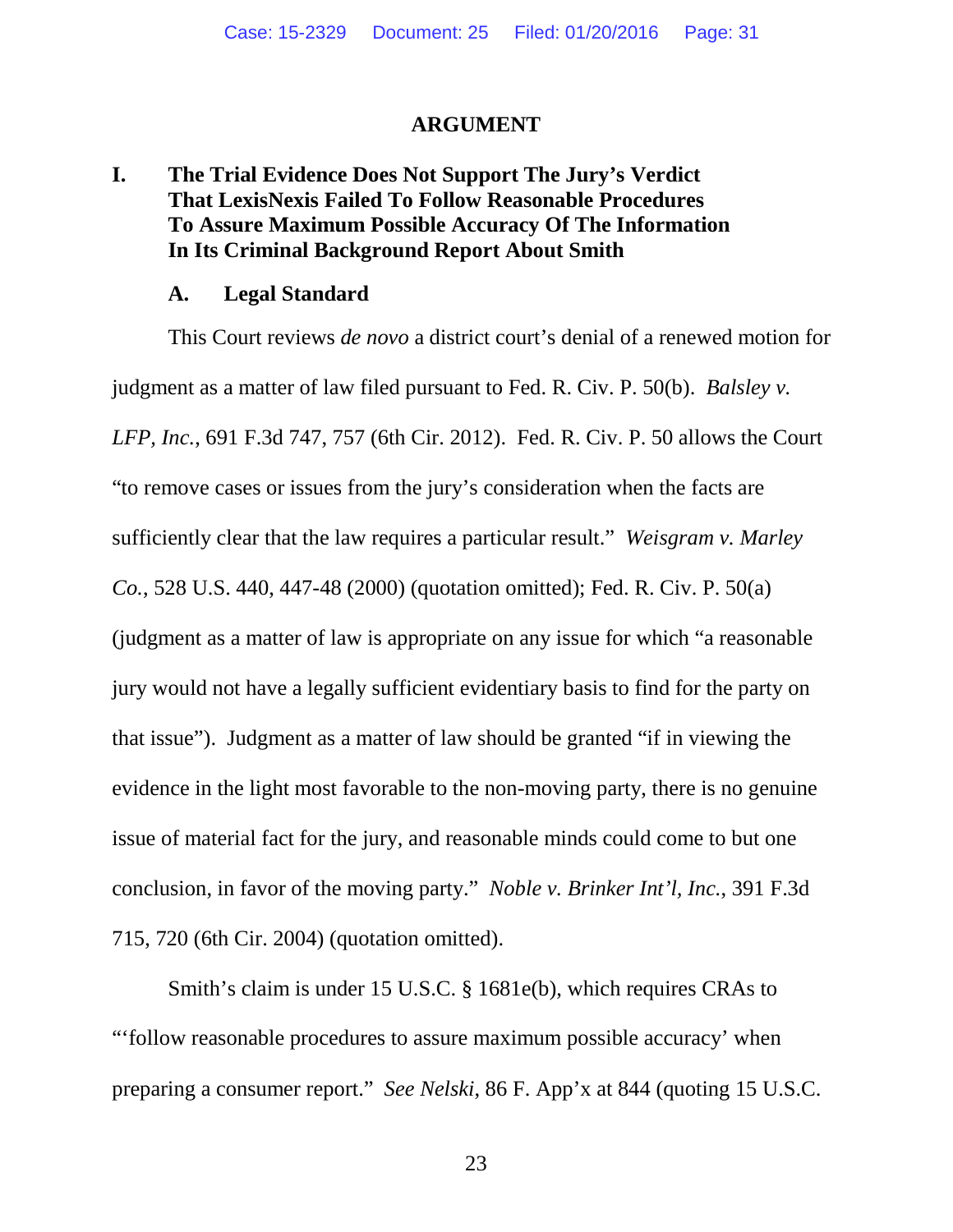#### **ARGUMENT**

# **I. The Trial Evidence Does Not Support The Jury's Verdict That LexisNexis Failed To Follow Reasonable Procedures To Assure Maximum Possible Accuracy Of The Information In Its Criminal Background Report About Smith**

#### **A. Legal Standard**

This Court reviews *de novo* a district court's denial of a renewed motion for judgment as a matter of law filed pursuant to Fed. R. Civ. P. 50(b). *Balsley v. LFP, Inc.*, 691 F.3d 747, 757 (6th Cir. 2012). Fed. R. Civ. P. 50 allows the Court "to remove cases or issues from the jury's consideration when the facts are sufficiently clear that the law requires a particular result." *Weisgram v. Marley Co.*, 528 U.S. 440, 447-48 (2000) (quotation omitted); Fed. R. Civ. P. 50(a) (judgment as a matter of law is appropriate on any issue for which "a reasonable jury would not have a legally sufficient evidentiary basis to find for the party on that issue"). Judgment as a matter of law should be granted "if in viewing the evidence in the light most favorable to the non-moving party, there is no genuine issue of material fact for the jury, and reasonable minds could come to but one conclusion, in favor of the moving party." *Noble v. Brinker Int'l, Inc.*, 391 F.3d 715, 720 (6th Cir. 2004) (quotation omitted).

Smith's claim is under 15 U.S.C. § 1681e(b), which requires CRAs to "'follow reasonable procedures to assure maximum possible accuracy' when preparing a consumer report." *See Nelski*, 86 F. App'x at 844 (quoting 15 U.S.C.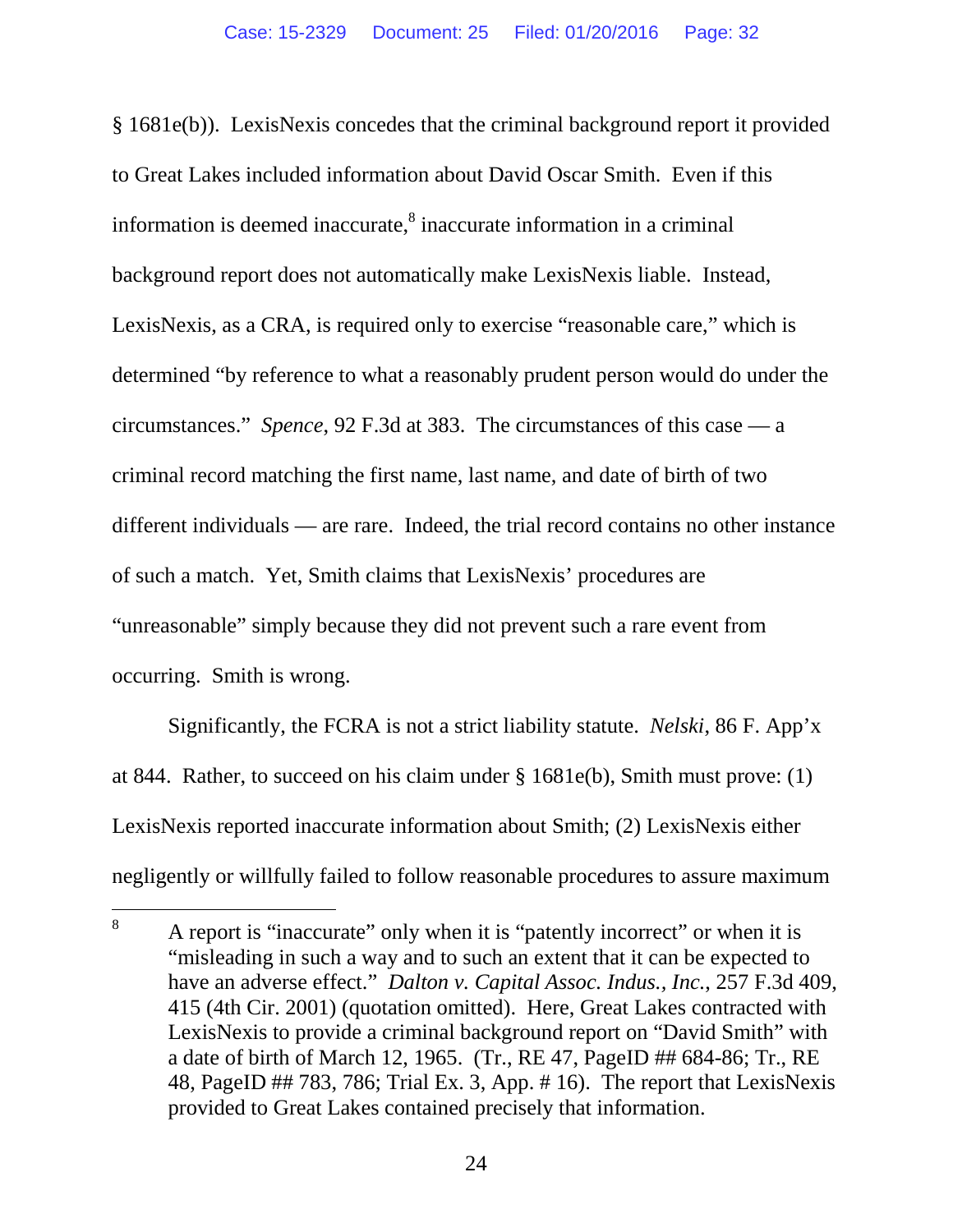§ 1681e(b)). LexisNexis concedes that the criminal background report it provided to Great Lakes included information about David Oscar Smith. Even if this information is deemed inaccurate, ${}^{8}$  inaccurate information in a criminal background report does not automatically make LexisNexis liable. Instead, LexisNexis, as a CRA, is required only to exercise "reasonable care," which is determined "by reference to what a reasonably prudent person would do under the circumstances." *Spence*, 92 F.3d at 383. The circumstances of this case — a criminal record matching the first name, last name, and date of birth of two different individuals — are rare. Indeed, the trial record contains no other instance of such a match. Yet, Smith claims that LexisNexis' procedures are "unreasonable" simply because they did not prevent such a rare event from occurring. Smith is wrong.

Significantly, the FCRA is not a strict liability statute. *Nelski*, 86 F. App'x at 844. Rather, to succeed on his claim under § 1681e(b), Smith must prove: (1) LexisNexis reported inaccurate information about Smith; (2) LexisNexis either negligently or willfully failed to follow reasonable procedures to assure maximum

<sup>&</sup>lt;sup>8</sup> A report is "inaccurate" only when it is "patently incorrect" or when it is "misleading in such a way and to such an extent that it can be expected to have an adverse effect." *Dalton v. Capital Assoc. Indus., Inc.*, 257 F.3d 409, 415 (4th Cir. 2001) (quotation omitted). Here, Great Lakes contracted with LexisNexis to provide a criminal background report on "David Smith" with a date of birth of March 12, 1965. (Tr., RE 47, PageID ## 684-86; Tr., RE 48, PageID ## 783, 786; Trial Ex. 3, App. # 16). The report that LexisNexis provided to Great Lakes contained precisely that information.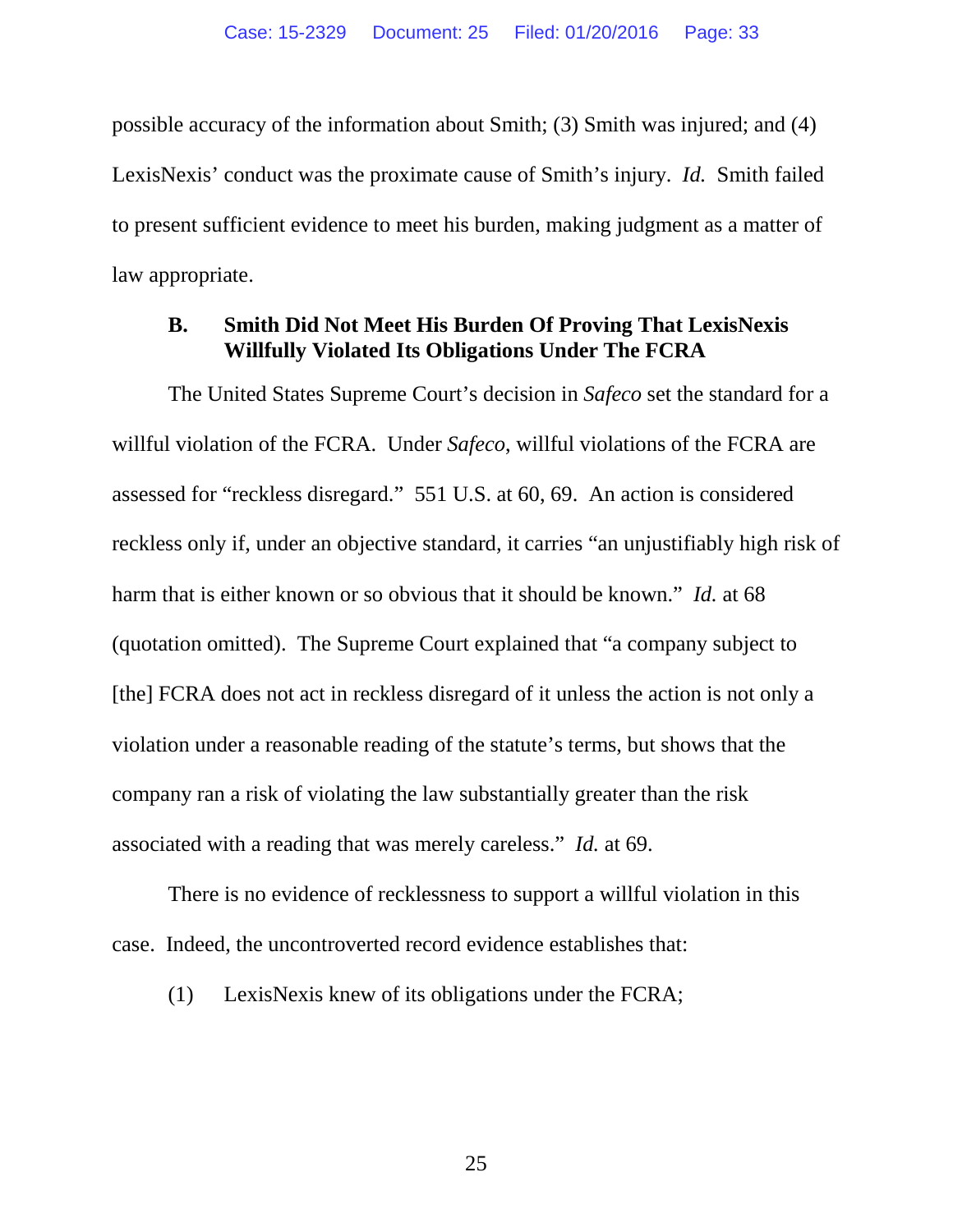possible accuracy of the information about Smith; (3) Smith was injured; and (4) LexisNexis' conduct was the proximate cause of Smith's injury. *Id.* Smith failed to present sufficient evidence to meet his burden, making judgment as a matter of law appropriate.

#### **B. Smith Did Not Meet His Burden Of Proving That LexisNexis Willfully Violated Its Obligations Under The FCRA**

The United States Supreme Court's decision in *Safeco* set the standard for a willful violation of the FCRA. Under *Safeco*, willful violations of the FCRA are assessed for "reckless disregard." 551 U.S. at 60, 69. An action is considered reckless only if, under an objective standard, it carries "an unjustifiably high risk of harm that is either known or so obvious that it should be known." *Id.* at 68 (quotation omitted). The Supreme Court explained that "a company subject to [the] FCRA does not act in reckless disregard of it unless the action is not only a violation under a reasonable reading of the statute's terms, but shows that the company ran a risk of violating the law substantially greater than the risk associated with a reading that was merely careless." *Id.* at 69.

There is no evidence of recklessness to support a willful violation in this case. Indeed, the uncontroverted record evidence establishes that:

(1) LexisNexis knew of its obligations under the FCRA;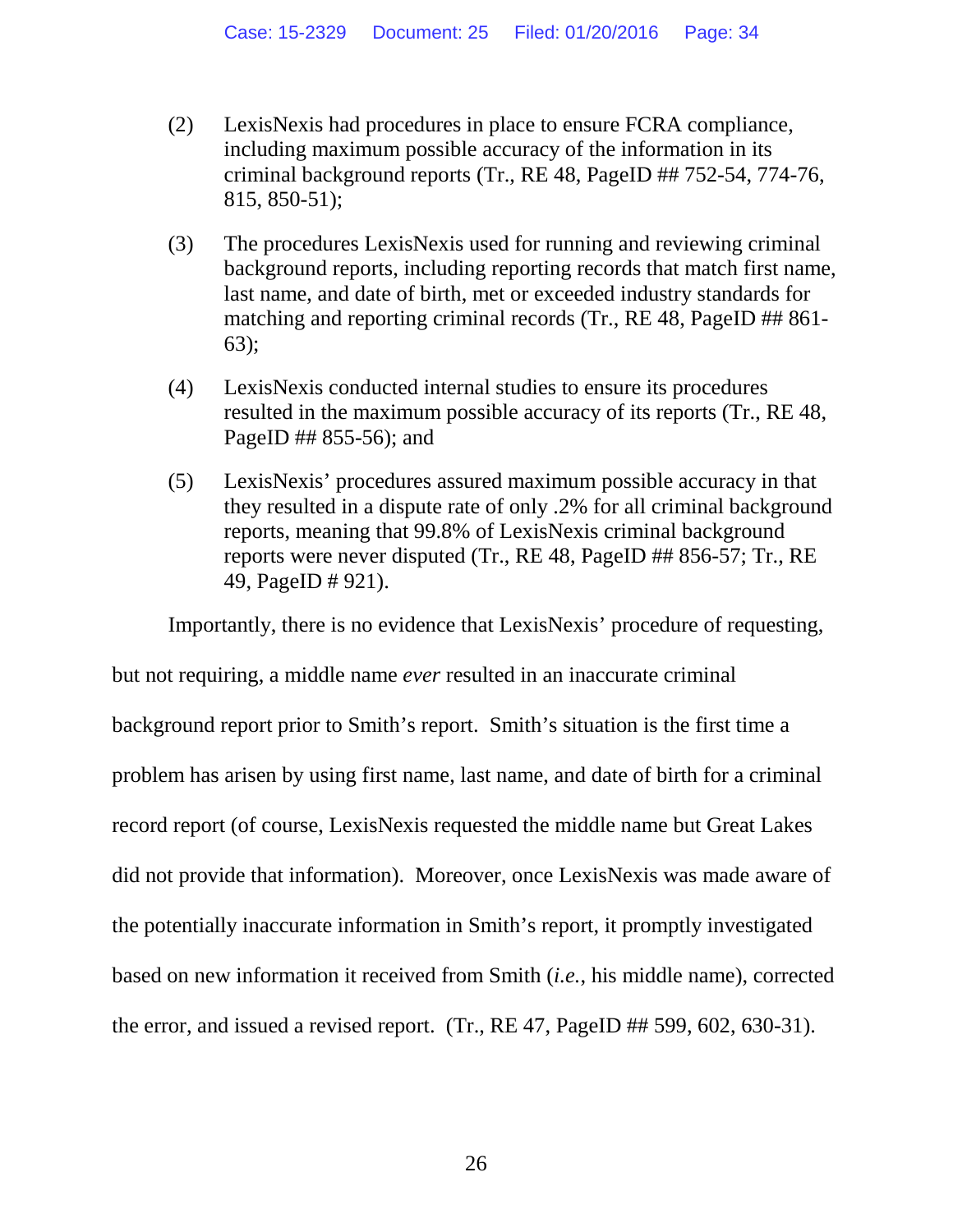- (2) LexisNexis had procedures in place to ensure FCRA compliance, including maximum possible accuracy of the information in its criminal background reports (Tr., RE 48, PageID ## 752-54, 774-76, 815, 850-51);
- (3) The procedures LexisNexis used for running and reviewing criminal background reports, including reporting records that match first name, last name, and date of birth, met or exceeded industry standards for matching and reporting criminal records (Tr., RE 48, PageID ## 861-63);
- (4) LexisNexis conducted internal studies to ensure its procedures resulted in the maximum possible accuracy of its reports (Tr., RE 48, PageID ## 855-56); and
- (5) LexisNexis' procedures assured maximum possible accuracy in that they resulted in a dispute rate of only .2% for all criminal background reports, meaning that 99.8% of LexisNexis criminal background reports were never disputed (Tr., RE 48, PageID ## 856-57; Tr., RE 49, PageID # 921).

Importantly, there is no evidence that LexisNexis' procedure of requesting,

but not requiring, a middle name *ever* resulted in an inaccurate criminal background report prior to Smith's report. Smith's situation is the first time a problem has arisen by using first name, last name, and date of birth for a criminal record report (of course, LexisNexis requested the middle name but Great Lakes did not provide that information). Moreover, once LexisNexis was made aware of the potentially inaccurate information in Smith's report, it promptly investigated based on new information it received from Smith (*i.e.*, his middle name), corrected the error, and issued a revised report. (Tr., RE 47, PageID ## 599, 602, 630-31).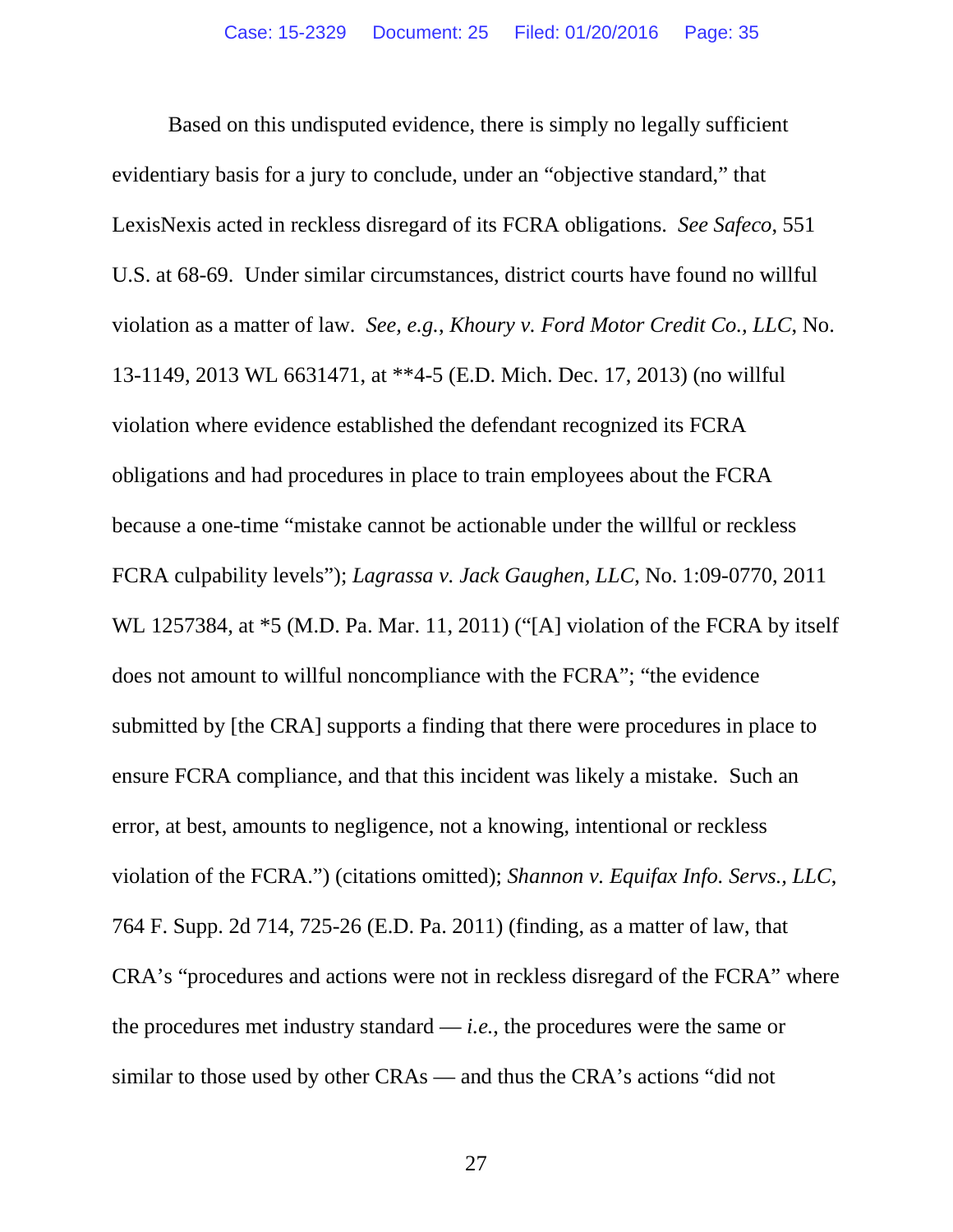Based on this undisputed evidence, there is simply no legally sufficient evidentiary basis for a jury to conclude, under an "objective standard," that LexisNexis acted in reckless disregard of its FCRA obligations. *See Safeco*, 551 U.S. at 68-69. Under similar circumstances, district courts have found no willful violation as a matter of law. *See, e.g.*, *Khoury v. Ford Motor Credit Co., LLC*, No. 13-1149, 2013 WL 6631471, at \*\*4-5 (E.D. Mich. Dec. 17, 2013) (no willful violation where evidence established the defendant recognized its FCRA obligations and had procedures in place to train employees about the FCRA because a one-time "mistake cannot be actionable under the willful or reckless FCRA culpability levels"); *Lagrassa v. Jack Gaughen, LLC*, No. 1:09-0770, 2011 WL 1257384, at  $*5$  (M.D. Pa. Mar. 11, 2011) ("[A] violation of the FCRA by itself does not amount to willful noncompliance with the FCRA"; "the evidence submitted by [the CRA] supports a finding that there were procedures in place to ensure FCRA compliance, and that this incident was likely a mistake. Such an error, at best, amounts to negligence, not a knowing, intentional or reckless violation of the FCRA.") (citations omitted); *Shannon v. Equifax Info. Servs., LLC*, 764 F. Supp. 2d 714, 725-26 (E.D. Pa. 2011) (finding, as a matter of law, that CRA's "procedures and actions were not in reckless disregard of the FCRA" where the procedures met industry standard — *i.e.*, the procedures were the same or similar to those used by other CRAs — and thus the CRA's actions "did not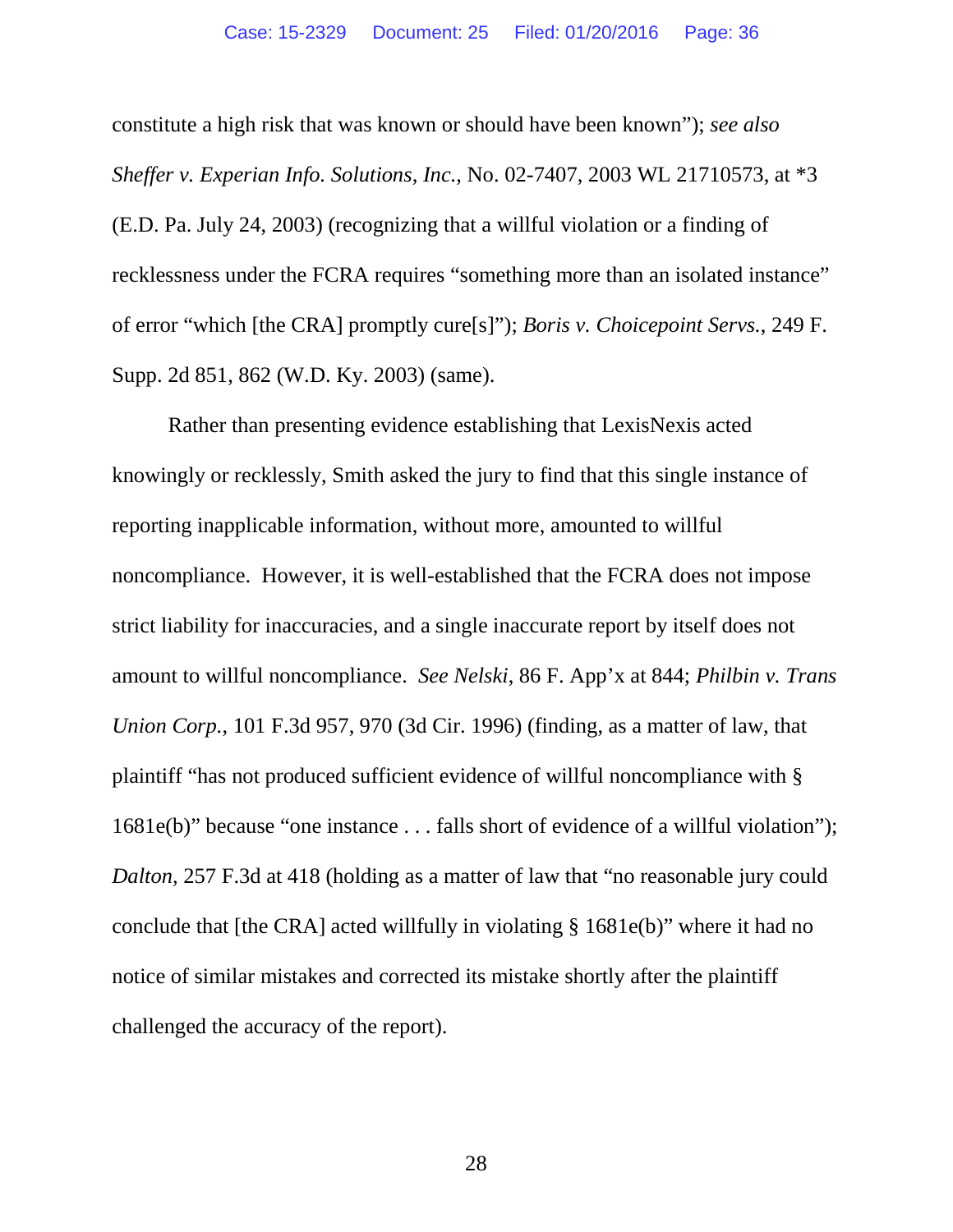constitute a high risk that was known or should have been known"); *see also Sheffer v. Experian Info. Solutions, Inc.*, No. 02-7407, 2003 WL 21710573, at \*3 (E.D. Pa. July 24, 2003) (recognizing that a willful violation or a finding of recklessness under the FCRA requires "something more than an isolated instance" of error "which [the CRA] promptly cure[s]"); *Boris v. Choicepoint Servs.*, 249 F. Supp. 2d 851, 862 (W.D. Ky. 2003) (same).

Rather than presenting evidence establishing that LexisNexis acted knowingly or recklessly, Smith asked the jury to find that this single instance of reporting inapplicable information, without more, amounted to willful noncompliance. However, it is well-established that the FCRA does not impose strict liability for inaccuracies, and a single inaccurate report by itself does not amount to willful noncompliance. *See Nelski*, 86 F. App'x at 844; *Philbin v. Trans Union Corp.*, 101 F.3d 957, 970 (3d Cir. 1996) (finding, as a matter of law, that plaintiff "has not produced sufficient evidence of willful noncompliance with § 1681e(b)" because "one instance . . . falls short of evidence of a willful violation"); *Dalton,* 257 F.3d at 418 (holding as a matter of law that "no reasonable jury could conclude that [the CRA] acted willfully in violating § 1681e(b)" where it had no notice of similar mistakes and corrected its mistake shortly after the plaintiff challenged the accuracy of the report).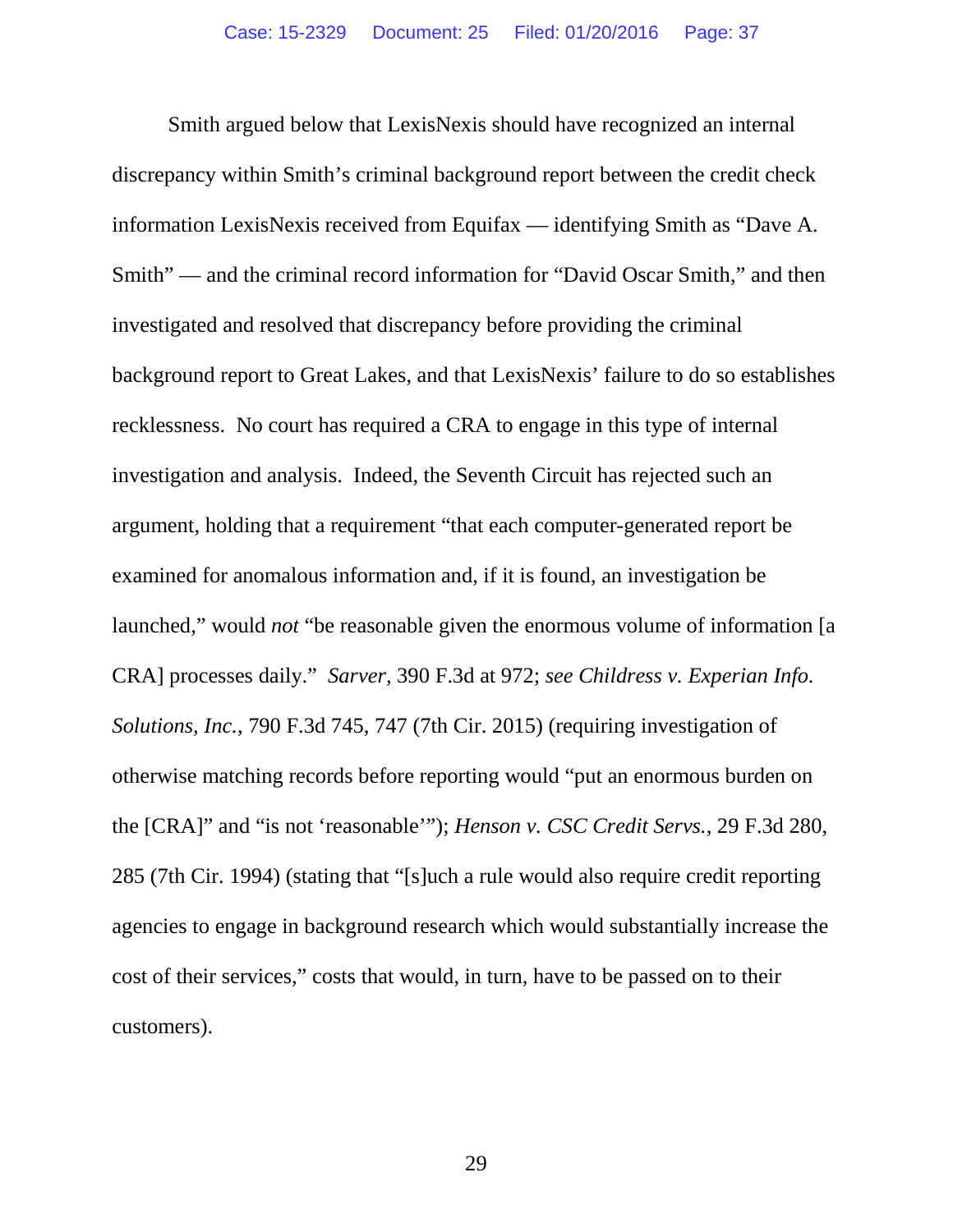Smith argued below that LexisNexis should have recognized an internal discrepancy within Smith's criminal background report between the credit check information LexisNexis received from Equifax — identifying Smith as "Dave A. Smith" — and the criminal record information for "David Oscar Smith," and then investigated and resolved that discrepancy before providing the criminal background report to Great Lakes, and that LexisNexis' failure to do so establishes recklessness. No court has required a CRA to engage in this type of internal investigation and analysis. Indeed, the Seventh Circuit has rejected such an argument, holding that a requirement "that each computer-generated report be examined for anomalous information and, if it is found, an investigation be launched," would *not* "be reasonable given the enormous volume of information [a CRA] processes daily." *Sarver*, 390 F.3d at 972; *see Childress v. Experian Info. Solutions, Inc.*, 790 F.3d 745, 747 (7th Cir. 2015) (requiring investigation of otherwise matching records before reporting would "put an enormous burden on the [CRA]" and "is not 'reasonable'"); *Henson v. CSC Credit Servs.*, 29 F.3d 280, 285 (7th Cir. 1994) (stating that "[s]uch a rule would also require credit reporting agencies to engage in background research which would substantially increase the cost of their services," costs that would, in turn, have to be passed on to their customers).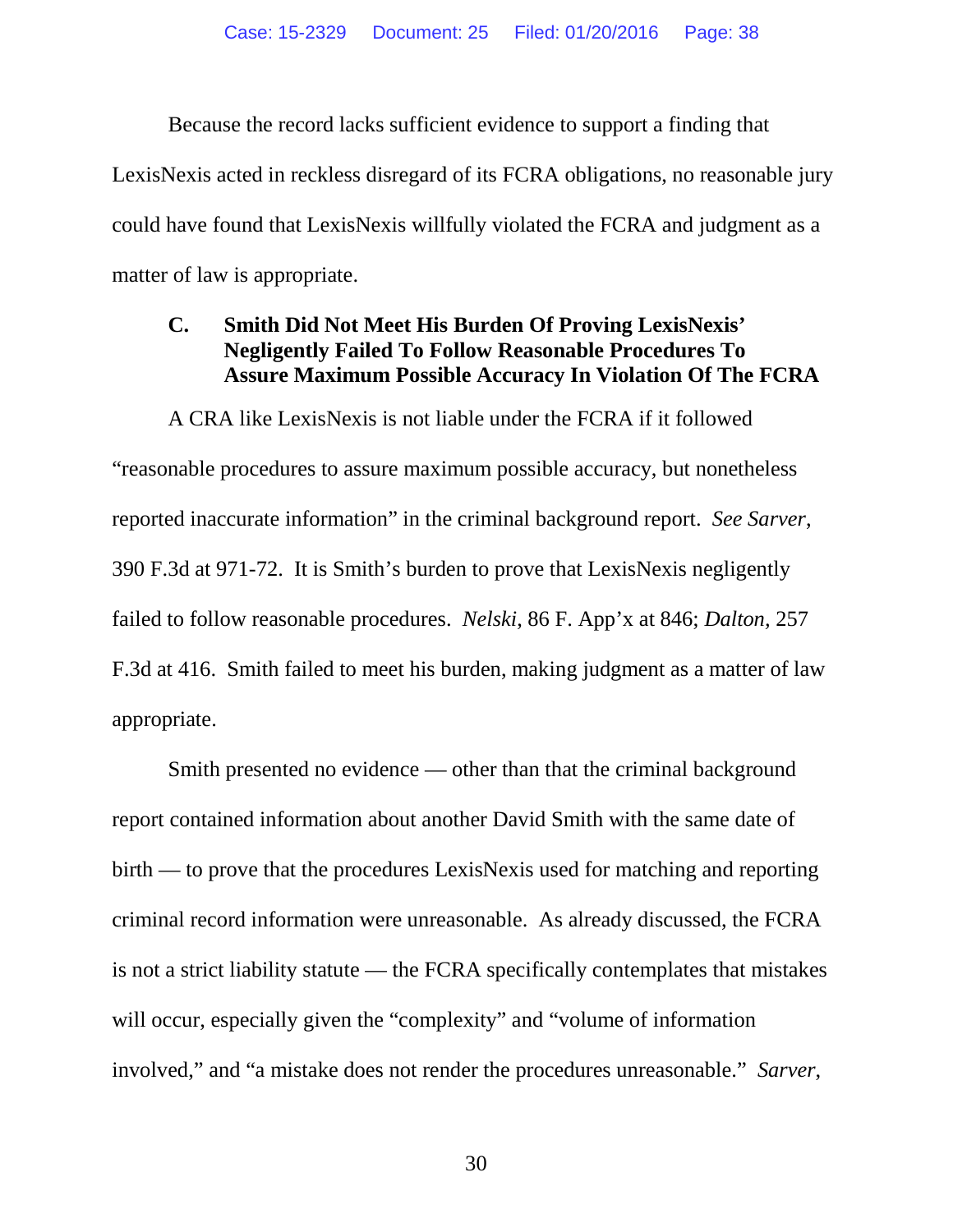Because the record lacks sufficient evidence to support a finding that LexisNexis acted in reckless disregard of its FCRA obligations, no reasonable jury could have found that LexisNexis willfully violated the FCRA and judgment as a matter of law is appropriate.

## **C. Smith Did Not Meet His Burden Of Proving LexisNexis' Negligently Failed To Follow Reasonable Procedures To Assure Maximum Possible Accuracy In Violation Of The FCRA**

A CRA like LexisNexis is not liable under the FCRA if it followed "reasonable procedures to assure maximum possible accuracy, but nonetheless reported inaccurate information" in the criminal background report. *See Sarver*, 390 F.3d at 971-72. It is Smith's burden to prove that LexisNexis negligently failed to follow reasonable procedures. *Nelski*, 86 F. App'x at 846; *Dalton,* 257 F.3d at 416. Smith failed to meet his burden, making judgment as a matter of law appropriate.

Smith presented no evidence — other than that the criminal background report contained information about another David Smith with the same date of birth — to prove that the procedures LexisNexis used for matching and reporting criminal record information were unreasonable. As already discussed, the FCRA is not a strict liability statute — the FCRA specifically contemplates that mistakes will occur, especially given the "complexity" and "volume of information involved," and "a mistake does not render the procedures unreasonable." *Sarver*,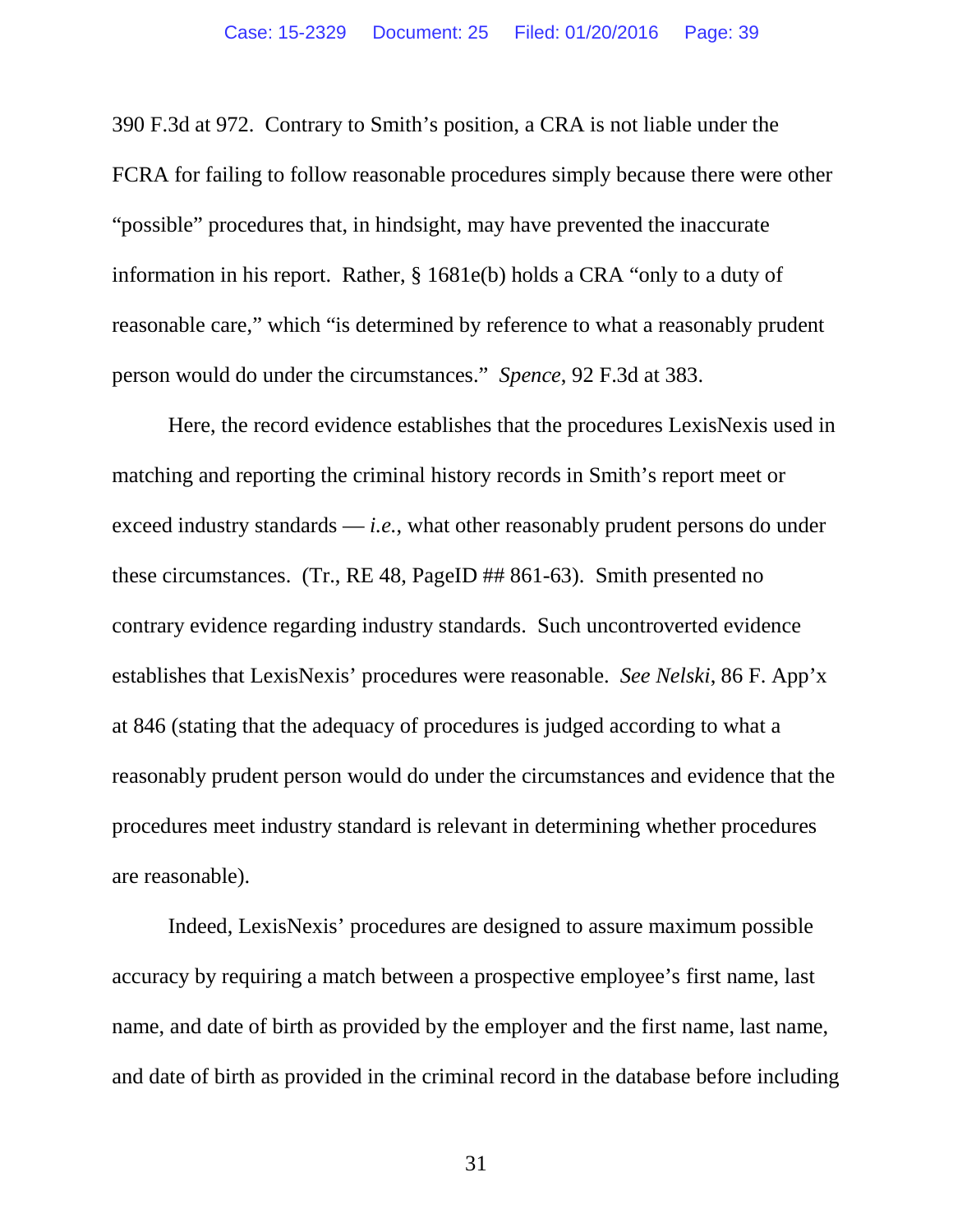390 F.3d at 972. Contrary to Smith's position, a CRA is not liable under the FCRA for failing to follow reasonable procedures simply because there were other "possible" procedures that, in hindsight, may have prevented the inaccurate information in his report. Rather, § 1681e(b) holds a CRA "only to a duty of reasonable care," which "is determined by reference to what a reasonably prudent person would do under the circumstances." *Spence*, 92 F.3d at 383.

Here, the record evidence establishes that the procedures LexisNexis used in matching and reporting the criminal history records in Smith's report meet or exceed industry standards — *i.e.*, what other reasonably prudent persons do under these circumstances. (Tr., RE 48, PageID ## 861-63). Smith presented no contrary evidence regarding industry standards. Such uncontroverted evidence establishes that LexisNexis' procedures were reasonable. *See Nelski*, 86 F. App'x at 846 (stating that the adequacy of procedures is judged according to what a reasonably prudent person would do under the circumstances and evidence that the procedures meet industry standard is relevant in determining whether procedures are reasonable).

Indeed, LexisNexis' procedures are designed to assure maximum possible accuracy by requiring a match between a prospective employee's first name, last name, and date of birth as provided by the employer and the first name, last name, and date of birth as provided in the criminal record in the database before including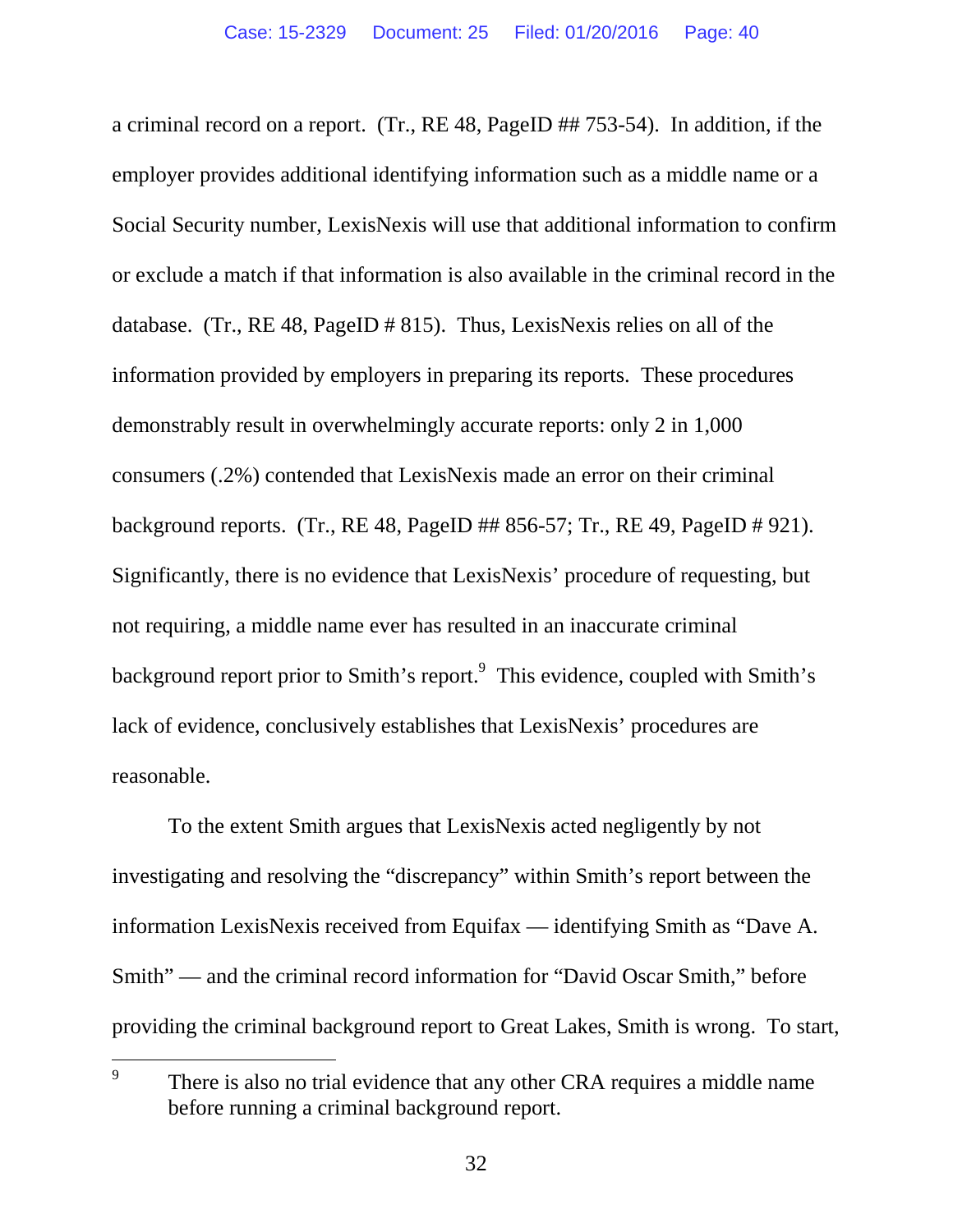a criminal record on a report. (Tr., RE 48, PageID ## 753-54). In addition, if the employer provides additional identifying information such as a middle name or a Social Security number, LexisNexis will use that additional information to confirm or exclude a match if that information is also available in the criminal record in the database. (Tr., RE 48, PageID # 815). Thus, LexisNexis relies on all of the information provided by employers in preparing its reports. These procedures demonstrably result in overwhelmingly accurate reports: only 2 in 1,000 consumers (.2%) contended that LexisNexis made an error on their criminal background reports. (Tr., RE 48, PageID ## 856-57; Tr., RE 49, PageID # 921). Significantly, there is no evidence that LexisNexis' procedure of requesting, but not requiring, a middle name ever has resulted in an inaccurate criminal background report prior to Smith's report.<sup>9</sup> This evidence, coupled with Smith's lack of evidence, conclusively establishes that LexisNexis' procedures are reasonable.

To the extent Smith argues that LexisNexis acted negligently by not investigating and resolving the "discrepancy" within Smith's report between the information LexisNexis received from Equifax — identifying Smith as "Dave A. Smith" — and the criminal record information for "David Oscar Smith," before providing the criminal background report to Great Lakes, Smith is wrong. To start,

<sup>9</sup> There is also no trial evidence that any other CRA requires a middle name before running a criminal background report.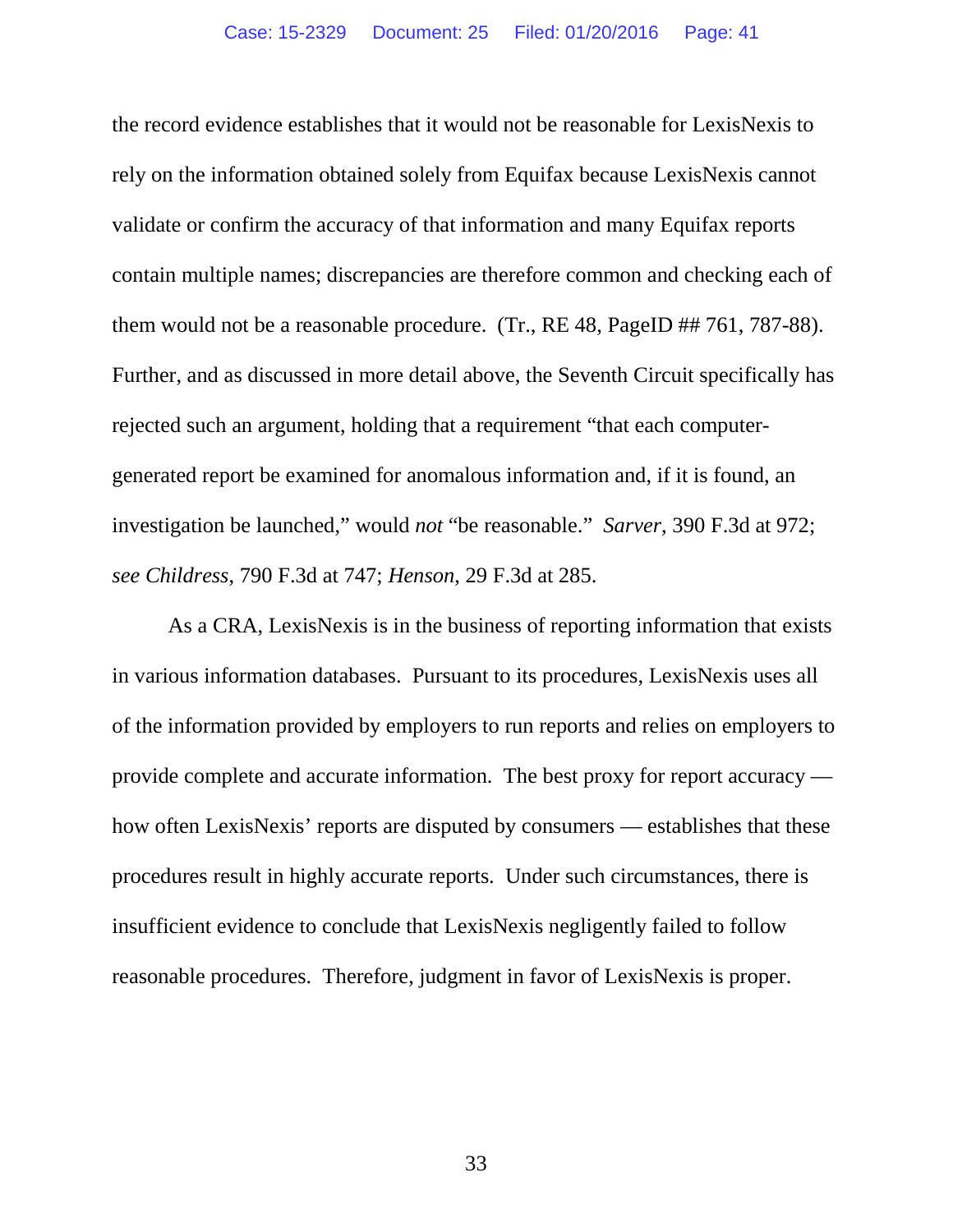the record evidence establishes that it would not be reasonable for LexisNexis to rely on the information obtained solely from Equifax because LexisNexis cannot validate or confirm the accuracy of that information and many Equifax reports contain multiple names; discrepancies are therefore common and checking each of them would not be a reasonable procedure. (Tr., RE 48, PageID ## 761, 787-88). Further, and as discussed in more detail above, the Seventh Circuit specifically has rejected such an argument, holding that a requirement "that each computergenerated report be examined for anomalous information and, if it is found, an investigation be launched," would *not* "be reasonable." *Sarver*, 390 F.3d at 972; *see Childress*, 790 F.3d at 747; *Henson*, 29 F.3d at 285.

As a CRA, LexisNexis is in the business of reporting information that exists in various information databases. Pursuant to its procedures, LexisNexis uses all of the information provided by employers to run reports and relies on employers to provide complete and accurate information. The best proxy for report accuracy how often LexisNexis' reports are disputed by consumers — establishes that these procedures result in highly accurate reports. Under such circumstances, there is insufficient evidence to conclude that LexisNexis negligently failed to follow reasonable procedures. Therefore, judgment in favor of LexisNexis is proper.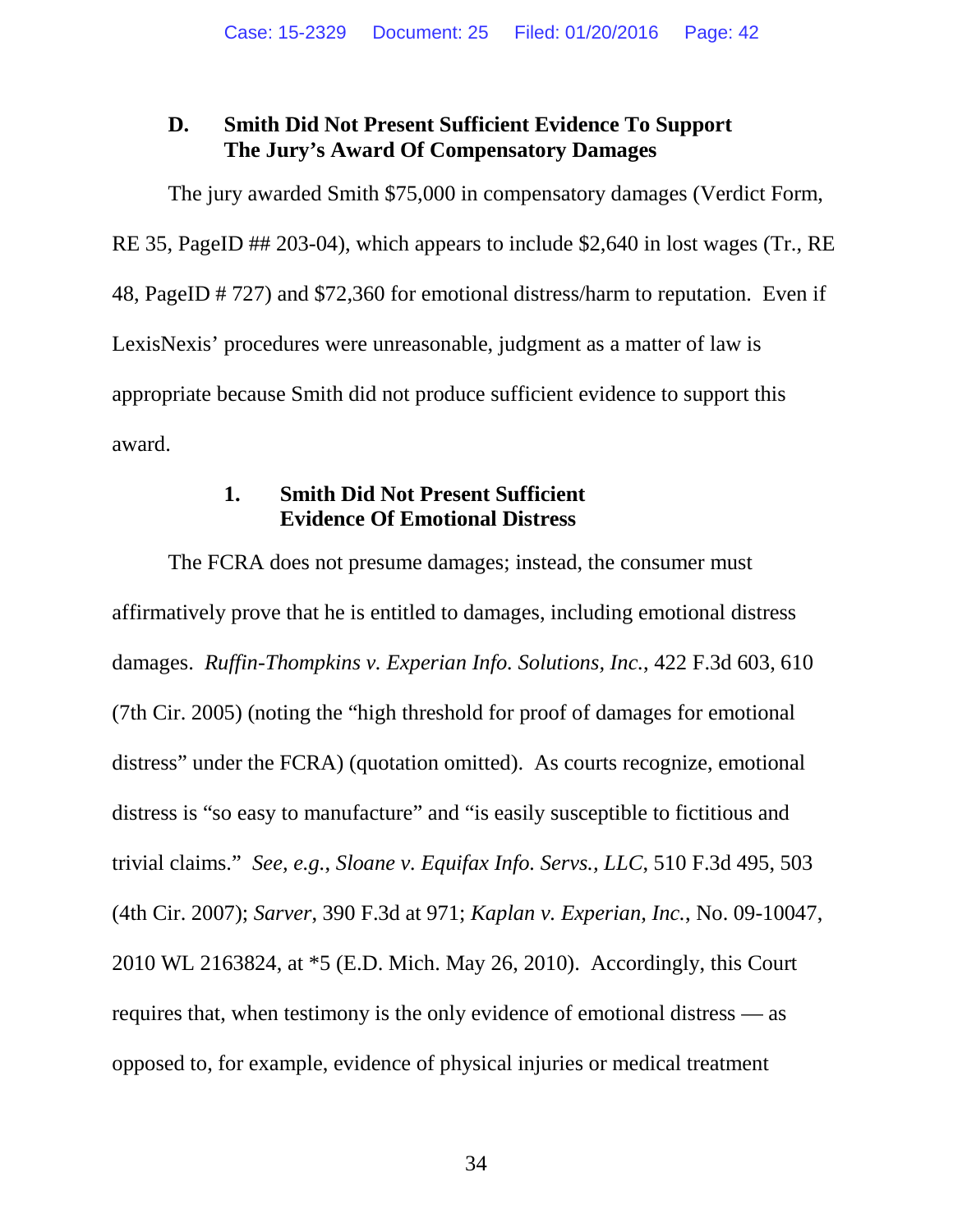# **D. Smith Did Not Present Sufficient Evidence To Support The Jury's Award Of Compensatory Damages**

The jury awarded Smith \$75,000 in compensatory damages (Verdict Form, RE 35, PageID ## 203-04), which appears to include \$2,640 in lost wages (Tr., RE 48, PageID # 727) and \$72,360 for emotional distress/harm to reputation. Even if LexisNexis' procedures were unreasonable, judgment as a matter of law is appropriate because Smith did not produce sufficient evidence to support this award.

### **1. Smith Did Not Present Sufficient Evidence Of Emotional Distress**

The FCRA does not presume damages; instead, the consumer must affirmatively prove that he is entitled to damages, including emotional distress damages. *Ruffin-Thompkins v. Experian Info. Solutions, Inc.*, 422 F.3d 603, 610 (7th Cir. 2005) (noting the "high threshold for proof of damages for emotional distress" under the FCRA) (quotation omitted). As courts recognize, emotional distress is "so easy to manufacture" and "is easily susceptible to fictitious and trivial claims." *See, e.g.*, *Sloane v. Equifax Info. Servs., LLC*, 510 F.3d 495, 503 (4th Cir. 2007); *Sarver*, 390 F.3d at 971; *Kaplan v. Experian, Inc.*, No. 09-10047, 2010 WL 2163824, at \*5 (E.D. Mich. May 26, 2010). Accordingly, this Court requires that, when testimony is the only evidence of emotional distress — as opposed to, for example, evidence of physical injuries or medical treatment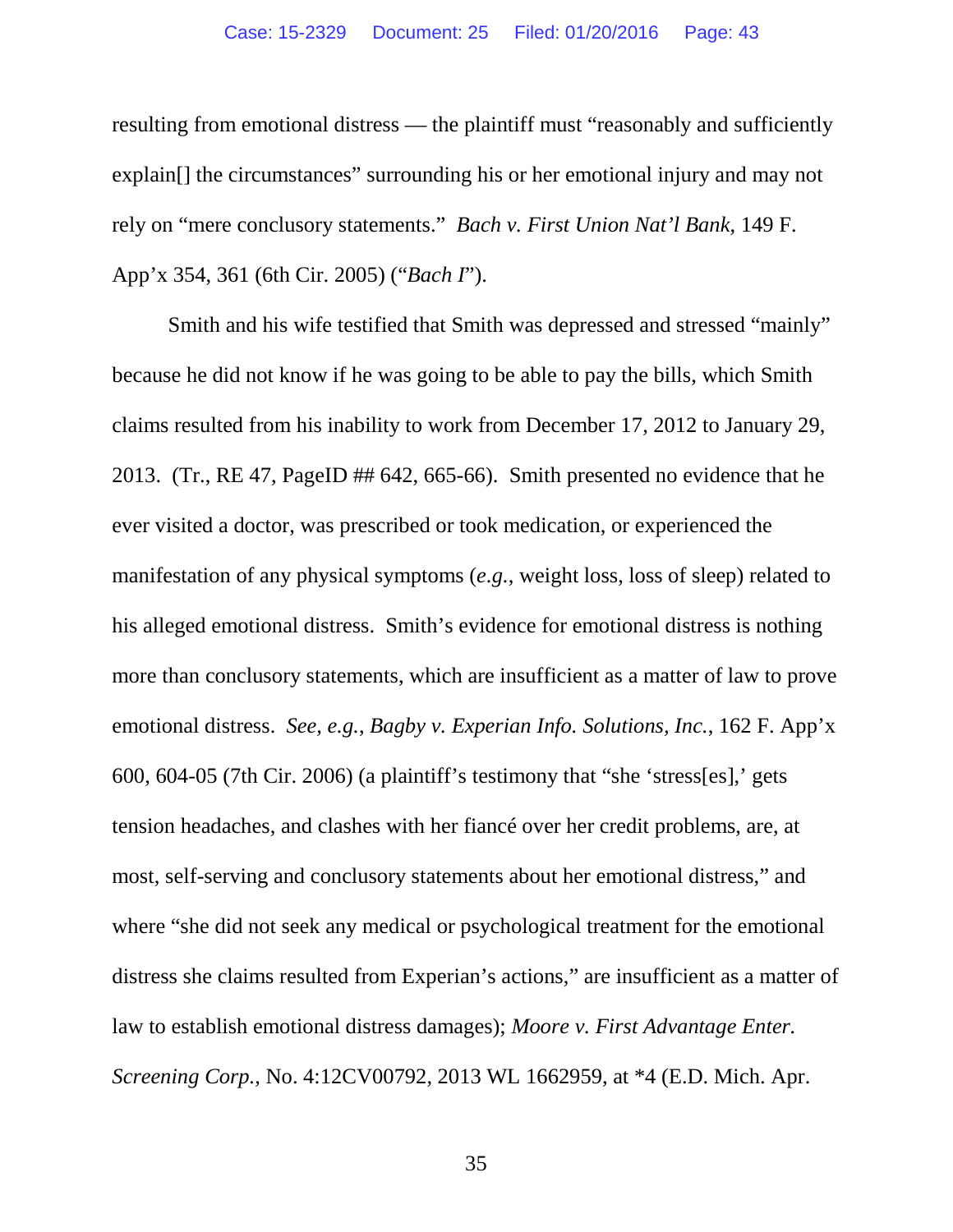resulting from emotional distress — the plaintiff must "reasonably and sufficiently explain[] the circumstances" surrounding his or her emotional injury and may not rely on "mere conclusory statements." *Bach v. First Union Nat'l Bank*, 149 F. App'x 354, 361 (6th Cir. 2005) ("*Bach I*").

Smith and his wife testified that Smith was depressed and stressed "mainly" because he did not know if he was going to be able to pay the bills, which Smith claims resulted from his inability to work from December 17, 2012 to January 29, 2013. (Tr., RE 47, PageID ## 642, 665-66). Smith presented no evidence that he ever visited a doctor, was prescribed or took medication, or experienced the manifestation of any physical symptoms (*e.g.*, weight loss, loss of sleep) related to his alleged emotional distress. Smith's evidence for emotional distress is nothing more than conclusory statements, which are insufficient as a matter of law to prove emotional distress. *See, e.g.*, *Bagby v. Experian Info. Solutions, Inc.*, 162 F. App'x 600, 604-05 (7th Cir. 2006) (a plaintiff's testimony that "she 'stress[es],' gets tension headaches, and clashes with her fiancé over her credit problems, are, at most, self-serving and conclusory statements about her emotional distress," and where "she did not seek any medical or psychological treatment for the emotional distress she claims resulted from Experian's actions," are insufficient as a matter of law to establish emotional distress damages); *Moore v. First Advantage Enter. Screening Corp.*, No. 4:12CV00792, 2013 WL 1662959, at \*4 (E.D. Mich. Apr.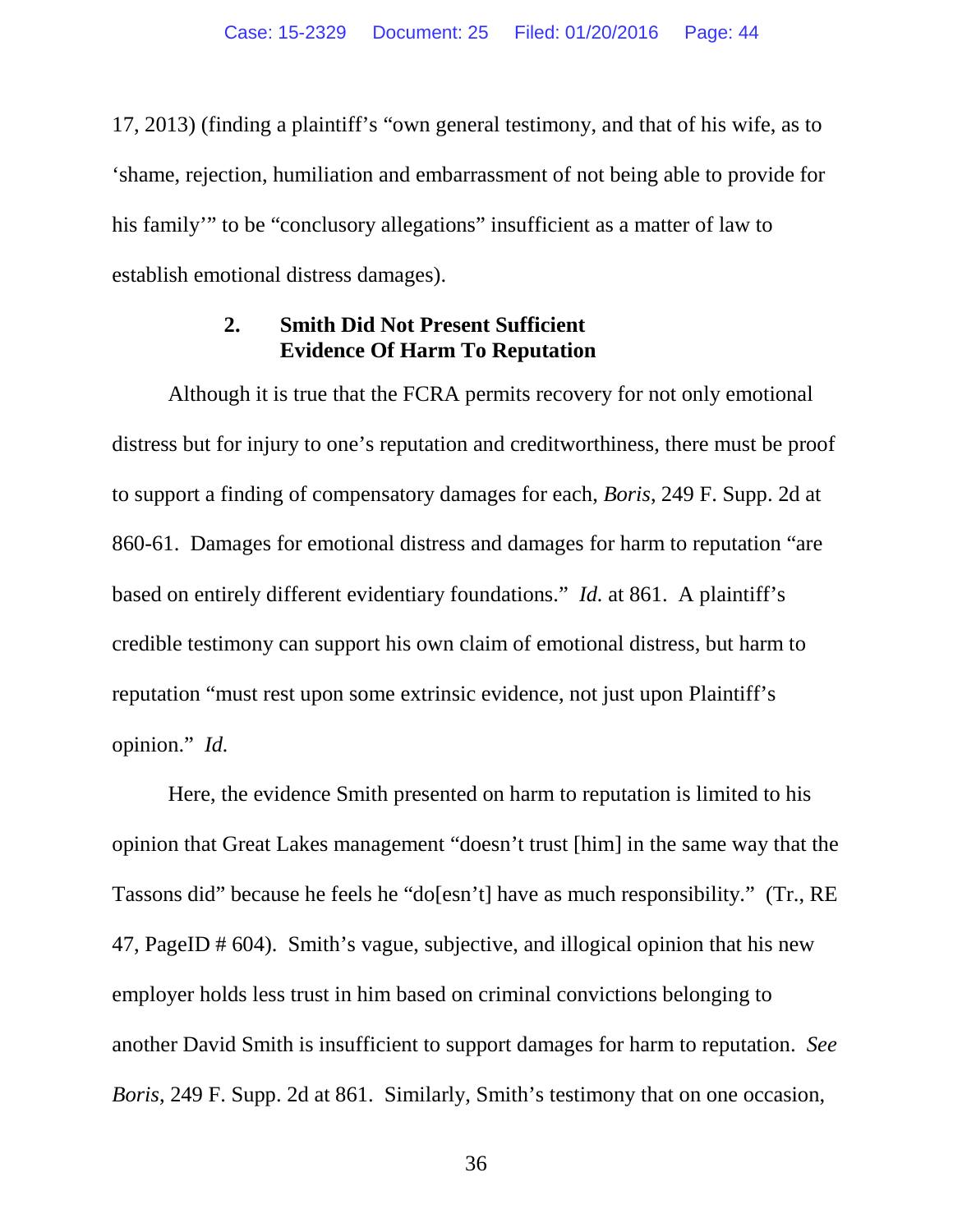17, 2013) (finding a plaintiff's "own general testimony, and that of his wife, as to 'shame, rejection, humiliation and embarrassment of not being able to provide for his family'" to be "conclusory allegations" insufficient as a matter of law to establish emotional distress damages).

#### **2. Smith Did Not Present Sufficient Evidence Of Harm To Reputation**

Although it is true that the FCRA permits recovery for not only emotional distress but for injury to one's reputation and creditworthiness, there must be proof to support a finding of compensatory damages for each, *Boris*, 249 F. Supp. 2d at 860-61. Damages for emotional distress and damages for harm to reputation "are based on entirely different evidentiary foundations." *Id.* at 861. A plaintiff's credible testimony can support his own claim of emotional distress, but harm to reputation "must rest upon some extrinsic evidence, not just upon Plaintiff's opinion." *Id.*

Here, the evidence Smith presented on harm to reputation is limited to his opinion that Great Lakes management "doesn't trust [him] in the same way that the Tassons did" because he feels he "do[esn't] have as much responsibility." (Tr., RE 47, PageID # 604). Smith's vague, subjective, and illogical opinion that his new employer holds less trust in him based on criminal convictions belonging to another David Smith is insufficient to support damages for harm to reputation. *See Boris*, 249 F. Supp. 2d at 861. Similarly, Smith's testimony that on one occasion,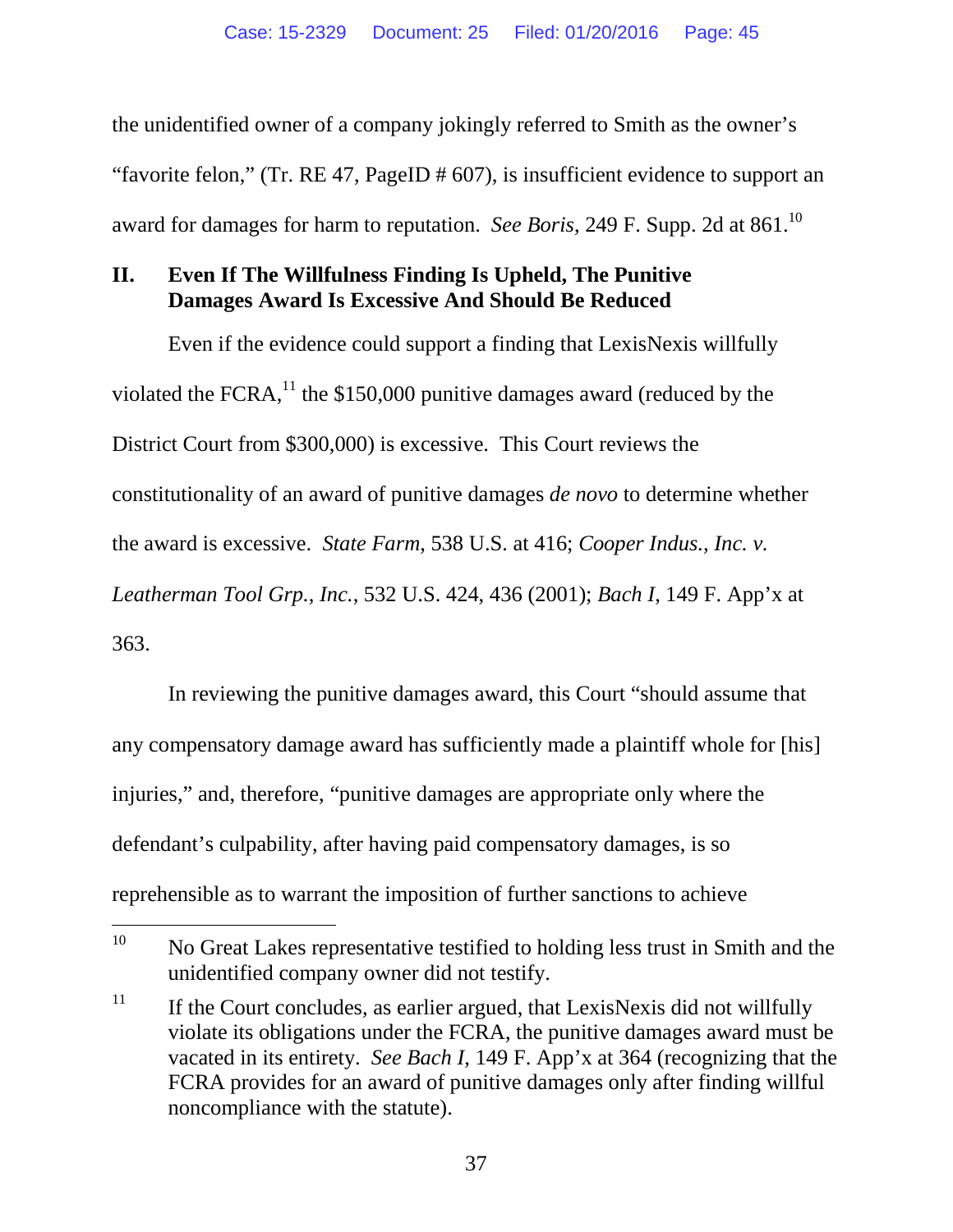the unidentified owner of a company jokingly referred to Smith as the owner's "favorite felon," (Tr. RE 47, PageID # 607), is insufficient evidence to support an award for damages for harm to reputation. *See Boris*, 249 F. Supp. 2d at 861.<sup>10</sup>

# **II. Even If The Willfulness Finding Is Upheld, The Punitive Damages Award Is Excessive And Should Be Reduced**

Even if the evidence could support a finding that LexisNexis willfully violated the FCRA, $^{11}$  the \$150,000 punitive damages award (reduced by the District Court from \$300,000) is excessive. This Court reviews the constitutionality of an award of punitive damages *de novo* to determine whether the award is excessive. *State Farm*, 538 U.S. at 416; *Cooper Indus., Inc. v. Leatherman Tool Grp., Inc.*, 532 U.S. 424, 436 (2001); *Bach I*, 149 F. App'x at 363.

In reviewing the punitive damages award, this Court "should assume that any compensatory damage award has sufficiently made a plaintiff whole for [his] injuries," and, therefore, "punitive damages are appropriate only where the defendant's culpability, after having paid compensatory damages, is so reprehensible as to warrant the imposition of further sanctions to achieve

<sup>&</sup>lt;sup>10</sup> No Great Lakes representative testified to holding less trust in Smith and the unidentified company owner did not testify.

<sup>&</sup>lt;sup>11</sup> If the Court concludes, as earlier argued, that LexisNexis did not willfully violate its obligations under the FCRA, the punitive damages award must be vacated in its entirety. *See Bach I*, 149 F. App'x at 364 (recognizing that the FCRA provides for an award of punitive damages only after finding willful noncompliance with the statute).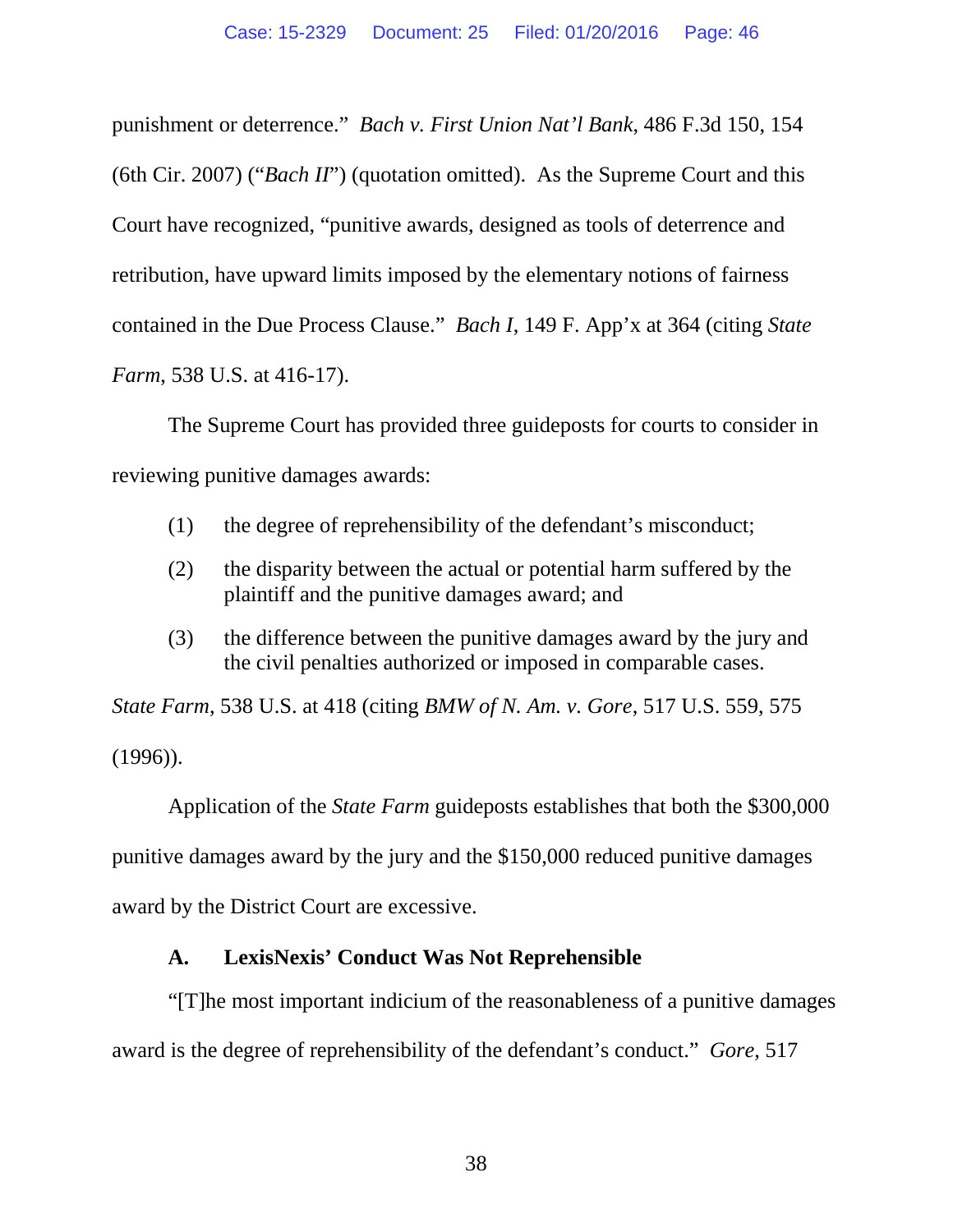punishment or deterrence." *Bach v. First Union Nat'l Bank*, 486 F.3d 150, 154 (6th Cir. 2007) ("*Bach II*") (quotation omitted). As the Supreme Court and this Court have recognized, "punitive awards, designed as tools of deterrence and retribution, have upward limits imposed by the elementary notions of fairness contained in the Due Process Clause." *Bach I*, 149 F. App'x at 364 (citing *State Farm*, 538 U.S. at 416-17).

The Supreme Court has provided three guideposts for courts to consider in reviewing punitive damages awards:

- (1) the degree of reprehensibility of the defendant's misconduct;
- (2) the disparity between the actual or potential harm suffered by the plaintiff and the punitive damages award; and
- (3) the difference between the punitive damages award by the jury and the civil penalties authorized or imposed in comparable cases.

*State Farm*, 538 U.S. at 418 (citing *BMW of N. Am. v. Gore*, 517 U.S. 559, 575 (1996)).

Application of the *State Farm* guideposts establishes that both the \$300,000 punitive damages award by the jury and the \$150,000 reduced punitive damages award by the District Court are excessive.

# **A. LexisNexis' Conduct Was Not Reprehensible**

"[T]he most important indicium of the reasonableness of a punitive damages award is the degree of reprehensibility of the defendant's conduct." *Gore*, 517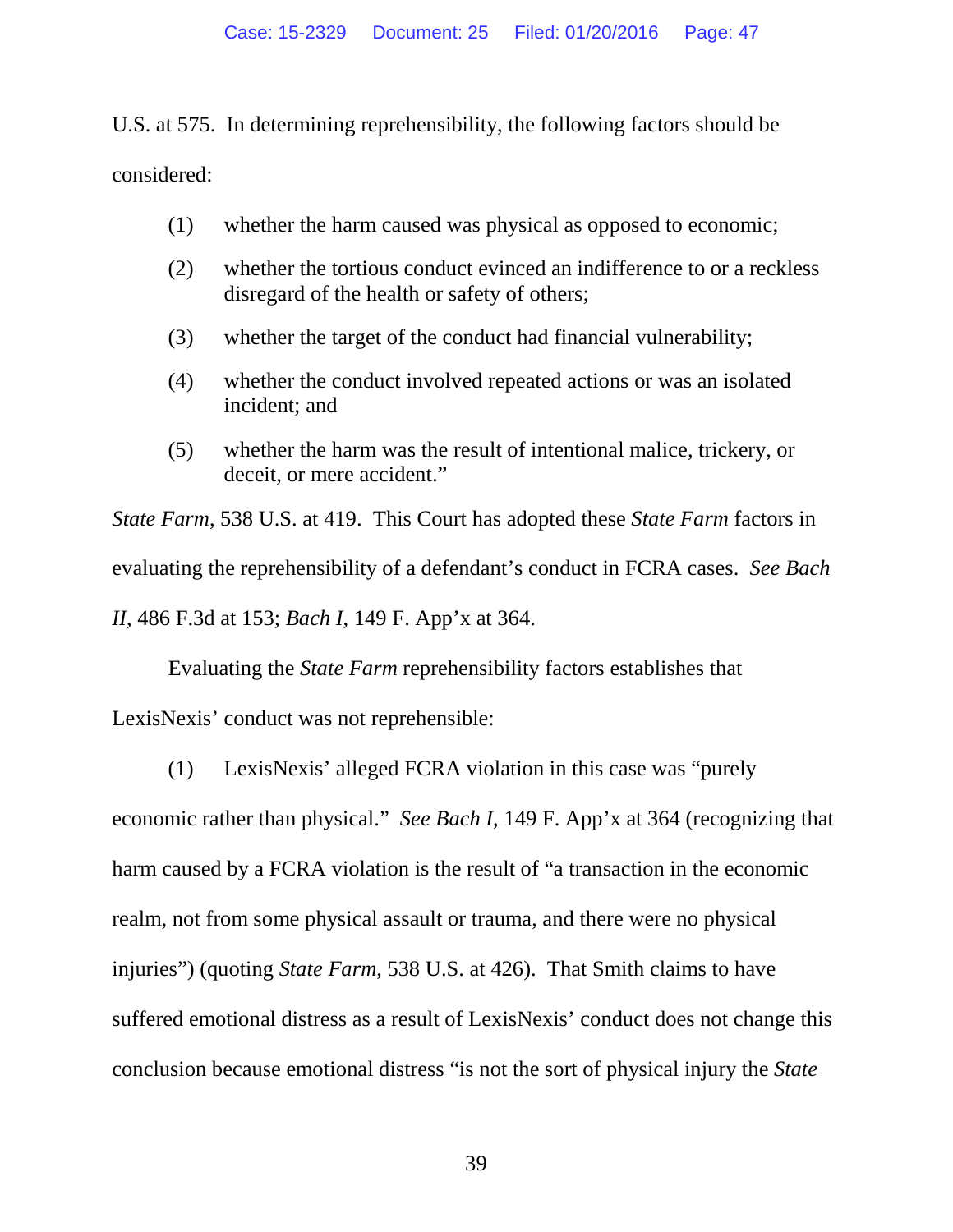U.S. at 575. In determining reprehensibility, the following factors should be considered:

- (1) whether the harm caused was physical as opposed to economic;
- (2) whether the tortious conduct evinced an indifference to or a reckless disregard of the health or safety of others;
- (3) whether the target of the conduct had financial vulnerability;
- (4) whether the conduct involved repeated actions or was an isolated incident; and
- (5) whether the harm was the result of intentional malice, trickery, or deceit, or mere accident."

*State Farm*, 538 U.S. at 419. This Court has adopted these *State Farm* factors in evaluating the reprehensibility of a defendant's conduct in FCRA cases. *See Bach II*, 486 F.3d at 153; *Bach I*, 149 F. App'x at 364.

Evaluating the *State Farm* reprehensibility factors establishes that LexisNexis' conduct was not reprehensible:

(1) LexisNexis' alleged FCRA violation in this case was "purely

economic rather than physical." *See Bach I*, 149 F. App'x at 364 (recognizing that harm caused by a FCRA violation is the result of "a transaction in the economic realm, not from some physical assault or trauma, and there were no physical injuries") (quoting *State Farm*, 538 U.S. at 426). That Smith claims to have suffered emotional distress as a result of LexisNexis' conduct does not change this conclusion because emotional distress "is not the sort of physical injury the *State*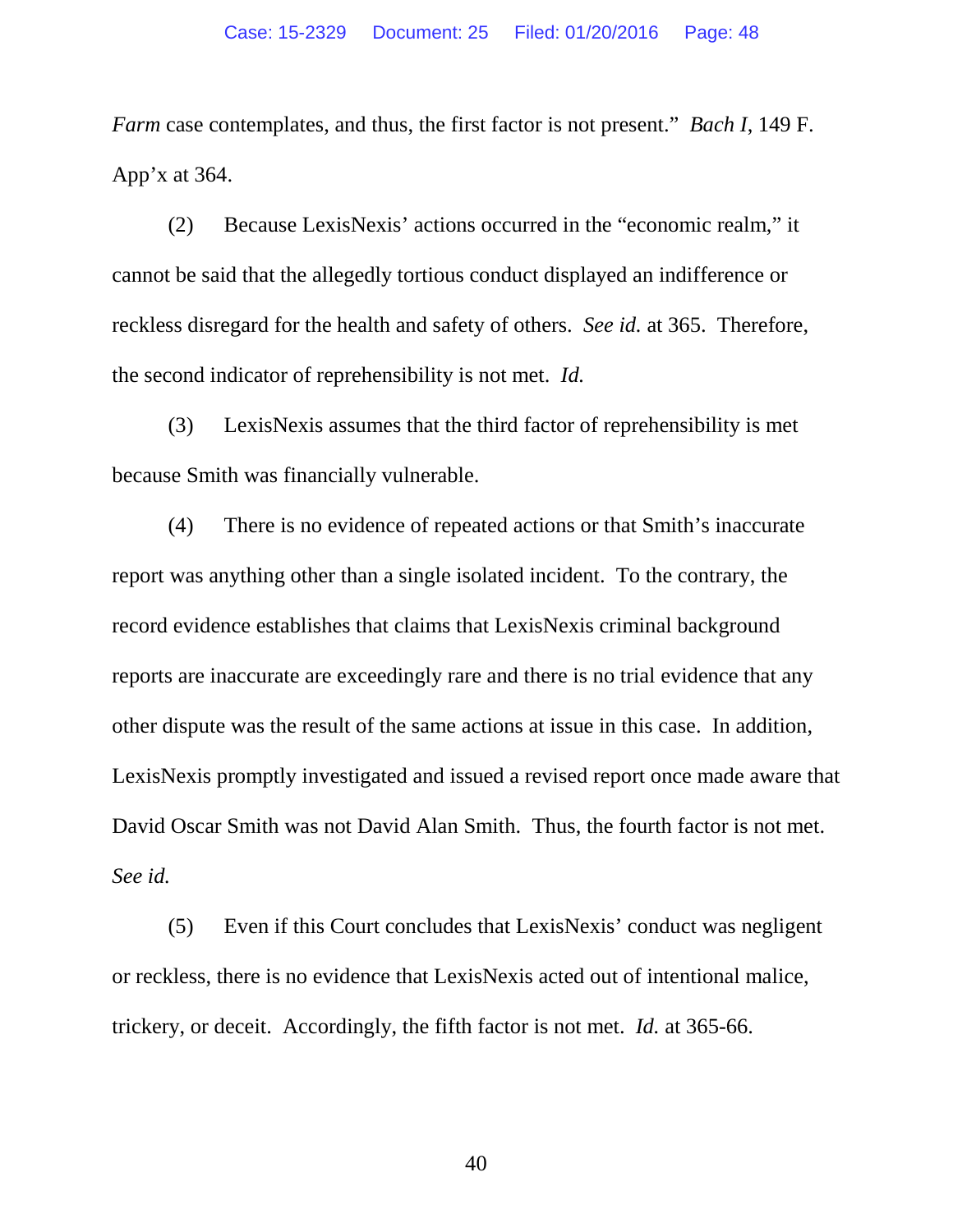*Farm* case contemplates, and thus, the first factor is not present." *Bach I*, 149 F. App'x at 364.

(2) Because LexisNexis' actions occurred in the "economic realm," it cannot be said that the allegedly tortious conduct displayed an indifference or reckless disregard for the health and safety of others. *See id.* at 365. Therefore, the second indicator of reprehensibility is not met. *Id.*

(3) LexisNexis assumes that the third factor of reprehensibility is met because Smith was financially vulnerable.

(4) There is no evidence of repeated actions or that Smith's inaccurate report was anything other than a single isolated incident. To the contrary, the record evidence establishes that claims that LexisNexis criminal background reports are inaccurate are exceedingly rare and there is no trial evidence that any other dispute was the result of the same actions at issue in this case. In addition, LexisNexis promptly investigated and issued a revised report once made aware that David Oscar Smith was not David Alan Smith. Thus, the fourth factor is not met. *See id.*

(5) Even if this Court concludes that LexisNexis' conduct was negligent or reckless, there is no evidence that LexisNexis acted out of intentional malice, trickery, or deceit. Accordingly, the fifth factor is not met. *Id.* at 365-66.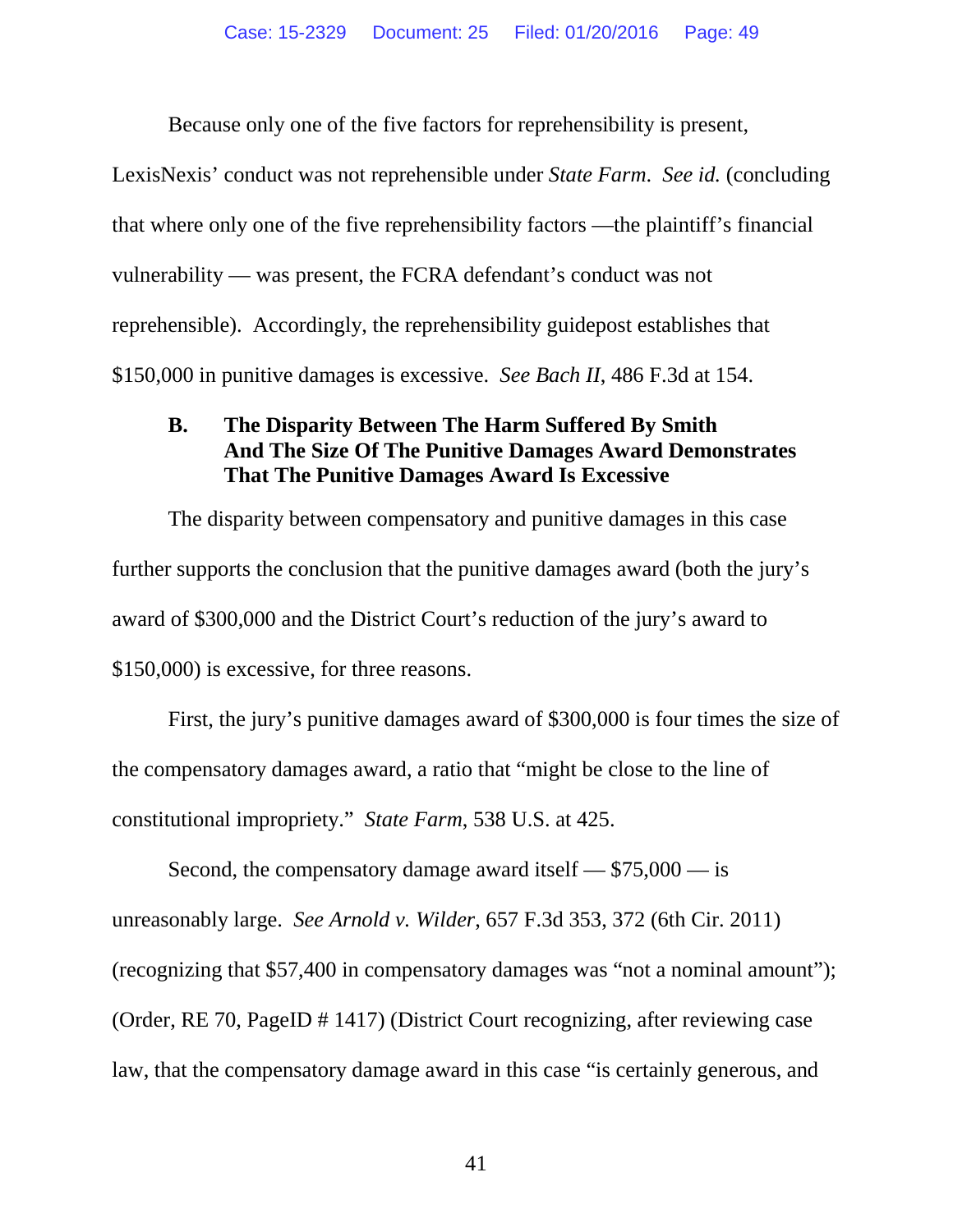Because only one of the five factors for reprehensibility is present,

LexisNexis' conduct was not reprehensible under *State Farm*. *See id.* (concluding that where only one of the five reprehensibility factors —the plaintiff's financial vulnerability — was present, the FCRA defendant's conduct was not reprehensible). Accordingly, the reprehensibility guidepost establishes that \$150,000 in punitive damages is excessive. *See Bach II*, 486 F.3d at 154.

### **B. The Disparity Between The Harm Suffered By Smith And The Size Of The Punitive Damages Award Demonstrates That The Punitive Damages Award Is Excessive**

The disparity between compensatory and punitive damages in this case further supports the conclusion that the punitive damages award (both the jury's award of \$300,000 and the District Court's reduction of the jury's award to \$150,000) is excessive, for three reasons.

First, the jury's punitive damages award of \$300,000 is four times the size of the compensatory damages award, a ratio that "might be close to the line of constitutional impropriety." *State Farm*, 538 U.S. at 425.

Second, the compensatory damage award itself — \$75,000 — is unreasonably large. *See Arnold v. Wilder*, 657 F.3d 353, 372 (6th Cir. 2011) (recognizing that \$57,400 in compensatory damages was "not a nominal amount"); (Order, RE 70, PageID # 1417) (District Court recognizing, after reviewing case law, that the compensatory damage award in this case "is certainly generous, and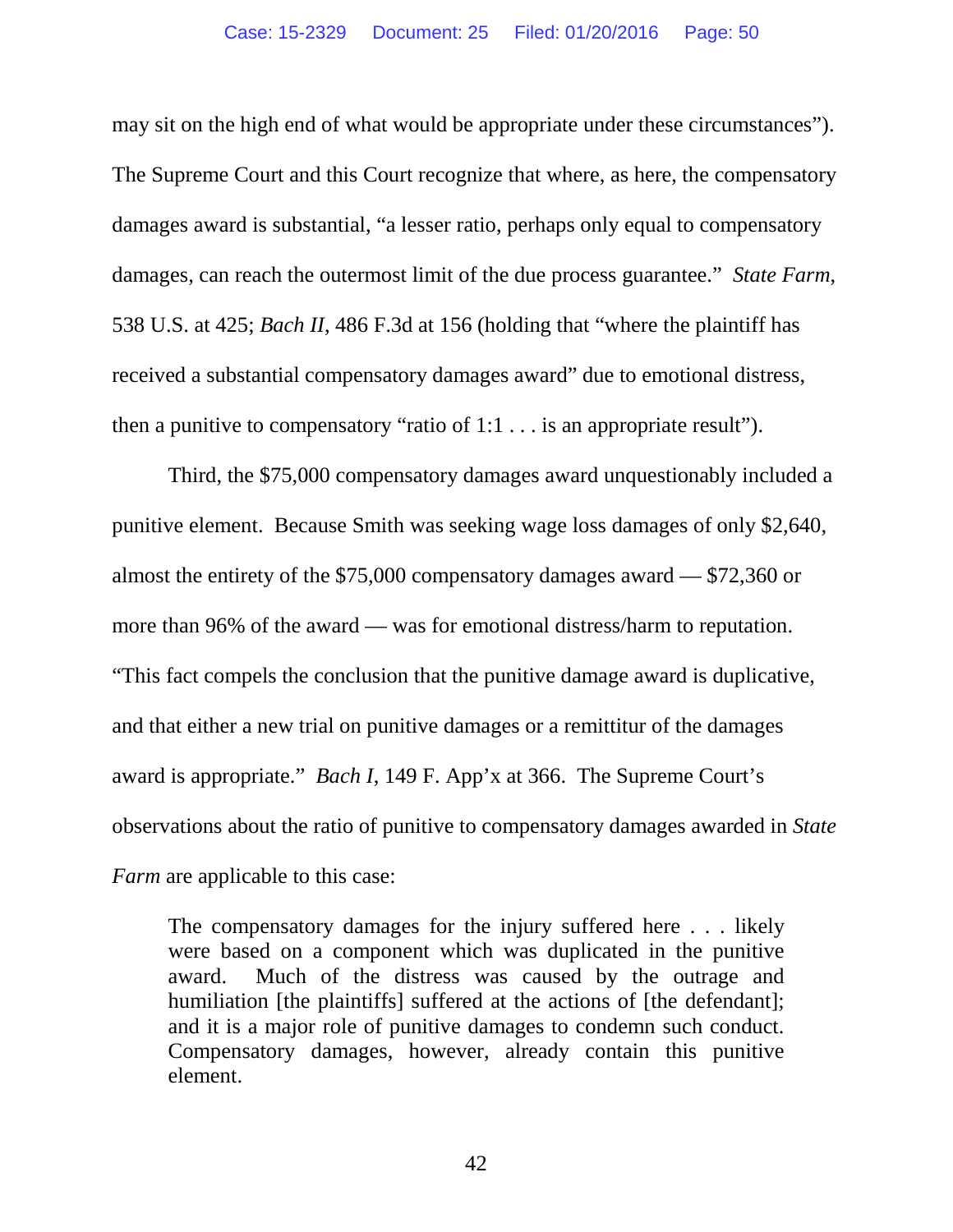may sit on the high end of what would be appropriate under these circumstances"). The Supreme Court and this Court recognize that where, as here, the compensatory damages award is substantial, "a lesser ratio, perhaps only equal to compensatory damages, can reach the outermost limit of the due process guarantee." *State Farm*, 538 U.S. at 425; *Bach II*, 486 F.3d at 156 (holding that "where the plaintiff has received a substantial compensatory damages award" due to emotional distress, then a punitive to compensatory "ratio of 1:1 . . . is an appropriate result").

Third, the \$75,000 compensatory damages award unquestionably included a punitive element. Because Smith was seeking wage loss damages of only \$2,640, almost the entirety of the \$75,000 compensatory damages award — \$72,360 or more than 96% of the award — was for emotional distress/harm to reputation. "This fact compels the conclusion that the punitive damage award is duplicative, and that either a new trial on punitive damages or a remittitur of the damages award is appropriate." *Bach I*, 149 F. App'x at 366. The Supreme Court's observations about the ratio of punitive to compensatory damages awarded in *State Farm* are applicable to this case:

The compensatory damages for the injury suffered here . . . likely were based on a component which was duplicated in the punitive award. Much of the distress was caused by the outrage and humiliation [the plaintiffs] suffered at the actions of [the defendant]; and it is a major role of punitive damages to condemn such conduct. Compensatory damages, however, already contain this punitive element.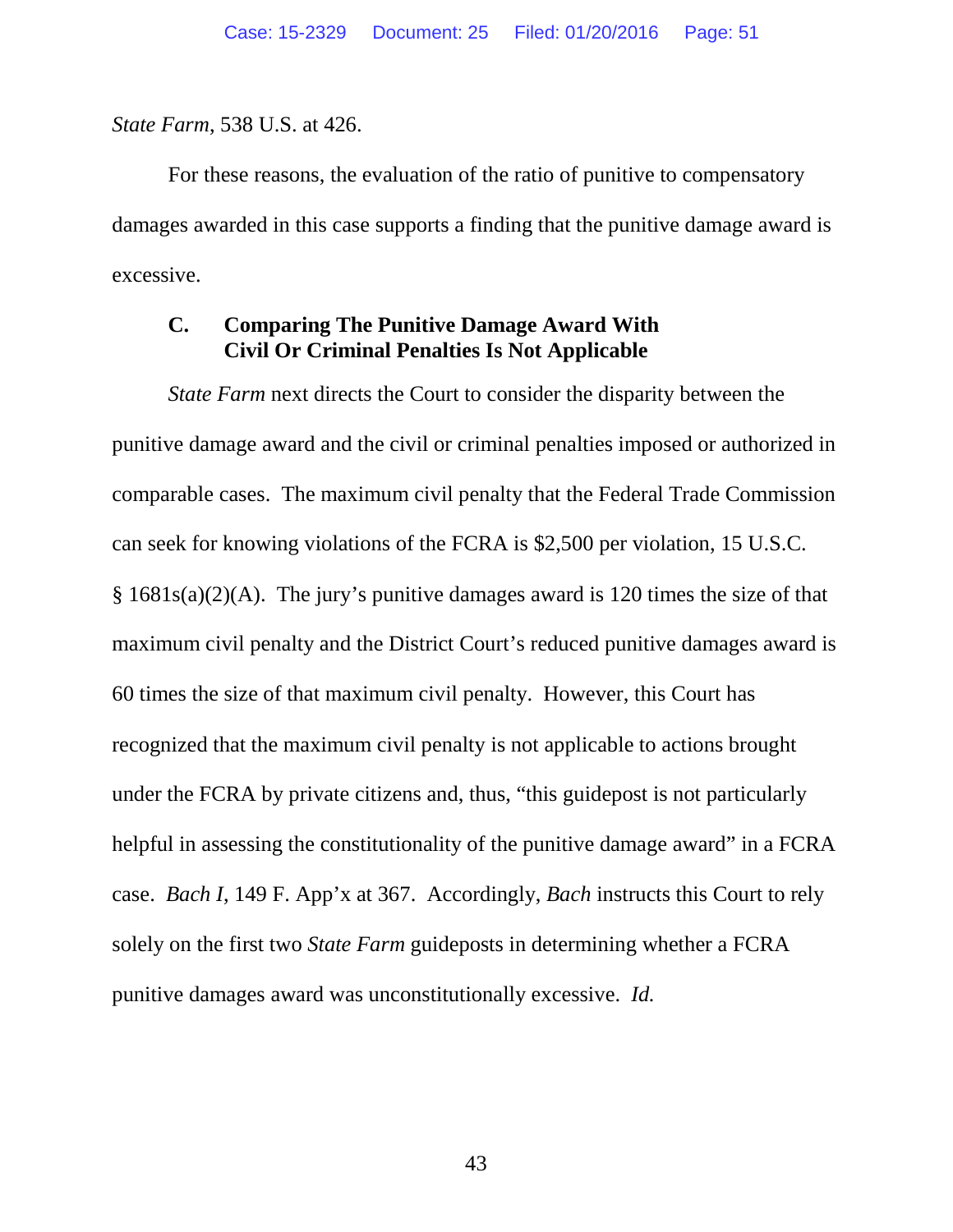*State Farm*, 538 U.S. at 426.

For these reasons, the evaluation of the ratio of punitive to compensatory damages awarded in this case supports a finding that the punitive damage award is excessive.

#### **C. Comparing The Punitive Damage Award With Civil Or Criminal Penalties Is Not Applicable**

*State Farm* next directs the Court to consider the disparity between the punitive damage award and the civil or criminal penalties imposed or authorized in comparable cases. The maximum civil penalty that the Federal Trade Commission can seek for knowing violations of the FCRA is \$2,500 per violation, 15 U.S.C. § 1681s(a)(2)(A). The jury's punitive damages award is 120 times the size of that maximum civil penalty and the District Court's reduced punitive damages award is 60 times the size of that maximum civil penalty. However, this Court has recognized that the maximum civil penalty is not applicable to actions brought under the FCRA by private citizens and, thus, "this guidepost is not particularly helpful in assessing the constitutionality of the punitive damage award" in a FCRA case. *Bach I*, 149 F. App'x at 367. Accordingly, *Bach* instructs this Court to rely solely on the first two *State Farm* guideposts in determining whether a FCRA punitive damages award was unconstitutionally excessive. *Id.*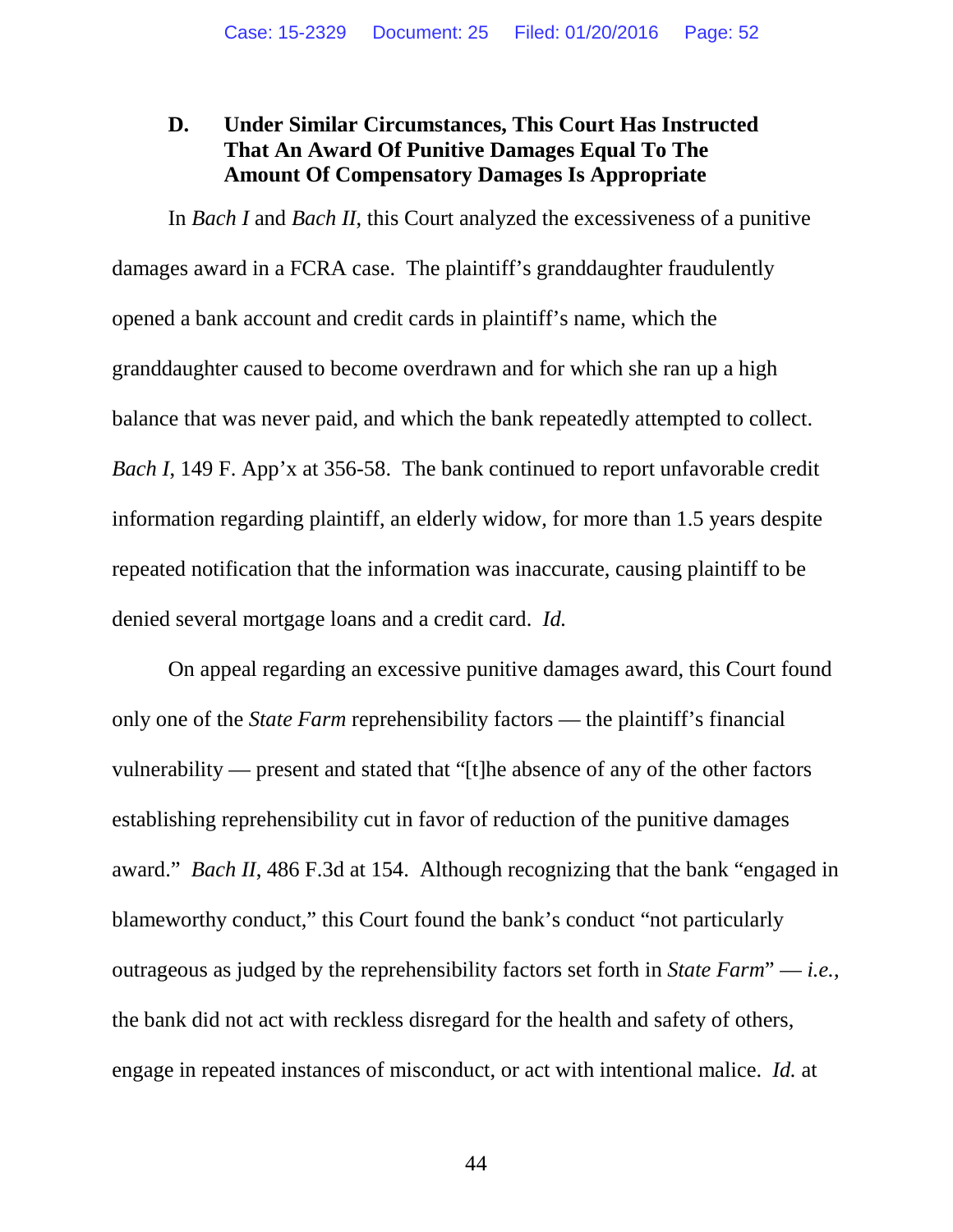#### **D. Under Similar Circumstances, This Court Has Instructed That An Award Of Punitive Damages Equal To The Amount Of Compensatory Damages Is Appropriate**

In *Bach I* and *Bach II*, this Court analyzed the excessiveness of a punitive damages award in a FCRA case. The plaintiff's granddaughter fraudulently opened a bank account and credit cards in plaintiff's name, which the granddaughter caused to become overdrawn and for which she ran up a high balance that was never paid, and which the bank repeatedly attempted to collect. *Bach I*, 149 F. App'x at 356-58. The bank continued to report unfavorable credit information regarding plaintiff, an elderly widow, for more than 1.5 years despite repeated notification that the information was inaccurate, causing plaintiff to be denied several mortgage loans and a credit card. *Id.*

On appeal regarding an excessive punitive damages award, this Court found only one of the *State Farm* reprehensibility factors — the plaintiff's financial vulnerability — present and stated that "[t]he absence of any of the other factors establishing reprehensibility cut in favor of reduction of the punitive damages award." *Bach II*, 486 F.3d at 154. Although recognizing that the bank "engaged in blameworthy conduct," this Court found the bank's conduct "not particularly outrageous as judged by the reprehensibility factors set forth in *State Farm*" — *i.e.*, the bank did not act with reckless disregard for the health and safety of others, engage in repeated instances of misconduct, or act with intentional malice. *Id.* at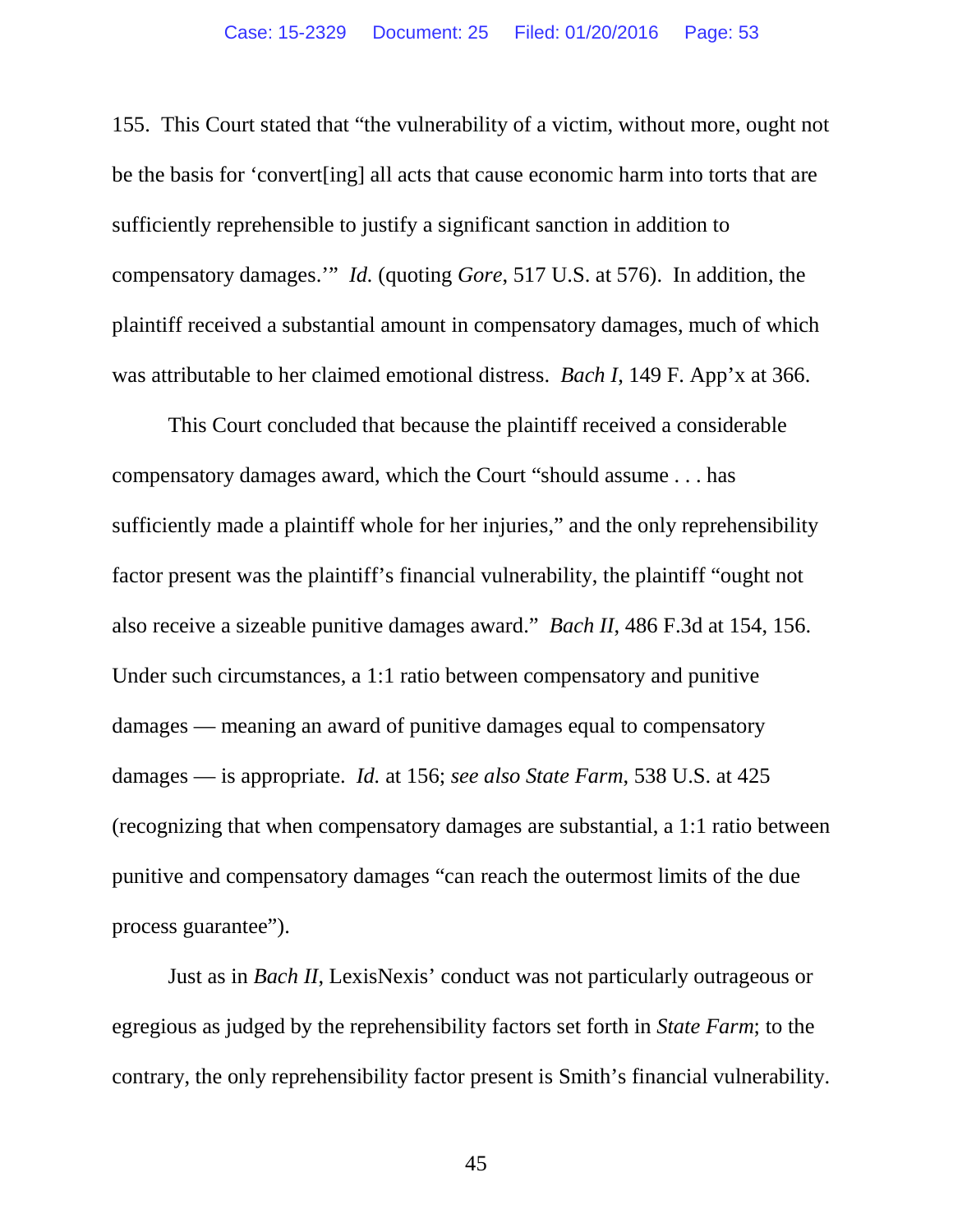155. This Court stated that "the vulnerability of a victim, without more, ought not be the basis for 'convert[ing] all acts that cause economic harm into torts that are sufficiently reprehensible to justify a significant sanction in addition to compensatory damages.'" *Id.* (quoting *Gore*, 517 U.S. at 576). In addition, the plaintiff received a substantial amount in compensatory damages, much of which was attributable to her claimed emotional distress. *Bach I*, 149 F. App'x at 366.

This Court concluded that because the plaintiff received a considerable compensatory damages award, which the Court "should assume . . . has sufficiently made a plaintiff whole for her injuries," and the only reprehensibility factor present was the plaintiff's financial vulnerability, the plaintiff "ought not also receive a sizeable punitive damages award." *Bach II*, 486 F.3d at 154, 156. Under such circumstances, a 1:1 ratio between compensatory and punitive damages — meaning an award of punitive damages equal to compensatory damages — is appropriate. *Id.* at 156; *see also State Farm*, 538 U.S. at 425 (recognizing that when compensatory damages are substantial, a 1:1 ratio between punitive and compensatory damages "can reach the outermost limits of the due process guarantee").

Just as in *Bach II*, LexisNexis' conduct was not particularly outrageous or egregious as judged by the reprehensibility factors set forth in *State Farm*; to the contrary, the only reprehensibility factor present is Smith's financial vulnerability.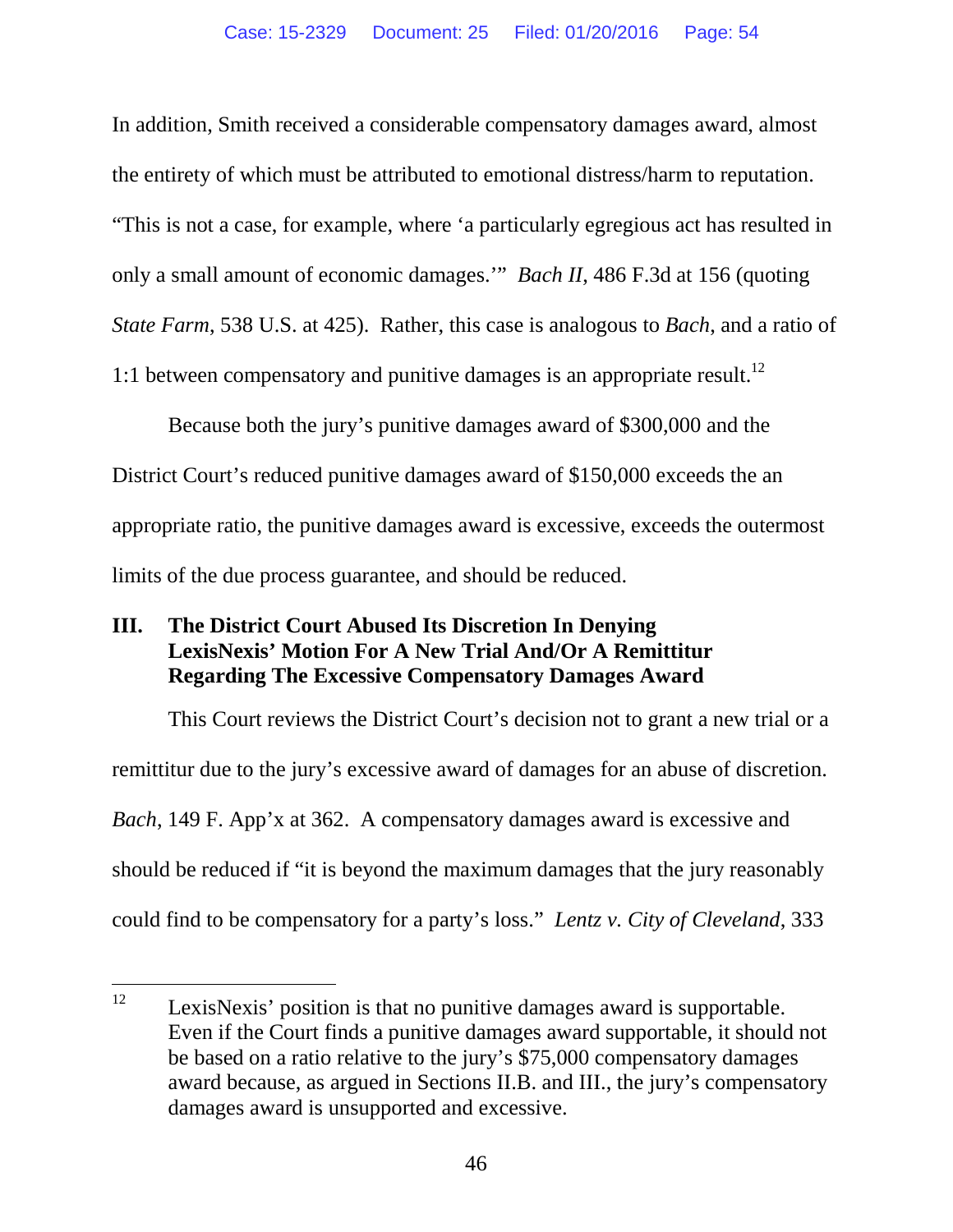In addition, Smith received a considerable compensatory damages award, almost the entirety of which must be attributed to emotional distress/harm to reputation. "This is not a case, for example, where 'a particularly egregious act has resulted in only a small amount of economic damages.'" *Bach II*, 486 F.3d at 156 (quoting *State Farm*, 538 U.S. at 425). Rather, this case is analogous to *Bach*, and a ratio of 1:1 between compensatory and punitive damages is an appropriate result.<sup>12</sup>

Because both the jury's punitive damages award of \$300,000 and the District Court's reduced punitive damages award of \$150,000 exceeds the an appropriate ratio, the punitive damages award is excessive, exceeds the outermost limits of the due process guarantee, and should be reduced.

## **III. The District Court Abused Its Discretion In Denying LexisNexis' Motion For A New Trial And/Or A Remittitur Regarding The Excessive Compensatory Damages Award**

This Court reviews the District Court's decision not to grant a new trial or a remittitur due to the jury's excessive award of damages for an abuse of discretion. *Bach*, 149 F. App'x at 362. A compensatory damages award is excessive and should be reduced if "it is beyond the maximum damages that the jury reasonably could find to be compensatory for a party's loss." *Lentz v. City of Cleveland*, 333

 $12$  LexisNexis' position is that no punitive damages award is supportable. Even if the Court finds a punitive damages award supportable, it should not be based on a ratio relative to the jury's \$75,000 compensatory damages award because, as argued in Sections II.B. and III., the jury's compensatory damages award is unsupported and excessive.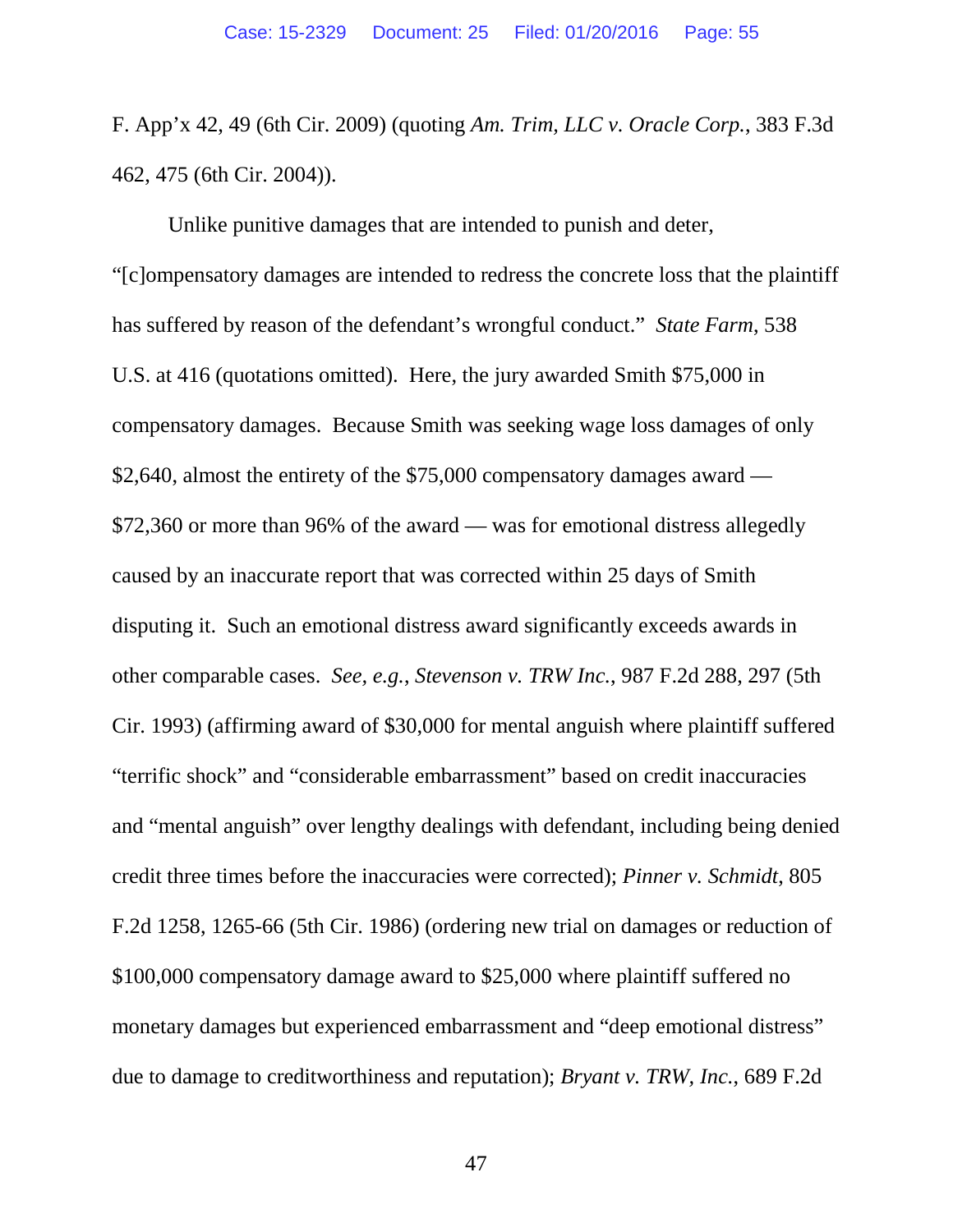F. App'x 42, 49 (6th Cir. 2009) (quoting *Am. Trim, LLC v. Oracle Corp.*, 383 F.3d 462, 475 (6th Cir. 2004)).

Unlike punitive damages that are intended to punish and deter, "[c]ompensatory damages are intended to redress the concrete loss that the plaintiff has suffered by reason of the defendant's wrongful conduct." *State Farm*, 538 U.S. at 416 (quotations omitted). Here, the jury awarded Smith \$75,000 in compensatory damages. Because Smith was seeking wage loss damages of only \$2,640, almost the entirety of the \$75,000 compensatory damages award — \$72,360 or more than 96% of the award — was for emotional distress allegedly caused by an inaccurate report that was corrected within 25 days of Smith disputing it. Such an emotional distress award significantly exceeds awards in other comparable cases. *See, e.g.*, *Stevenson v. TRW Inc.*, 987 F.2d 288, 297 (5th Cir. 1993) (affirming award of \$30,000 for mental anguish where plaintiff suffered "terrific shock" and "considerable embarrassment" based on credit inaccuracies and "mental anguish" over lengthy dealings with defendant, including being denied credit three times before the inaccuracies were corrected); *Pinner v. Schmidt*, 805 F.2d 1258, 1265-66 (5th Cir. 1986) (ordering new trial on damages or reduction of \$100,000 compensatory damage award to \$25,000 where plaintiff suffered no monetary damages but experienced embarrassment and "deep emotional distress" due to damage to creditworthiness and reputation); *Bryant v. TRW, Inc.*, 689 F.2d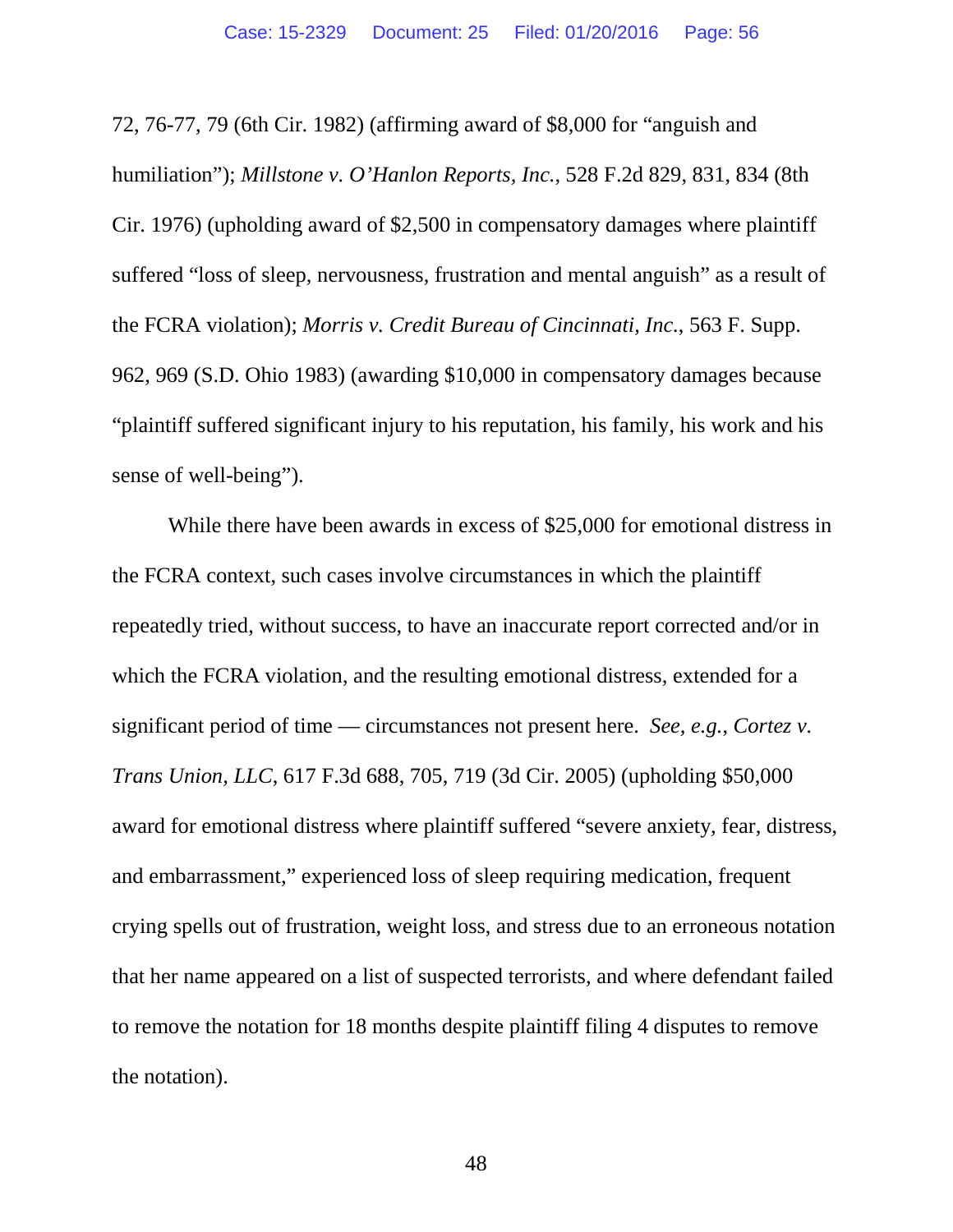72, 76-77, 79 (6th Cir. 1982) (affirming award of \$8,000 for "anguish and humiliation"); *Millstone v. O'Hanlon Reports, Inc.*, 528 F.2d 829, 831, 834 (8th Cir. 1976) (upholding award of \$2,500 in compensatory damages where plaintiff suffered "loss of sleep, nervousness, frustration and mental anguish" as a result of the FCRA violation); *Morris v. Credit Bureau of Cincinnati, Inc.*, 563 F. Supp. 962, 969 (S.D. Ohio 1983) (awarding \$10,000 in compensatory damages because "plaintiff suffered significant injury to his reputation, his family, his work and his sense of well-being").

While there have been awards in excess of \$25,000 for emotional distress in the FCRA context, such cases involve circumstances in which the plaintiff repeatedly tried, without success, to have an inaccurate report corrected and/or in which the FCRA violation, and the resulting emotional distress, extended for a significant period of time — circumstances not present here. *See, e.g.*, *Cortez v. Trans Union, LLC*, 617 F.3d 688, 705, 719 (3d Cir. 2005) (upholding \$50,000 award for emotional distress where plaintiff suffered "severe anxiety, fear, distress, and embarrassment," experienced loss of sleep requiring medication, frequent crying spells out of frustration, weight loss, and stress due to an erroneous notation that her name appeared on a list of suspected terrorists, and where defendant failed to remove the notation for 18 months despite plaintiff filing 4 disputes to remove the notation).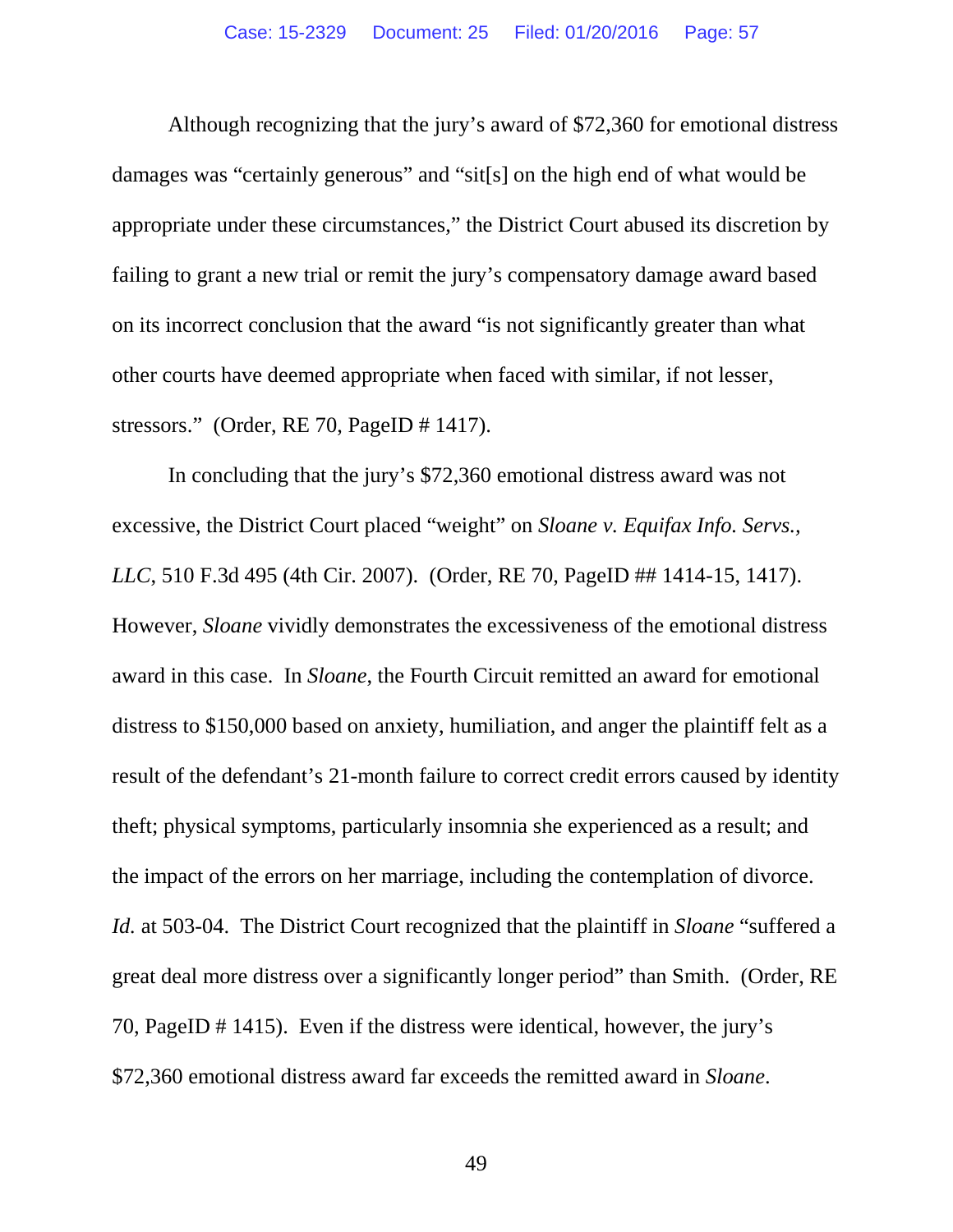Although recognizing that the jury's award of \$72,360 for emotional distress damages was "certainly generous" and "sit[s] on the high end of what would be appropriate under these circumstances," the District Court abused its discretion by failing to grant a new trial or remit the jury's compensatory damage award based on its incorrect conclusion that the award "is not significantly greater than what other courts have deemed appropriate when faced with similar, if not lesser, stressors." (Order, RE 70, PageID # 1417).

In concluding that the jury's \$72,360 emotional distress award was not excessive, the District Court placed "weight" on *Sloane v. Equifax Info. Servs., LLC*, 510 F.3d 495 (4th Cir. 2007). (Order, RE 70, PageID ## 1414-15, 1417). However, *Sloane* vividly demonstrates the excessiveness of the emotional distress award in this case. In *Sloane*, the Fourth Circuit remitted an award for emotional distress to \$150,000 based on anxiety, humiliation, and anger the plaintiff felt as a result of the defendant's 21-month failure to correct credit errors caused by identity theft; physical symptoms, particularly insomnia she experienced as a result; and the impact of the errors on her marriage, including the contemplation of divorce. *Id.* at 503-04. The District Court recognized that the plaintiff in *Sloane* "suffered a great deal more distress over a significantly longer period" than Smith. (Order, RE 70, PageID # 1415). Even if the distress were identical, however, the jury's \$72,360 emotional distress award far exceeds the remitted award in *Sloane*.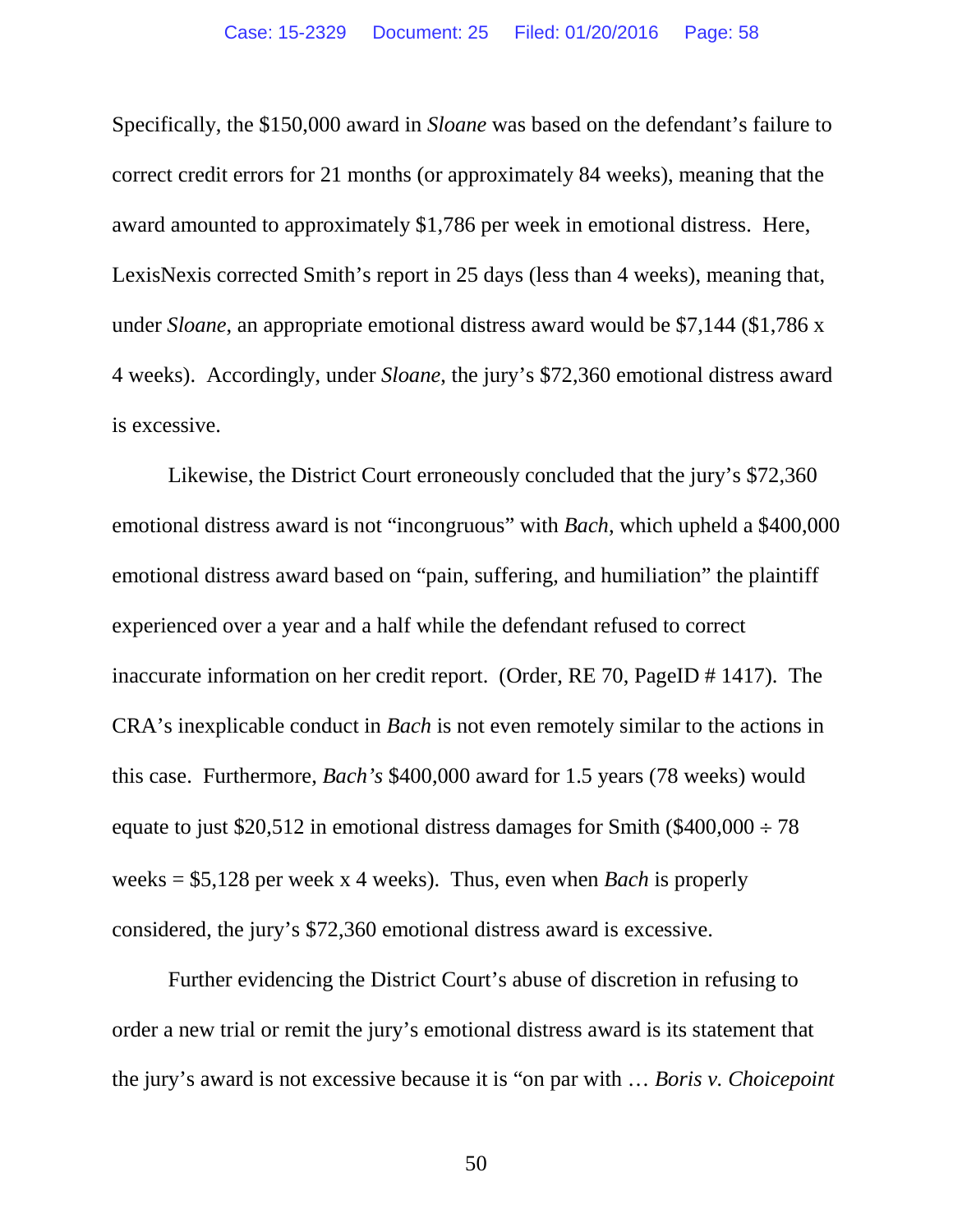Specifically, the \$150,000 award in *Sloane* was based on the defendant's failure to correct credit errors for 21 months (or approximately 84 weeks), meaning that the award amounted to approximately \$1,786 per week in emotional distress. Here, LexisNexis corrected Smith's report in 25 days (less than 4 weeks), meaning that, under *Sloane*, an appropriate emotional distress award would be \$7,144 (\$1,786 x 4 weeks). Accordingly, under *Sloane*, the jury's \$72,360 emotional distress award is excessive.

Likewise, the District Court erroneously concluded that the jury's \$72,360 emotional distress award is not "incongruous" with *Bach*, which upheld a \$400,000 emotional distress award based on "pain, suffering, and humiliation" the plaintiff experienced over a year and a half while the defendant refused to correct inaccurate information on her credit report. (Order, RE 70, PageID # 1417). The CRA's inexplicable conduct in *Bach* is not even remotely similar to the actions in this case. Furthermore, *Bach's* \$400,000 award for 1.5 years (78 weeks) would equate to just \$20,512 in emotional distress damages for Smith (\$400,000  $\div$  78 weeks = \$5,128 per week x 4 weeks). Thus, even when *Bach* is properly considered, the jury's \$72,360 emotional distress award is excessive.

Further evidencing the District Court's abuse of discretion in refusing to order a new trial or remit the jury's emotional distress award is its statement that the jury's award is not excessive because it is "on par with … *Boris v. Choicepoint*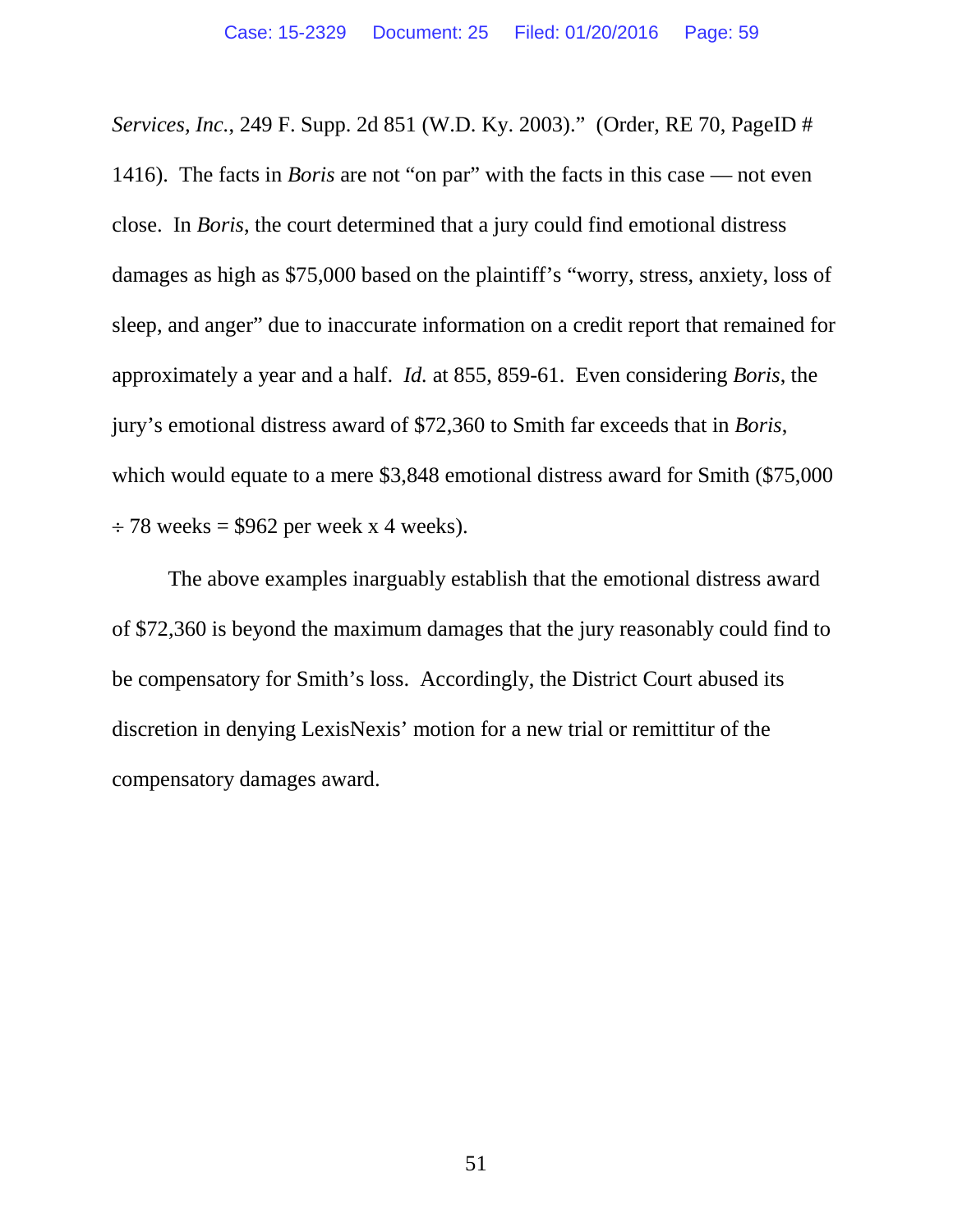*Services, Inc.*, 249 F. Supp. 2d 851 (W.D. Ky. 2003)." (Order, RE 70, PageID # 1416). The facts in *Boris* are not "on par" with the facts in this case — not even close. In *Boris*, the court determined that a jury could find emotional distress damages as high as \$75,000 based on the plaintiff's "worry, stress, anxiety, loss of sleep, and anger" due to inaccurate information on a credit report that remained for approximately a year and a half. *Id.* at 855, 859-61. Even considering *Boris*, the jury's emotional distress award of \$72,360 to Smith far exceeds that in *Boris*, which would equate to a mere \$3,848 emotional distress award for Smith (\$75,000)  $\div$  78 weeks = \$962 per week x 4 weeks).

The above examples inarguably establish that the emotional distress award of \$72,360 is beyond the maximum damages that the jury reasonably could find to be compensatory for Smith's loss. Accordingly, the District Court abused its discretion in denying LexisNexis' motion for a new trial or remittitur of the compensatory damages award.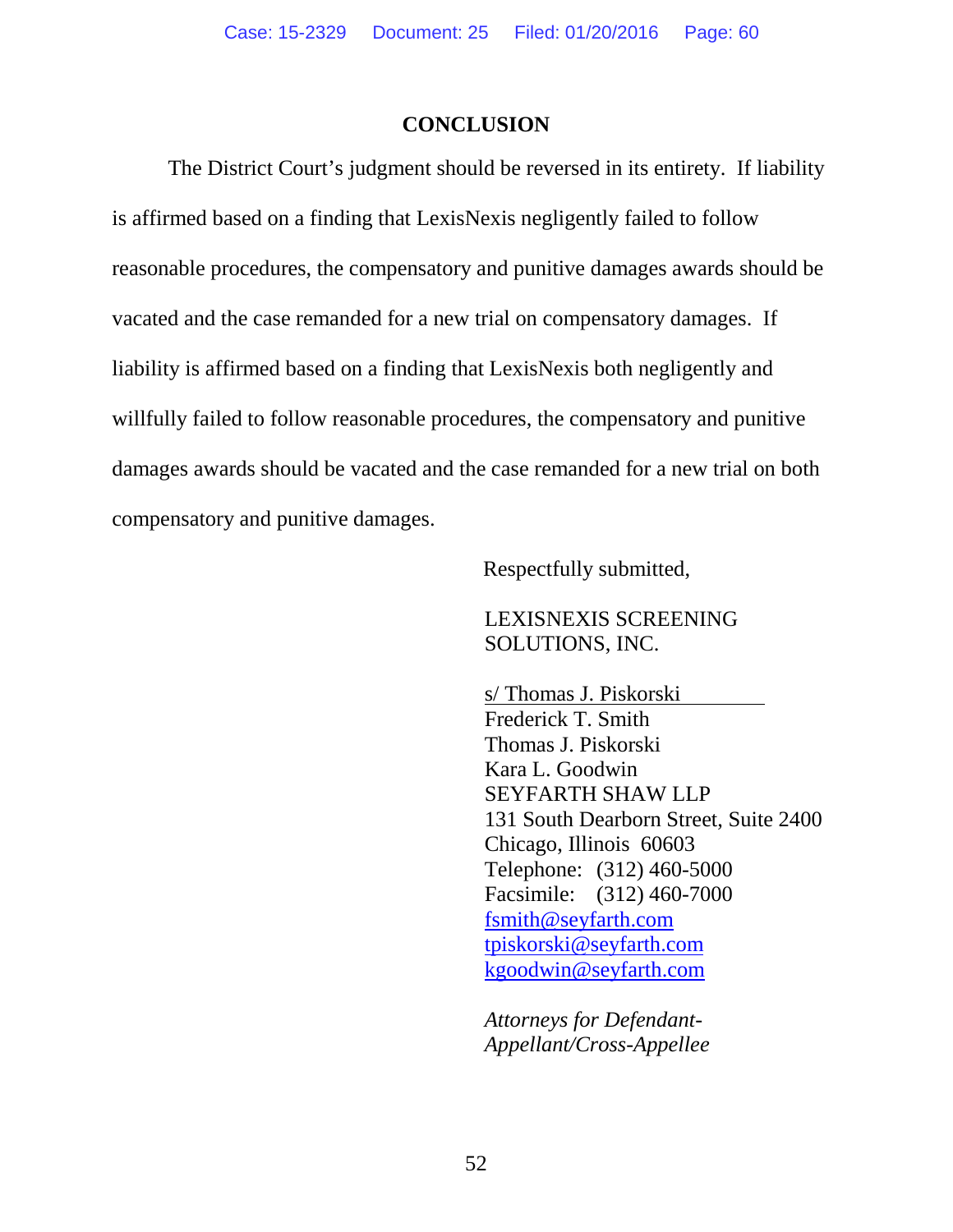#### **CONCLUSION**

The District Court's judgment should be reversed in its entirety. If liability is affirmed based on a finding that LexisNexis negligently failed to follow reasonable procedures, the compensatory and punitive damages awards should be vacated and the case remanded for a new trial on compensatory damages. If liability is affirmed based on a finding that LexisNexis both negligently and willfully failed to follow reasonable procedures, the compensatory and punitive damages awards should be vacated and the case remanded for a new trial on both compensatory and punitive damages.

Respectfully submitted,

LEXISNEXIS SCREENING SOLUTIONS, INC.

s/ Thomas J. Piskorski Frederick T. Smith Thomas J. Piskorski Kara L. Goodwin SEYFARTH SHAW LLP 131 South Dearborn Street, Suite 2400 Chicago, Illinois 60603 Telephone: (312) 460-5000 Facsimile: (312) 460-7000 fsmith@seyfarth.com tpiskorski@seyfarth.com kgoodwin@seyfarth.com

*Attorneys for Defendant-Appellant/Cross-Appellee*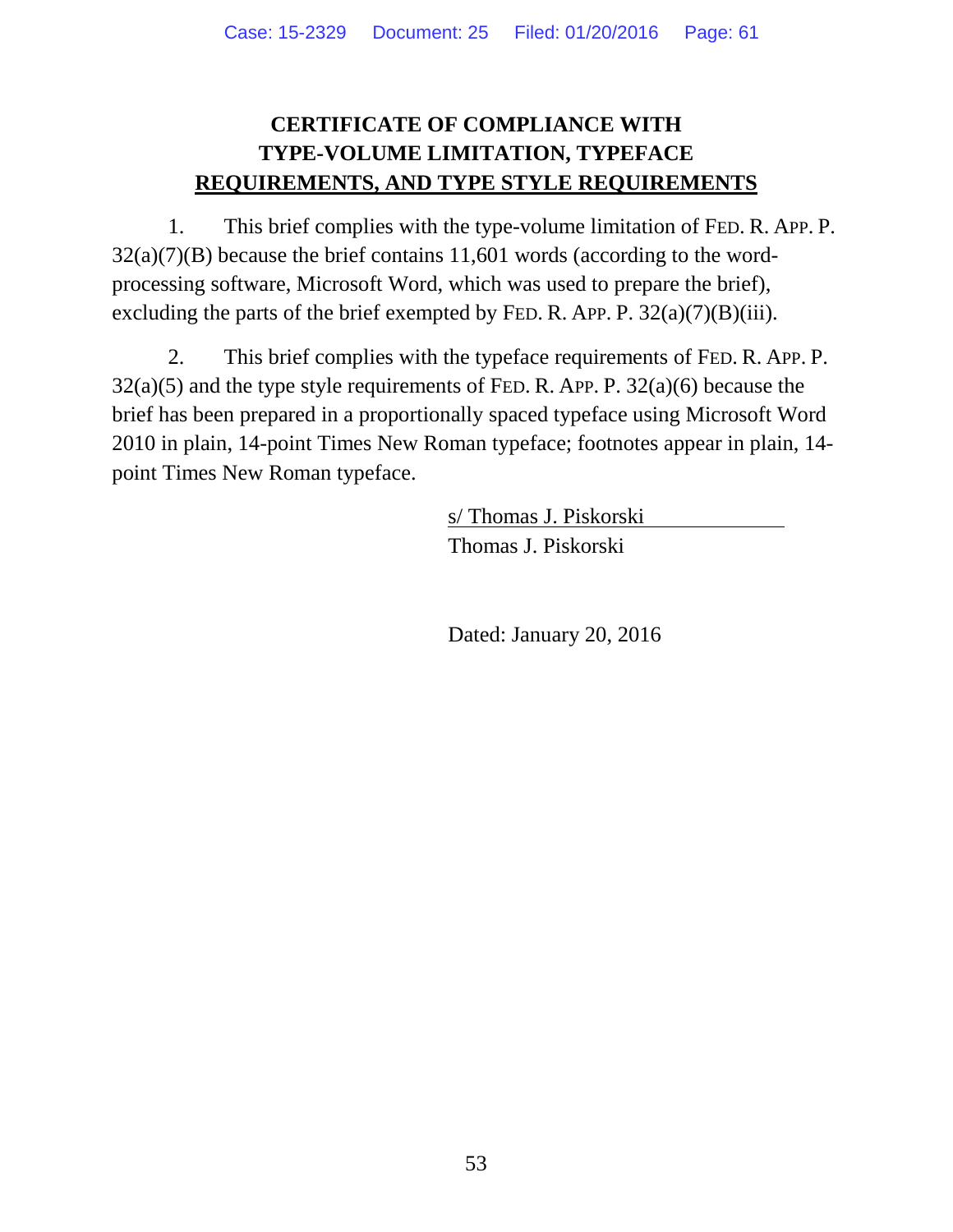# **CERTIFICATE OF COMPLIANCE WITH TYPE-VOLUME LIMITATION, TYPEFACE REQUIREMENTS, AND TYPE STYLE REQUIREMENTS**

1. This brief complies with the type-volume limitation of FED. R. APP. P.  $32(a)(7)(B)$  because the brief contains 11,601 words (according to the wordprocessing software, Microsoft Word, which was used to prepare the brief), excluding the parts of the brief exempted by FED. R. APP. P.  $32(a)(7)(B)(iii)$ .

2. This brief complies with the typeface requirements of FED. R. APP. P.  $32(a)(5)$  and the type style requirements of FED. R. APP. P.  $32(a)(6)$  because the brief has been prepared in a proportionally spaced typeface using Microsoft Word 2010 in plain, 14-point Times New Roman typeface; footnotes appear in plain, 14 point Times New Roman typeface.

> s/ Thomas J. Piskorski Thomas J. Piskorski

Dated: January 20, 2016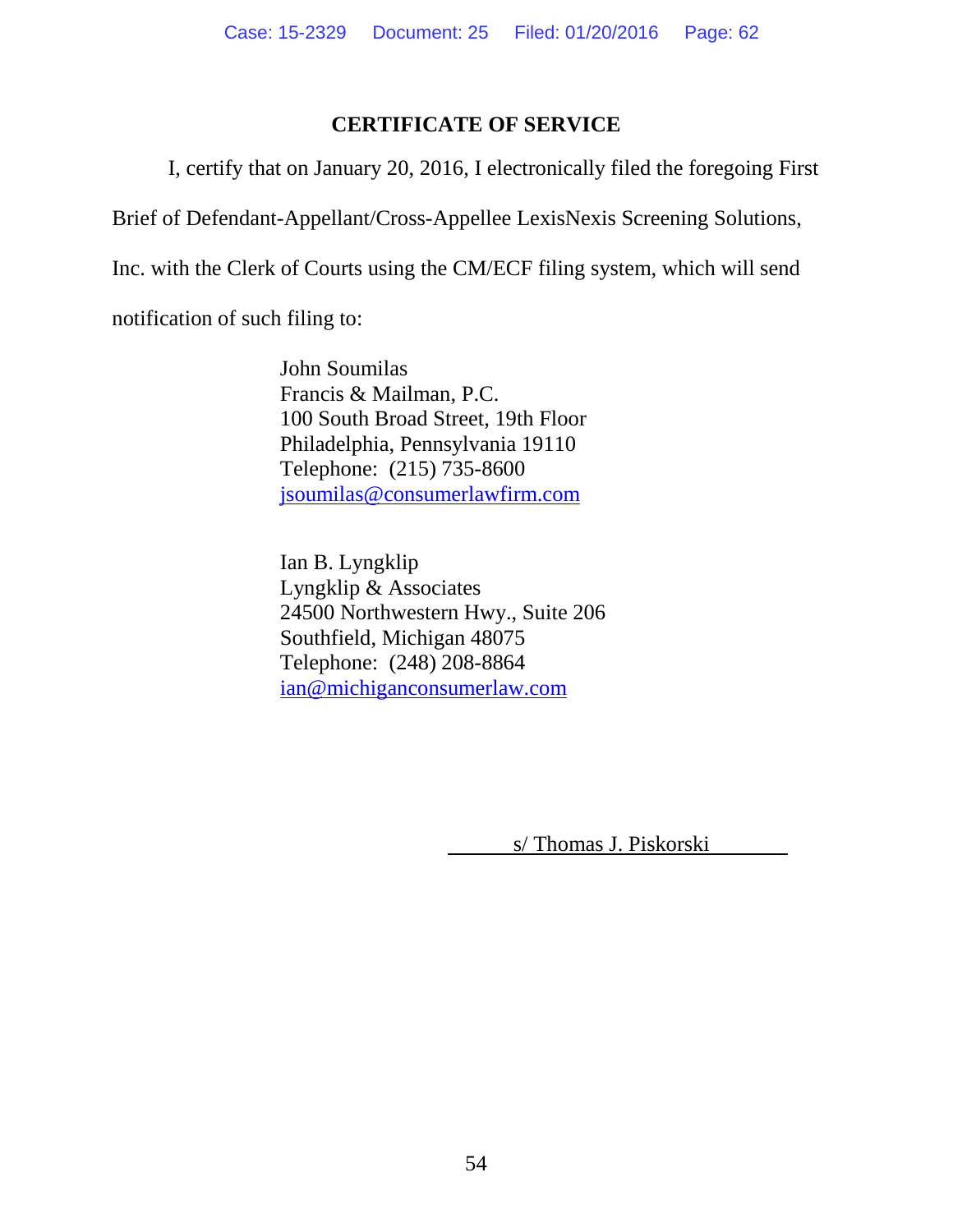## **CERTIFICATE OF SERVICE**

I, certify that on January 20, 2016, I electronically filed the foregoing First

Brief of Defendant-Appellant/Cross-Appellee LexisNexis Screening Solutions,

Inc. with the Clerk of Courts using the CM/ECF filing system, which will send

notification of such filing to:

John Soumilas Francis & Mailman, P.C. 100 South Broad Street, 19th Floor Philadelphia, Pennsylvania 19110 Telephone: (215) 735-8600 jsoumilas@consumerlawfirm.com

Ian B. Lyngklip Lyngklip & Associates 24500 Northwestern Hwy., Suite 206 Southfield, Michigan 48075 Telephone: (248) 208-8864 ian@michiganconsumerlaw.com

s/ Thomas J. Piskorski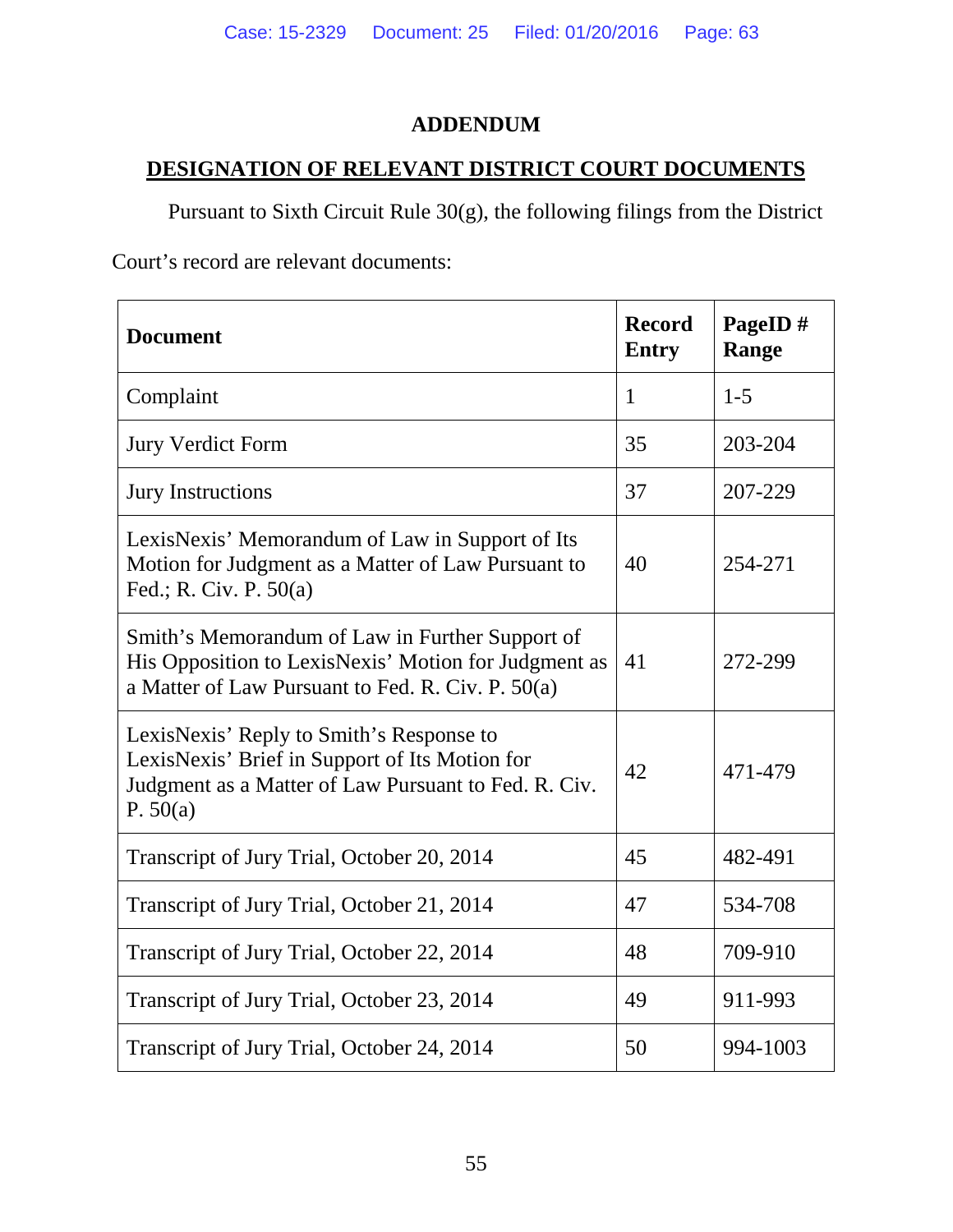# **ADDENDUM**

# **DESIGNATION OF RELEVANT DISTRICT COURT DOCUMENTS**

Pursuant to Sixth Circuit Rule 30(g), the following filings from the District

Court's record are relevant documents:

| <b>Document</b>                                                                                                                                                  | <b>Record</b><br><b>Entry</b> | PageID#<br>Range |
|------------------------------------------------------------------------------------------------------------------------------------------------------------------|-------------------------------|------------------|
| Complaint                                                                                                                                                        | $\mathbf{1}$                  | $1 - 5$          |
| <b>Jury Verdict Form</b>                                                                                                                                         | 35                            | 203-204          |
| <b>Jury Instructions</b>                                                                                                                                         | 37                            | 207-229          |
| LexisNexis' Memorandum of Law in Support of Its<br>Motion for Judgment as a Matter of Law Pursuant to<br>Fed.; R. Civ. P. $50(a)$                                | 40                            | 254-271          |
| Smith's Memorandum of Law in Further Support of<br>His Opposition to LexisNexis' Motion for Judgment as<br>a Matter of Law Pursuant to Fed. R. Civ. P. 50(a)     | 41                            | 272-299          |
| LexisNexis' Reply to Smith's Response to<br>LexisNexis' Brief in Support of Its Motion for<br>Judgment as a Matter of Law Pursuant to Fed. R. Civ.<br>P. $50(a)$ | 42                            | 471-479          |
| Transcript of Jury Trial, October 20, 2014                                                                                                                       | 45                            | 482-491          |
| Transcript of Jury Trial, October 21, 2014                                                                                                                       | 47                            | 534-708          |
| Transcript of Jury Trial, October 22, 2014                                                                                                                       | 48                            | 709-910          |
| Transcript of Jury Trial, October 23, 2014                                                                                                                       | 49                            | 911-993          |
| Transcript of Jury Trial, October 24, 2014                                                                                                                       | 50                            | 994-1003         |